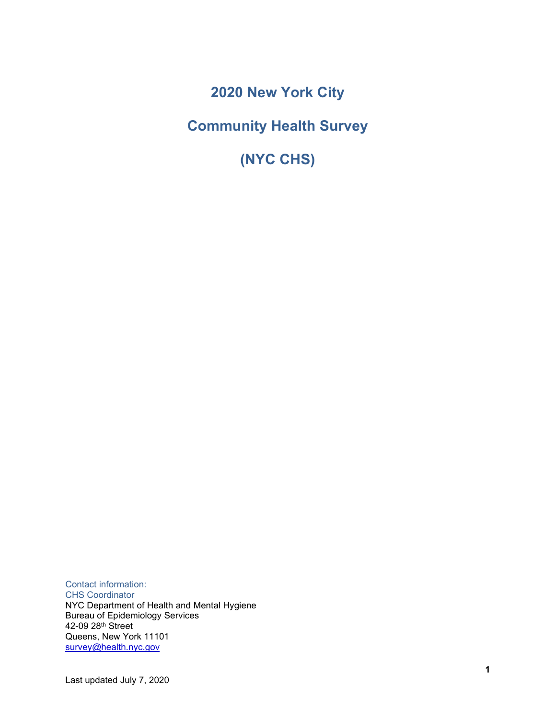**2020 New York City**

# **Community Health Survey**

**(NYC CHS)**

Contact information: CHS Coordinator NYC Department of Health and Mental Hygiene Bureau of Epidemiology Services 42-09 28<sup>th</sup> Street Queens, New York 11101 [survey@health.nyc.gov](mailto:survey@health.nyc.gov)

Last updated July 7, 2020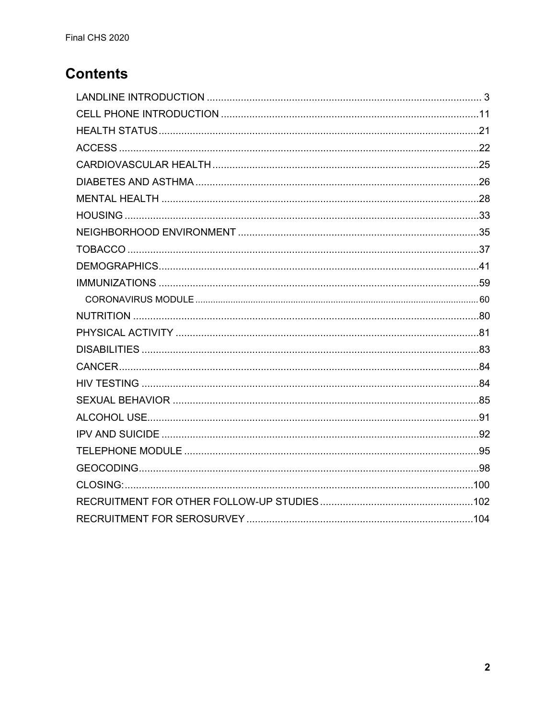# **Contents**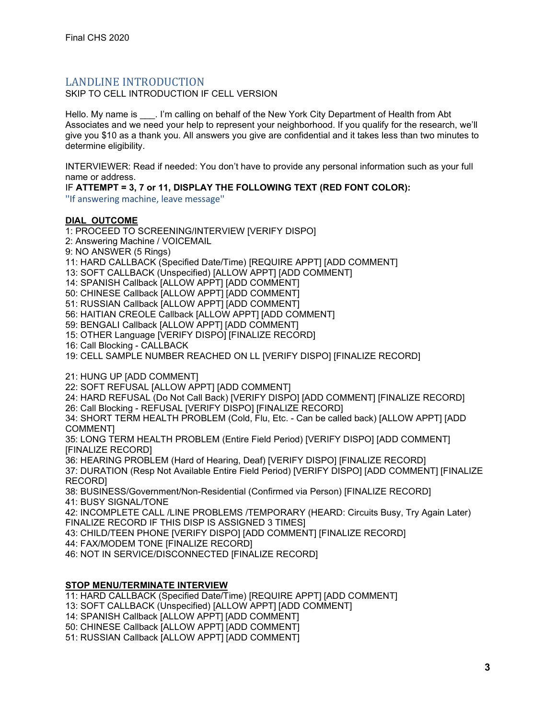# <span id="page-2-0"></span>LANDLINE INTRODUCTION

SKIP TO CELL INTRODUCTION IF CELL VERSION

Hello. My name is [10] I'm calling on behalf of the New York City Department of Health from Abt Associates and we need your help to represent your neighborhood. If you qualify for the research, we'll give you \$10 as a thank you. All answers you give are confidential and it takes less than two minutes to determine eligibility.

INTERVIEWER: Read if needed: You don't have to provide any personal information such as your full name or address.

IF **ATTEMPT = 3, 7 or 11, DISPLAY THE FOLLOWING TEXT (RED FONT COLOR):** 

''If answering machine, leave message''

# **DIAL\_OUTCOME**

1: PROCEED TO SCREENING/INTERVIEW [VERIFY DISPO] 2: Answering Machine / VOICEMAIL 9: NO ANSWER (5 Rings) 11: HARD CALLBACK (Specified Date/Time) [REQUIRE APPT] [ADD COMMENT] 13: SOFT CALLBACK (Unspecified) [ALLOW APPT] [ADD COMMENT] 14: SPANISH Callback [ALLOW APPT] [ADD COMMENT] 50: CHINESE Callback [ALLOW APPT] [ADD COMMENT] 51: RUSSIAN Callback [ALLOW APPT] [ADD COMMENT] 56: HAITIAN CREOLE Callback [ALLOW APPT] [ADD COMMENT] 59: BENGALI Callback [ALLOW APPT] [ADD COMMENT] 15: OTHER Language [VERIFY DISPO] [FINALIZE RECORD] 16: Call Blocking - CALLBACK 19: CELL SAMPLE NUMBER REACHED ON LL [VERIFY DISPO] [FINALIZE RECORD] 21: HUNG UP [ADD COMMENT] 22: SOFT REFUSAL [ALLOW APPT] [ADD COMMENT] 24: HARD REFUSAL (Do Not Call Back) [VERIFY DISPO] [ADD COMMENT] [FINALIZE RECORD] 26: Call Blocking - REFUSAL [VERIFY DISPO] [FINALIZE RECORD] 34: SHORT TERM HEALTH PROBLEM (Cold, Flu, Etc. - Can be called back) [ALLOW APPT] [ADD COMMENT] 35: LONG TERM HEALTH PROBLEM (Entire Field Period) [VERIFY DISPO] [ADD COMMENT] [FINALIZE RECORD] 36: HEARING PROBLEM (Hard of Hearing, Deaf) [VERIFY DISPO] [FINALIZE RECORD] 37: DURATION (Resp Not Available Entire Field Period) [VERIFY DISPO] [ADD COMMENT] [FINALIZE RECORD] 38: BUSINESS/Government/Non-Residential (Confirmed via Person) [FINALIZE RECORD]

41: BUSY SIGNAL/TONE

42: INCOMPLETE CALL /LINE PROBLEMS /TEMPORARY (HEARD: Circuits Busy, Try Again Later) FINALIZE RECORD IF THIS DISP IS ASSIGNED 3 TIMES]

43: CHILD/TEEN PHONE [VERIFY DISPO] [ADD COMMENT] [FINALIZE RECORD]

44: FAX/MODEM TONE [FINALIZE RECORD]

46: NOT IN SERVICE/DISCONNECTED [FINALIZE RECORD]

# **STOP MENU/TERMINATE INTERVIEW**

11: HARD CALLBACK (Specified Date/Time) [REQUIRE APPT] [ADD COMMENT]

13: SOFT CALLBACK (Unspecified) [ALLOW APPT] [ADD COMMENT]

14: SPANISH Callback [ALLOW APPT] [ADD COMMENT]

50: CHINESE Callback [ALLOW APPT] [ADD COMMENT]

51: RUSSIAN Callback [ALLOW APPT] [ADD COMMENT]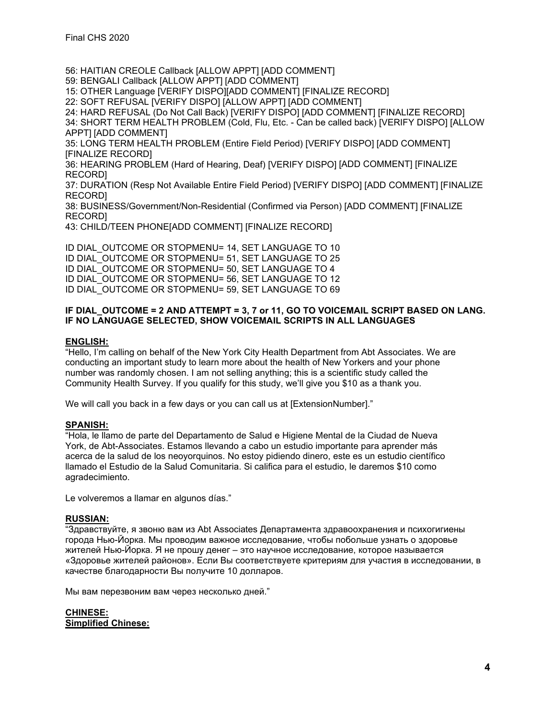56: HAITIAN CREOLE Callback [ALLOW APPT] [ADD COMMENT]

59: BENGALI Callback [ALLOW APPT] [ADD COMMENT]

15: OTHER Language [VERIFY DISPO][ADD COMMENT] [FINALIZE RECORD]

22: SOFT REFUSAL [VERIFY DISPO] [ALLOW APPT] [ADD COMMENT]

24: HARD REFUSAL (Do Not Call Back) [VERIFY DISPO] [ADD COMMENT] [FINALIZE RECORD] 34: SHORT TERM HEALTH PROBLEM (Cold, Flu, Etc. - Can be called back) [VERIFY DISPO] [ALLOW APPT] [ADD COMMENT]

35: LONG TERM HEALTH PROBLEM (Entire Field Period) [VERIFY DISPO] [ADD COMMENT] [FINALIZE RECORD]

36: HEARING PROBLEM (Hard of Hearing, Deaf) [VERIFY DISPO] [ADD COMMENT] [FINALIZE RECORD]

37: DURATION (Resp Not Available Entire Field Period) [VERIFY DISPO] [ADD COMMENT] [FINALIZE RECORD]

38: BUSINESS/Government/Non-Residential (Confirmed via Person) [ADD COMMENT] [FINALIZE RECORD]

43: CHILD/TEEN PHONE[ADD COMMENT] [FINALIZE RECORD]

ID DIAL\_OUTCOME OR STOPMENU= 14, SET LANGUAGE TO 10 ID DIAL\_OUTCOME OR STOPMENU= 51, SET LANGUAGE TO 25 ID DIAL\_OUTCOME OR STOPMENU= 50, SET LANGUAGE TO 4 ID DIAL\_OUTCOME OR STOPMENU= 56, SET LANGUAGE TO 12 ID DIAL\_OUTCOME OR STOPMENU= 59, SET LANGUAGE TO 69

# **IF DIAL\_OUTCOME = 2 AND ATTEMPT = 3, 7 or 11, GO TO VOICEMAIL SCRIPT BASED ON LANG. IF NO LANGUAGE SELECTED, SHOW VOICEMAIL SCRIPTS IN ALL LANGUAGES**

# **ENGLISH:**

"Hello, I'm calling on behalf of the New York City Health Department from Abt Associates. We are conducting an important study to learn more about the health of New Yorkers and your phone number was randomly chosen. I am not selling anything; this is a scientific study called the Community Health Survey. If you qualify for this study, we'll give you \$10 as a thank you.

We will call you back in a few days or you can call us at [ExtensionNumber]."

#### **SPANISH:**

"Hola, le llamo de parte del Departamento de Salud e Higiene Mental de la Ciudad de Nueva York, de Abt-Associates. Estamos llevando a cabo un estudio importante para aprender más acerca de la salud de los neoyorquinos. No estoy pidiendo dinero, este es un estudio científico llamado el Estudio de la Salud Comunitaria. Si califica para el estudio, le daremos \$10 como agradecimiento.

Le volveremos a llamar en algunos días."

#### **RUSSIAN:**

"Здравствуйте, я звоню вам из Abt Associates Департамента здравоохранения и психогигиены города Нью-Йорка. Мы проводим важное исследование, чтобы побольше узнать о здоровье жителей Нью-Йорка. Я не прошу денег – это научное исследование, которое называется «Здоровье жителей районов». Если Вы соответствуете критериям для участия в исследовании, в качестве благодарности Вы получите 10 долларов.

Мы вам перезвоним вам через несколько дней."

**CHINESE: Simplified Chinese:**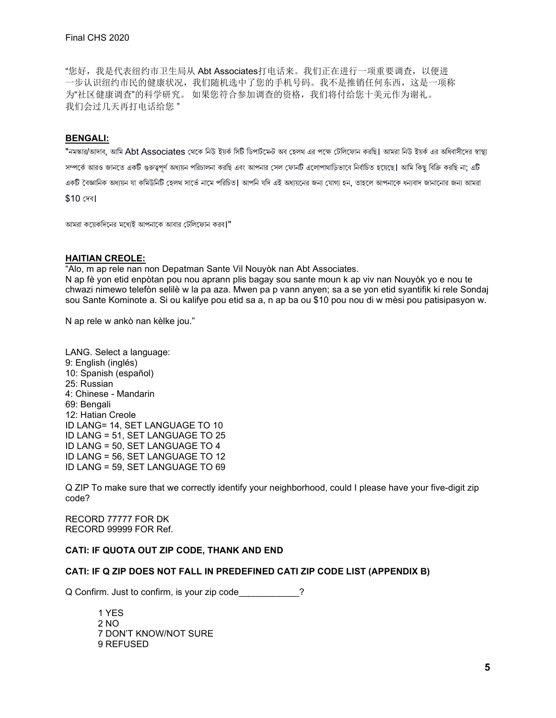"您好,我是代表纽约市卫生局从 Abt Associates打电话来。我们正在进行一项重要调查,以便进 一步认识纽约市民的健康状况,我们随机选中了您的手机号码。我不是推销任何东西,这是一项称 为"社区健康调查"的科学研究。 如果您符合参加调查的资格,我们将付给您十美元作为谢礼。 我们会过几天再打电话给您 "

# **BENGALI:**

"নমস্কার/আদাব, আমি Abt Associates থেকে নিউ ইয়র্ক সিটি ডিপার্টমেন্ট অব হেলথ এর পক্ষে টেলিফোন করছি। আমরা নিউ ইয়র্ক এর অধিবাসীদের স্বাস্থ্য সম্পর্কে আরও জানতে একটি গুরুত্বপূর্ণ অধ্যয়ন পরিচালনা করছি এবং আপনার সেল ফোনটি এলোপাথাড়িভাবে নির্বাচিত হয়েছে। আমি কিছু বিক্রি করছি না; এটি একটি বৈজ্ঞানিক অধ্যয়ন যা কমিউনিটি হেলথ সার্ভে নামে পরিচিত। আপনি যদি এই অধ্যয়নের জন্য যোগ্য হন, তাহলে আপনাকে ধন্যবাদ জানানাের জন্য আমরা

\$10 েদব।

আমরা কেয়কিদেনর মেধয্ই আপনােক আবার েটিলেফান করব।"

#### **HAITIAN CREOLE:**

"Alo, m ap rele nan non Depatman Sante Vil Nouyòk nan Abt Associates.

N ap fè yon etid enpòtan pou nou aprann plis bagay sou sante moun k ap viv nan Nouyòk yo e nou te chwazi nimewo telefòn selilè w la pa aza. Mwen pa p vann anyen; sa a se yon etid syantifik ki rele Sondaj sou Sante Kominote a. Si ou kalifye pou etid sa a, n ap ba ou \$10 pou nou di w mèsi pou patisipasyon w.

N ap rele w ankò nan kèlke jou."

LANG. Select a language: 9: English (inglés) 10: Spanish (español) 25: Russian 4: Chinese - Mandarin 69: Bengali 12: Hatian Creole ID LANG= 14, SET LANGUAGE TO 10 ID LANG = 51, SET LANGUAGE TO 25 ID LANG = 50, SET LANGUAGE TO 4 ID LANG = 56, SET LANGUAGE TO 12 ID LANG = 59, SET LANGUAGE TO 69

Q ZIP To make sure that we correctly identify your neighborhood, could I please have your five-digit zip code?

RECORD 77777 FOR DK RECORD 99999 FOR Ref.

#### **CATI: IF QUOTA OUT ZIP CODE, THANK AND END**

#### **CATI: IF Q ZIP DOES NOT FALL IN PREDEFINED CATI ZIP CODE LIST (APPENDIX B)**

Q Confirm. Just to confirm, is your zip code  $\overline{?}$ 

1 YES 2 NO 7 DON'T KNOW/NOT SURE 9 REFUSED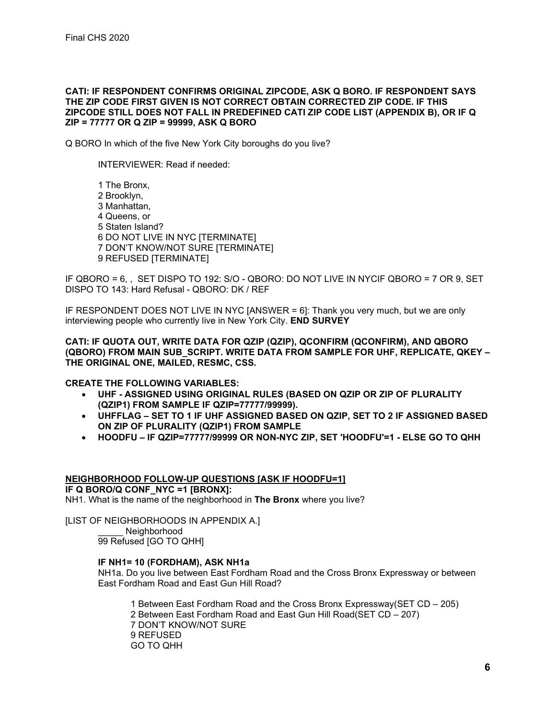#### **CATI: IF RESPONDENT CONFIRMS ORIGINAL ZIPCODE, ASK Q BORO. IF RESPONDENT SAYS THE ZIP CODE FIRST GIVEN IS NOT CORRECT OBTAIN CORRECTED ZIP CODE. IF THIS ZIPCODE STILL DOES NOT FALL IN PREDEFINED CATI ZIP CODE LIST (APPENDIX B), OR IF Q ZIP = 77777 OR Q ZIP = 99999, ASK Q BORO**

Q BORO In which of the five New York City boroughs do you live?

INTERVIEWER: Read if needed:

1 The Bronx, 2 Brooklyn, 3 Manhattan, 4 Queens, or 5 Staten Island? 6 DO NOT LIVE IN NYC [TERMINATE] 7 DON'T KNOW/NOT SURE [TERMINATE] 9 REFUSED [TERMINATE]

IF QBORO = 6, , SET DISPO TO 192: S/O - QBORO: DO NOT LIVE IN NYCIF QBORO = 7 OR 9, SET DISPO TO 143: Hard Refusal - QBORO: DK / REF

IF RESPONDENT DOES NOT LIVE IN NYC [ANSWER = 6]: Thank you very much, but we are only interviewing people who currently live in New York City. **END SURVEY**

**CATI: IF QUOTA OUT, WRITE DATA FOR QZIP (QZIP), QCONFIRM (QCONFIRM), AND QBORO (QBORO) FROM MAIN SUB\_SCRIPT. WRITE DATA FROM SAMPLE FOR UHF, REPLICATE, QKEY – THE ORIGINAL ONE, MAILED, RESMC, CSS.**

#### **CREATE THE FOLLOWING VARIABLES:**

- **UHF - ASSIGNED USING ORIGINAL RULES (BASED ON QZIP OR ZIP OF PLURALITY (QZIP1) FROM SAMPLE IF QZIP=77777/99999).**
- **UHFFLAG – SET TO 1 IF UHF ASSIGNED BASED ON QZIP, SET TO 2 IF ASSIGNED BASED ON ZIP OF PLURALITY (QZIP1) FROM SAMPLE**
- **HOODFU – IF QZIP=77777/99999 OR NON-NYC ZIP, SET 'HOODFU'=1 - ELSE GO TO QHH**

#### **NEIGHBORHOOD FOLLOW-UP QUESTIONS [ASK IF HOODFU=1] IF Q BORO/Q CONF\_NYC =1 [BRONX]:**

NH1. What is the name of the neighborhood in **The Bronx** where you live?

[LIST OF NEIGHBORHOODS IN APPENDIX A.]

Neighborhood 99 Refused [GO TO QHH]

#### **IF NH1= 10 (FORDHAM), ASK NH1a**

NH1a. Do you live between East Fordham Road and the Cross Bronx Expressway or between East Fordham Road and East Gun Hill Road?

1 Between East Fordham Road and the Cross Bronx Expressway(SET CD – 205) 2 Between East Fordham Road and East Gun Hill Road(SET CD – 207) 7 DON'T KNOW/NOT SURE 9 REFUSED GO TO QHH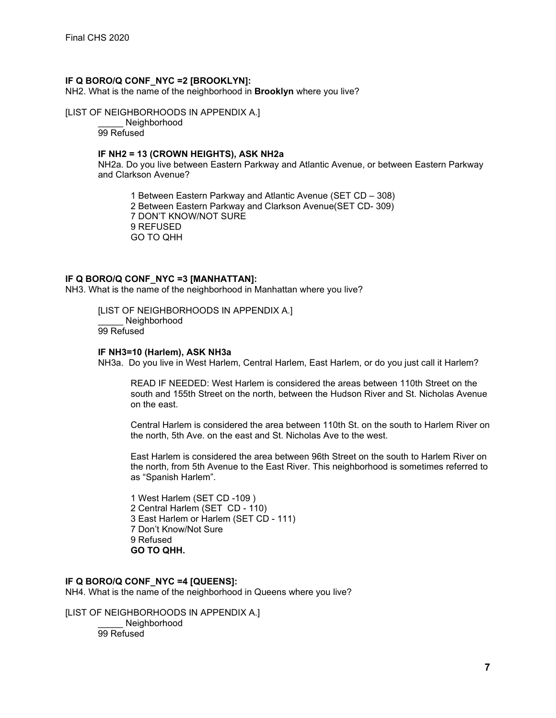# **IF Q BORO/Q CONF\_NYC =2 [BROOKLYN]:**

NH2. What is the name of the neighborhood in **Brooklyn** where you live?

[LIST OF NEIGHBORHOODS IN APPENDIX A.]

Neighborhood 99 Refused

#### **IF NH2 = 13 (CROWN HEIGHTS), ASK NH2a**

NH2a. Do you live between Eastern Parkway and Atlantic Avenue, or between Eastern Parkway and Clarkson Avenue?

1 Between Eastern Parkway and Atlantic Avenue (SET CD – 308) 2 Between Eastern Parkway and Clarkson Avenue(SET CD- 309) 7 DON'T KNOW/NOT SURE 9 REFUSED GO TO QHH

# **IF Q BORO/Q CONF\_NYC =3 [MANHATTAN]:**

NH3. What is the name of the neighborhood in Manhattan where you live?

[LIST OF NEIGHBORHOODS IN APPENDIX A.] Neighborhood 99 Refused

#### **IF NH3=10 (Harlem), ASK NH3a**

NH3a. Do you live in West Harlem, Central Harlem, East Harlem, or do you just call it Harlem?

READ IF NEEDED: West Harlem is considered the areas between 110th Street on the south and 155th Street on the north, between the Hudson River and St. Nicholas Avenue on the east.

Central Harlem is considered the area between 110th St. on the south to Harlem River on the north, 5th Ave. on the east and St. Nicholas Ave to the west.

East Harlem is considered the area between 96th Street on the south to Harlem River on the north, from 5th Avenue to the East River. This neighborhood is sometimes referred to as "Spanish Harlem".

1 West Harlem (SET CD -109 ) 2 Central Harlem (SET CD - 110) 3 East Harlem or Harlem (SET CD - 111) 7 Don't Know/Not Sure 9 Refused **GO TO QHH.** 

# **IF Q BORO/Q CONF\_NYC =4 [QUEENS]:**

NH4. What is the name of the neighborhood in Queens where you live?

[LIST OF NEIGHBORHOODS IN APPENDIX A.] Neighborhood 99 Refused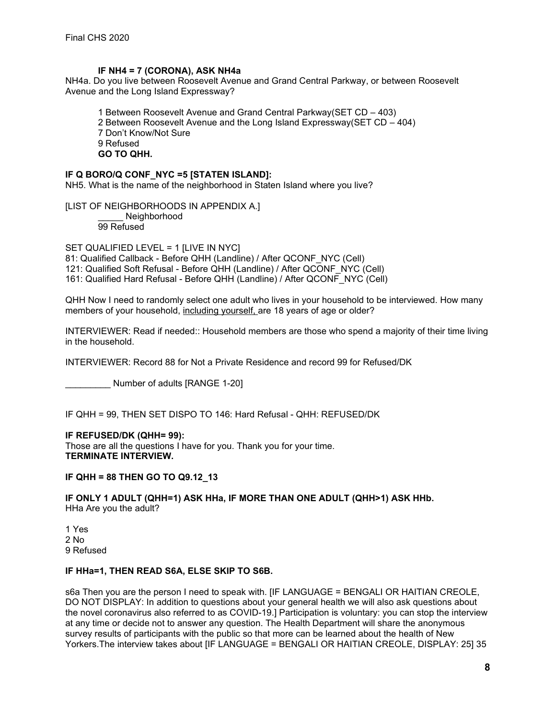# **IF NH4 = 7 (CORONA), ASK NH4a**

NH4a. Do you live between Roosevelt Avenue and Grand Central Parkway, or between Roosevelt Avenue and the Long Island Expressway?

1 Between Roosevelt Avenue and Grand Central Parkway(SET CD – 403) 2 Between Roosevelt Avenue and the Long Island Expressway(SET CD – 404) 7 Don't Know/Not Sure 9 Refused **GO TO QHH.** 

# **IF Q BORO/Q CONF\_NYC =5 [STATEN ISLAND]:**

NH5. What is the name of the neighborhood in Staten Island where you live?

**ILIST OF NEIGHBORHOODS IN APPENDIX A.1** Neighborhood 99 Refused

SET QUALIFIED LEVEL = 1 [LIVE IN NYC] 81: Qualified Callback - Before QHH (Landline) / After QCONF\_NYC (Cell) 121: Qualified Soft Refusal - Before QHH (Landline) / After QCONF\_NYC (Cell) 161: Qualified Hard Refusal - Before QHH (Landline) / After QCONF\_NYC (Cell)

QHH Now I need to randomly select one adult who lives in your household to be interviewed. How many members of your household, including yourself, are 18 years of age or older?

INTERVIEWER: Read if needed:: Household members are those who spend a majority of their time living in the household.

INTERVIEWER: Record 88 for Not a Private Residence and record 99 for Refused/DK

Number of adults [RANGE 1-20]

IF QHH = 99, THEN SET DISPO TO 146: Hard Refusal - QHH: REFUSED/DK

**IF REFUSED/DK (QHH= 99):**

Those are all the questions I have for you. Thank you for your time. **TERMINATE INTERVIEW.**

#### **IF QHH = 88 THEN GO TO Q9.12\_13**

**IF ONLY 1 ADULT (QHH=1) ASK HHa, IF MORE THAN ONE ADULT (QHH>1) ASK HHb.** HHa Are you the adult?

1 Yes 2 No 9 Refused

#### **IF HHa=1, THEN READ S6A, ELSE SKIP TO S6B.**

s6a Then you are the person I need to speak with. [IF LANGUAGE = BENGALI OR HAITIAN CREOLE, DO NOT DISPLAY: In addition to questions about your general health we will also ask questions about the novel coronavirus also referred to as COVID-19.] Participation is voluntary: you can stop the interview at any time or decide not to answer any question. The Health Department will share the anonymous survey results of participants with the public so that more can be learned about the health of New Yorkers.The interview takes about [IF LANGUAGE = BENGALI OR HAITIAN CREOLE, DISPLAY: 25] 35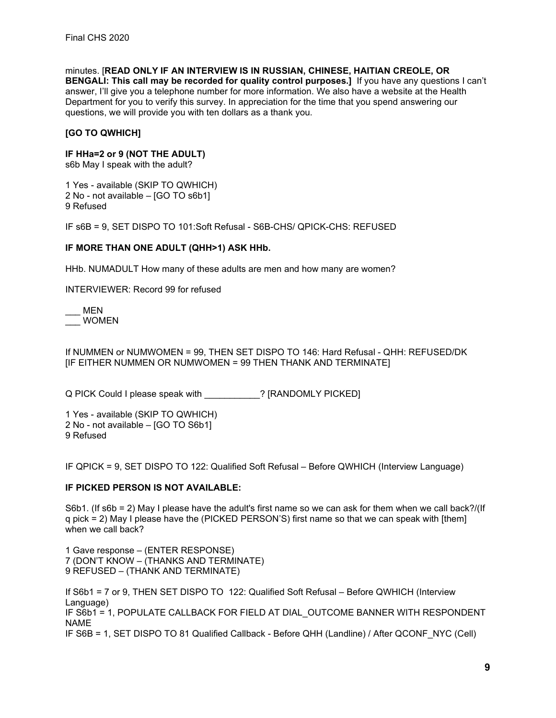minutes. [**READ ONLY IF AN INTERVIEW IS IN RUSSIAN, CHINESE, HAITIAN CREOLE, OR BENGALI: This call may be recorded for quality control purposes.]** If you have any questions I can't answer, I'll give you a telephone number for more information. We also have a website at the Health Department for you to verify this survey. In appreciation for the time that you spend answering our questions, we will provide you with ten dollars as a thank you.

# **[GO TO QWHICH]**

# **IF HHa=2 or 9 (NOT THE ADULT)**

s6b May I speak with the adult?

1 Yes - available (SKIP TO QWHICH) 2 No - not available – [GO TO s6b1] 9 Refused

IF s6B = 9, SET DISPO TO 101:Soft Refusal - S6B-CHS/ QPICK-CHS: REFUSED

# **IF MORE THAN ONE ADULT (QHH>1) ASK HHb.**

HHb. NUMADULT How many of these adults are men and how many are women?

INTERVIEWER: Record 99 for refused

\_\_\_ MEN \_\_\_ WOMEN

If NUMMEN or NUMWOMEN = 99, THEN SET DISPO TO 146: Hard Refusal - QHH: REFUSED/DK [IF EITHER NUMMEN OR NUMWOMEN = 99 THEN THANK AND TERMINATE]

Q PICK Could I please speak with \_\_\_\_\_\_\_\_\_\_\_? [RANDOMLY PICKED]

1 Yes - available (SKIP TO QWHICH) 2 No - not available – [GO TO S6b1] 9 Refused

IF QPICK = 9, SET DISPO TO 122: Qualified Soft Refusal – Before QWHICH (Interview Language)

#### **IF PICKED PERSON IS NOT AVAILABLE:**

S6b1. (If s6b = 2) May I please have the adult's first name so we can ask for them when we call back?/(If q pick = 2) May I please have the (PICKED PERSON'S) first name so that we can speak with [them] when we call back?

1 Gave response – (ENTER RESPONSE) 7 (DON'T KNOW – (THANKS AND TERMINATE) 9 REFUSED – (THANK AND TERMINATE)

If S6b1 = 7 or 9, THEN SET DISPO TO 122: Qualified Soft Refusal – Before QWHICH (Interview Language)

IF S6b1 = 1, POPULATE CALLBACK FOR FIELD AT DIAL\_OUTCOME BANNER WITH RESPONDENT NAME

IF S6B = 1, SET DISPO TO 81 Qualified Callback - Before QHH (Landline) / After QCONF\_NYC (Cell)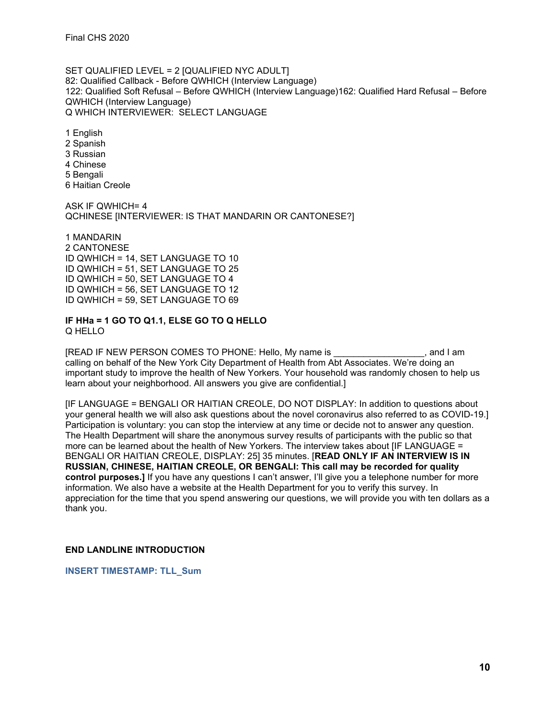SET QUALIFIED LEVEL = 2 [QUALIFIED NYC ADULT] 82: Qualified Callback - Before QWHICH (Interview Language) 122: Qualified Soft Refusal – Before QWHICH (Interview Language)162: Qualified Hard Refusal – Before QWHICH (Interview Language) Q WHICH INTERVIEWER: SELECT LANGUAGE

1 English

2 Spanish

3 Russian

4 Chinese

5 Bengali

6 Haitian Creole

ASK IF QWHICH= 4 QCHINESE [INTERVIEWER: IS THAT MANDARIN OR CANTONESE?]

1 MANDARIN 2 CANTONESE ID QWHICH = 14, SET LANGUAGE TO 10 ID QWHICH = 51, SET LANGUAGE TO 25 ID QWHICH = 50, SET LANGUAGE TO 4 ID QWHICH = 56, SET LANGUAGE TO 12 ID QWHICH = 59, SET LANGUAGE TO 69

#### **IF HHa = 1 GO TO Q1.1, ELSE GO TO Q HELLO** Q HELLO

[READ IF NEW PERSON COMES TO PHONE: Hello, My name is \_\_\_\_\_\_\_\_\_\_\_\_\_\_\_\_\_\_, and I am calling on behalf of the New York City Department of Health from Abt Associates. We're doing an important study to improve the health of New Yorkers. Your household was randomly chosen to help us learn about your neighborhood. All answers you give are confidential.]

[IF LANGUAGE = BENGALI OR HAITIAN CREOLE, DO NOT DISPLAY: In addition to questions about your general health we will also ask questions about the novel coronavirus also referred to as COVID-19.] Participation is voluntary: you can stop the interview at any time or decide not to answer any question. The Health Department will share the anonymous survey results of participants with the public so that more can be learned about the health of New Yorkers. The interview takes about [IF LANGUAGE = BENGALI OR HAITIAN CREOLE, DISPLAY: 25] 35 minutes. [**READ ONLY IF AN INTERVIEW IS IN RUSSIAN, CHINESE, HAITIAN CREOLE, OR BENGALI: This call may be recorded for quality control purposes.]** If you have any questions I can't answer, I'll give you a telephone number for more information. We also have a website at the Health Department for you to verify this survey. In appreciation for the time that you spend answering our questions, we will provide you with ten dollars as a thank you.

# **END LANDLINE INTRODUCTION**

**INSERT TIMESTAMP: TLL\_Sum**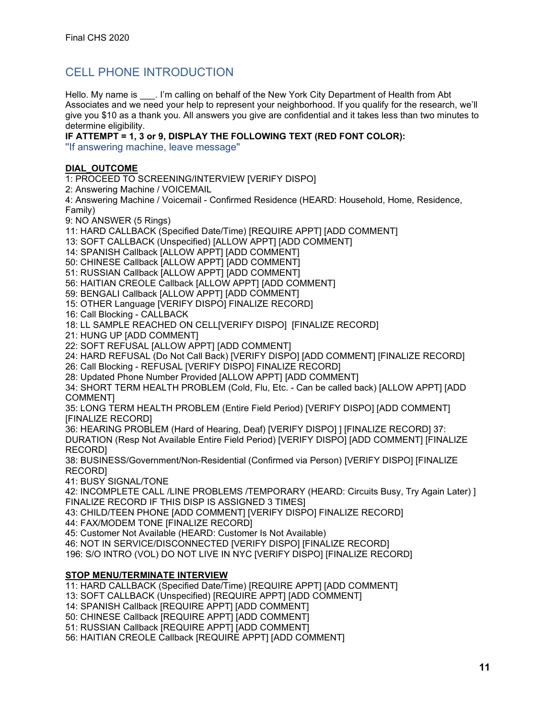# <span id="page-10-0"></span>CELL PHONE INTRODUCTION

Hello. My name is \_\_\_. I'm calling on behalf of the New York City Department of Health from Abt Associates and we need your help to represent your neighborhood. If you qualify for the research, we'll give you \$10 as a thank you. All answers you give are confidential and it takes less than two minutes to determine eligibility.

**IF ATTEMPT = 1, 3 or 9, DISPLAY THE FOLLOWING TEXT (RED FONT COLOR):** 

''If answering machine, leave message''

# **DIAL\_OUTCOME**

1: PROCEED TO SCREENING/INTERVIEW [VERIFY DISPO]

2: Answering Machine / VOICEMAIL

4: Answering Machine / Voicemail - Confirmed Residence (HEARD: Household, Home, Residence, Family)

9: NO ANSWER (5 Rings)

11: HARD CALLBACK (Specified Date/Time) [REQUIRE APPT] [ADD COMMENT]

13: SOFT CALLBACK (Unspecified) [ALLOW APPT] [ADD COMMENT]

14: SPANISH Callback [ALLOW APPT] [ADD COMMENT]

50: CHINESE Callback [ALLOW APPT] [ADD COMMENT]

51: RUSSIAN Callback [ALLOW APPT] [ADD COMMENT]

56: HAITIAN CREOLE Callback [ALLOW APPT] [ADD COMMENT]

59: BENGALI Callback [ALLOW APPT] [ADD COMMENT]

15: OTHER Language [VERIFY DISPO] FINALIZE RECORD]

16: Call Blocking - CALLBACK

18: LL SAMPLE REACHED ON CELL[VERIFY DISPO] [FINALIZE RECORD]

21: HUNG UP [ADD COMMENT]

22: SOFT REFUSAL [ALLOW APPT] [ADD COMMENT]

24: HARD REFUSAL (Do Not Call Back) [VERIFY DISPO] [ADD COMMENT] [FINALIZE RECORD]

26: Call Blocking - REFUSAL [VERIFY DISPO] FINALIZE RECORD]

28: Updated Phone Number Provided [ALLOW APPT] [ADD COMMENT]

34: SHORT TERM HEALTH PROBLEM (Cold, Flu, Etc. - Can be called back) [ALLOW APPT] [ADD COMMENT]

35: LONG TERM HEALTH PROBLEM (Entire Field Period) [VERIFY DISPO] [ADD COMMENT] [FINALIZE RECORD]

36: HEARING PROBLEM (Hard of Hearing, Deaf) [VERIFY DISPO] ] [FINALIZE RECORD] 37: DURATION (Resp Not Available Entire Field Period) [VERIFY DISPO] [ADD COMMENT] [FINALIZE RECORD]

38: BUSINESS/Government/Non-Residential (Confirmed via Person) [VERIFY DISPO] [FINALIZE RECORD]

41: BUSY SIGNAL/TONE

42: INCOMPLETE CALL /LINE PROBLEMS /TEMPORARY (HEARD: Circuits Busy, Try Again Later) ] FINALIZE RECORD IF THIS DISP IS ASSIGNED 3 TIMES]

43: CHILD/TEEN PHONE [ADD COMMENT] [VERIFY DISPO] FINALIZE RECORD]

44: FAX/MODEM TONE [FINALIZE RECORD]

45: Customer Not Available (HEARD: Customer Is Not Available)

46: NOT IN SERVICE/DISCONNECTED [VERIFY DISPO] [FINALIZE RECORD]

196: S/O INTRO (VOL) DO NOT LIVE IN NYC [VERIFY DISPO] [FINALIZE RECORD]

# **STOP MENU/TERMINATE INTERVIEW**

11: HARD CALLBACK (Specified Date/Time) [REQUIRE APPT] [ADD COMMENT]

13: SOFT CALLBACK (Unspecified) [REQUIRE APPT] [ADD COMMENT]

14: SPANISH Callback [REQUIRE APPT] [ADD COMMENT]

50: CHINESE Callback [REQUIRE APPT] [ADD COMMENT]

51: RUSSIAN Callback [REQUIRE APPT] [ADD COMMENT]

56: HAITIAN CREOLE Callback [REQUIRE APPT] [ADD COMMENT]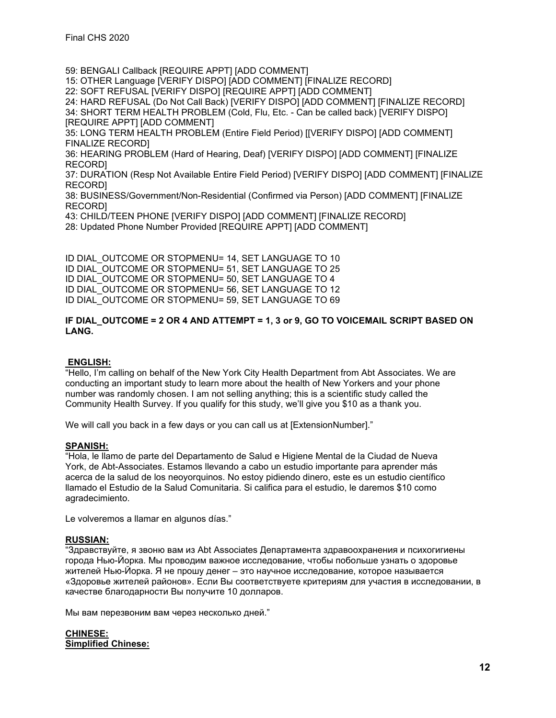59: BENGALI Callback [REQUIRE APPT] [ADD COMMENT] 15: OTHER Language [VERIFY DISPO] [ADD COMMENT] [FINALIZE RECORD] 22: SOFT REFUSAL [VERIFY DISPO] [REQUIRE APPT] [ADD COMMENT] 24: HARD REFUSAL (Do Not Call Back) [VERIFY DISPO] [ADD COMMENT] [FINALIZE RECORD] 34: SHORT TERM HEALTH PROBLEM (Cold, Flu, Etc. - Can be called back) [VERIFY DISPO] [REQUIRE APPT] [ADD COMMENT] 35: LONG TERM HEALTH PROBLEM (Entire Field Period) [[VERIFY DISPO] [ADD COMMENT] FINALIZE RECORD] 36: HEARING PROBLEM (Hard of Hearing, Deaf) [VERIFY DISPO] [ADD COMMENT] [FINALIZE RECORD] 37: DURATION (Resp Not Available Entire Field Period) [VERIFY DISPO] [ADD COMMENT] [FINALIZE RECORD] 38: BUSINESS/Government/Non-Residential (Confirmed via Person) [ADD COMMENT] [FINALIZE RECORD] 43: CHILD/TEEN PHONE [VERIFY DISPO] [ADD COMMENT] [FINALIZE RECORD] 28: Updated Phone Number Provided [REQUIRE APPT] [ADD COMMENT]

ID DIAL\_OUTCOME OR STOPMENU= 14, SET LANGUAGE TO 10 ID DIAL\_OUTCOME OR STOPMENU= 51, SET LANGUAGE TO 25 ID DIAL\_OUTCOME OR STOPMENU= 50, SET LANGUAGE TO 4 ID DIAL OUTCOME OR STOPMENU= 56, SET LANGUAGE TO 12 ID DIAL\_OUTCOME OR STOPMENU= 59, SET LANGUAGE TO 69

# **IF DIAL\_OUTCOME = 2 OR 4 AND ATTEMPT = 1, 3 or 9, GO TO VOICEMAIL SCRIPT BASED ON LANG.**

# **ENGLISH:**

"Hello, I'm calling on behalf of the New York City Health Department from Abt Associates. We are conducting an important study to learn more about the health of New Yorkers and your phone number was randomly chosen. I am not selling anything; this is a scientific study called the Community Health Survey. If you qualify for this study, we'll give you \$10 as a thank you.

We will call you back in a few days or you can call us at [ExtensionNumber]."

# **SPANISH:**

"Hola, le llamo de parte del Departamento de Salud e Higiene Mental de la Ciudad de Nueva York, de Abt-Associates. Estamos llevando a cabo un estudio importante para aprender más acerca de la salud de los neoyorquinos. No estoy pidiendo dinero, este es un estudio científico llamado el Estudio de la Salud Comunitaria. Si califica para el estudio, le daremos \$10 como agradecimiento.

Le volveremos a llamar en algunos días."

# **RUSSIAN:**

"Здравствуйте, я звоню вам из Abt Associates Департамента здравоохранения и психогигиены города Нью-Йорка. Мы проводим важное исследование, чтобы побольше узнать о здоровье жителей Нью-Йорка. Я не прошу денег – это научное исследование, которое называется «Здоровье жителей районов». Если Вы соответствуете критериям для участия в исследовании, в качестве благодарности Вы получите 10 долларов.

Мы вам перезвоним вам через несколько дней."

**CHINESE: Simplified Chinese:**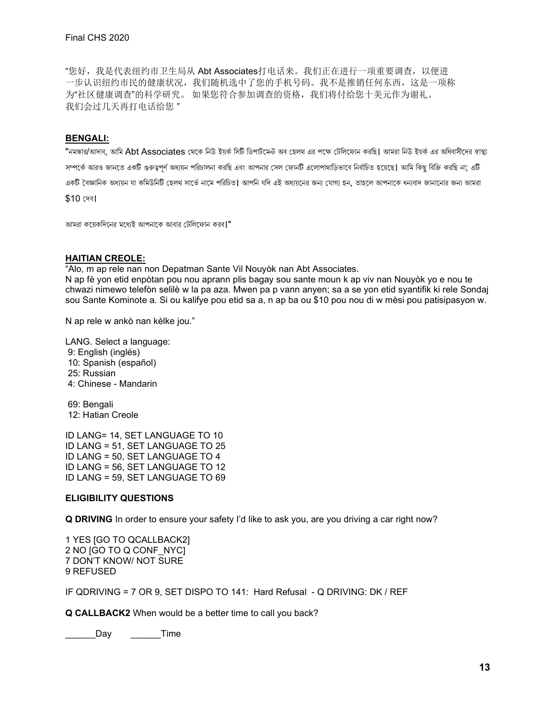"您好,我是代表纽约市卫生局从 Abt Associates打电话来。我们正在进行一项重要调查,以便进 一步认识纽约市民的健康状况,我们随机选中了您的手机号码。我不是推销任何东西,这是一项称 为"社区健康调查"的科学研究。 如果您符合参加调查的资格,我们将付给您十美元作为谢礼。 我们会过几天再打电话给您 "

# **BENGALI:**

"নমস্কার/আদাব, আমি Abt Associates থেকে নিউ ইয়র্ক সিটি ডিপার্টমেন্ট অব হেলথ এর পক্ষে টেলিফোন করছি। আমরা নিউ ইয়র্ক এর অধিবাসীদের স্বাস্থ্য সম্পর্কে আরও জানতে একটি গুরুত্বপূর্ণ অধ্যয়ন পরিচালনা করছি এবং আপনার সেল ফোনটি এলোপাথাড়িভাবে নির্বাচিত হয়েছে। আমি কিছু বিক্রি করছি না; এটি একটি বৈজ্ঞানিক অধ্যয়ন যা কমিউনিটি হেলথ সার্ভে নামে পরিচিত। আপনি যদি এই অধ্যয়নের জন্য যোগ্য হন, তাহলে আপনাকে ধন্যবাদ জানানাের জন্য আমরা

\$10 েদব।

আমরা কেয়কিদেনর মেধয্ই আপনােক আবার েটিলেফান করব।"

#### **HAITIAN CREOLE:**

"Alo, m ap rele nan non Depatman Sante Vil Nouyòk nan Abt Associates.

N ap fè yon etid enpòtan pou nou aprann plis bagay sou sante moun k ap viv nan Nouyòk yo e nou te chwazi nimewo telefòn selilè w la pa aza. Mwen pa p vann anyen; sa a se yon etid syantifik ki rele Sondaj sou Sante Kominote a. Si ou kalifye pou etid sa a, n ap ba ou \$10 pou nou di w mèsi pou patisipasyon w.

N ap rele w ankò nan kèlke jou."

LANG. Select a language: 9: English (inglés) 10: Spanish (español) 25: Russian 4: Chinese - Mandarin

69: Bengali 12: Hatian Creole

ID LANG= 14, SET LANGUAGE TO 10 ID LANG = 51, SET LANGUAGE TO 25 ID LANG = 50, SET LANGUAGE TO 4 ID LANG = 56, SET LANGUAGE TO 12 ID LANG = 59, SET LANGUAGE TO 69

# **ELIGIBILITY QUESTIONS**

**Q DRIVING** In order to ensure your safety I'd like to ask you, are you driving a car right now?

1 YES [GO TO QCALLBACK2] 2 NO [GO TO Q CONF\_NYC] 7 DON'T KNOW/ NOT SURE 9 REFUSED

IF QDRIVING = 7 OR 9, SET DISPO TO 141: Hard Refusal - Q DRIVING: DK / REF

**Q CALLBACK2** When would be a better time to call you back?

Day Time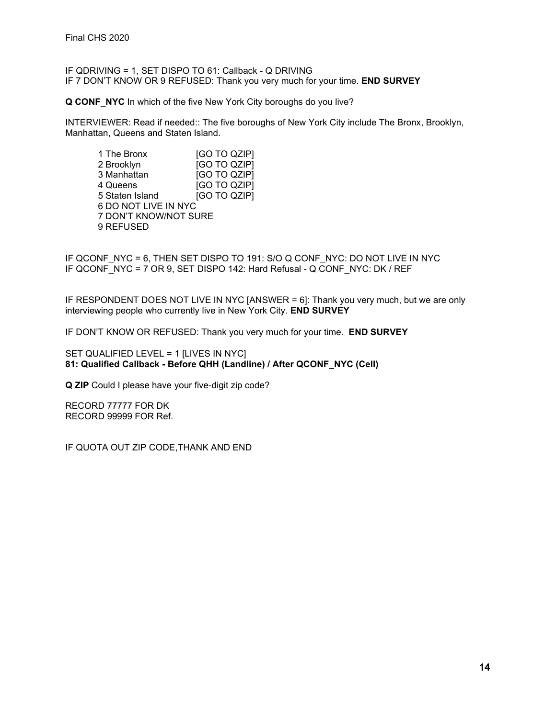IF QDRIVING = 1, SET DISPO TO 61: Callback - Q DRIVING IF 7 DON'T KNOW OR 9 REFUSED: Thank you very much for your time. **END SURVEY**

**Q CONF\_NYC** In which of the five New York City boroughs do you live?

INTERVIEWER: Read if needed:: The five boroughs of New York City include The Bronx, Brooklyn, Manhattan, Queens and Staten Island.

1 The Bronx [GO TO QZIP]<br>2 Brooklyn [GO TO QZIP] 2 Brooklyn [GO TO QZIP] [GO TO QZIP] 4 Queens [GO TO QZIP]<br>5 Staten Island [GO TO QZIP] [GO TO QZIP] 6 DO NOT LIVE IN NYC 7 DON'T KNOW/NOT SURE 9 REFUSED

IF QCONF\_NYC = 6, THEN SET DISPO TO 191: S/O Q CONF\_NYC: DO NOT LIVE IN NYC IF QCONF\_NYC = 7 OR 9, SET DISPO 142: Hard Refusal - Q CONF\_NYC: DK / REF

IF RESPONDENT DOES NOT LIVE IN NYC [ANSWER = 6]: Thank you very much, but we are only interviewing people who currently live in New York City. **END SURVEY**

IF DON'T KNOW OR REFUSED: Thank you very much for your time. **END SURVEY**

SET QUALIFIED LEVEL = 1 [LIVES IN NYC] **81: Qualified Callback - Before QHH (Landline) / After QCONF\_NYC (Cell)**

**Q ZIP** Could I please have your five-digit zip code?

RECORD 77777 FOR DK RECORD 99999 FOR Ref.

IF QUOTA OUT ZIP CODE,THANK AND END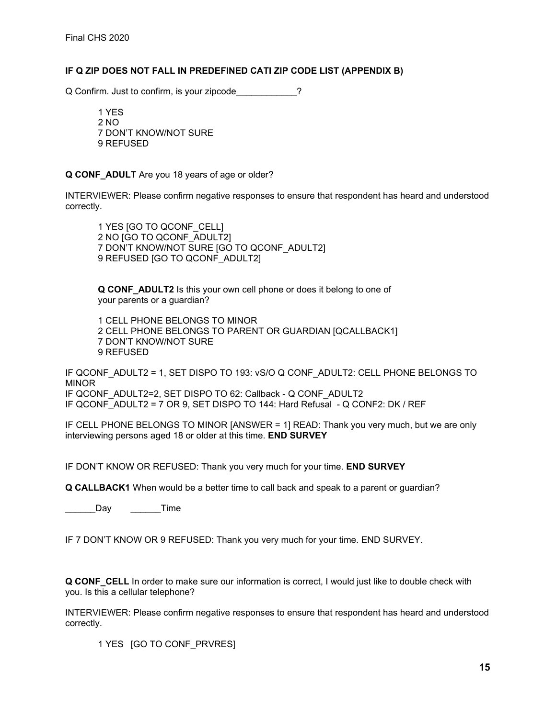# **IF Q ZIP DOES NOT FALL IN PREDEFINED CATI ZIP CODE LIST (APPENDIX B)**

Q Confirm. Just to confirm, is your zipcode  $\overline{\phantom{a}}$ ?

1 YES 2 NO 7 DON'T KNOW/NOT SURE 9 REFUSED

**Q CONF\_ADULT** Are you 18 years of age or older?

INTERVIEWER: Please confirm negative responses to ensure that respondent has heard and understood correctly.

1 YES [GO TO QCONF\_CELL] 2 NO [GO TO QCONF\_ADULT2] 7 DON'T KNOW/NOT SURE [GO TO QCONF\_ADULT2] 9 REFUSED [GO TO QCONF\_ADULT2]

**Q CONF\_ADULT2** Is this your own cell phone or does it belong to one of your parents or a guardian?

1 CELL PHONE BELONGS TO MINOR 2 CELL PHONE BELONGS TO PARENT OR GUARDIAN [QCALLBACK1] 7 DON'T KNOW/NOT SURE 9 REFUSED

IF QCONF\_ADULT2 = 1, SET DISPO TO 193: vS/O Q CONF\_ADULT2: CELL PHONE BELONGS TO MINOR IF QCONF\_ADULT2=2, SET DISPO TO 62: Callback - Q CONF\_ADULT2 IF QCONF\_ADULT2 = 7 OR 9, SET DISPO TO 144: Hard Refusal - Q CONF2: DK / REF

IF CELL PHONE BELONGS TO MINOR [ANSWER = 1] READ: Thank you very much, but we are only interviewing persons aged 18 or older at this time. **END SURVEY**

IF DON'T KNOW OR REFUSED: Thank you very much for your time. **END SURVEY**

**Q CALLBACK1** When would be a better time to call back and speak to a parent or guardian?

Day Time

IF 7 DON'T KNOW OR 9 REFUSED: Thank you very much for your time. END SURVEY.

**Q CONF\_CELL** In order to make sure our information is correct, I would just like to double check with you. Is this a cellular telephone?

INTERVIEWER: Please confirm negative responses to ensure that respondent has heard and understood correctly.

1 YES [GO TO CONF\_PRVRES]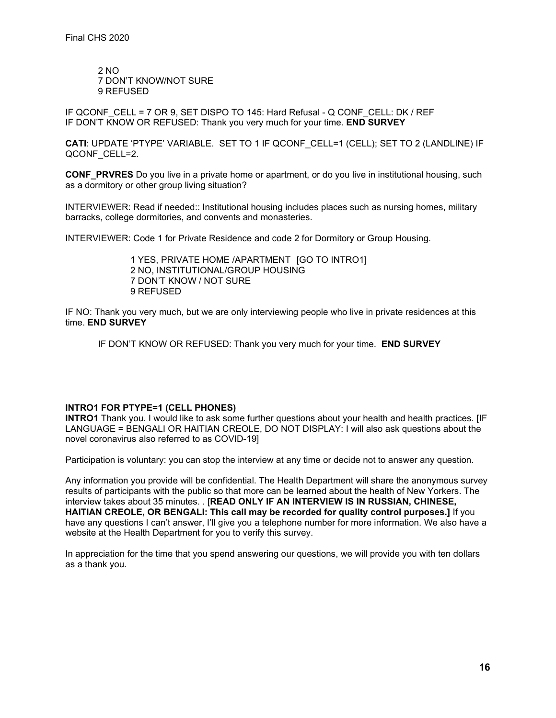2 NO 7 DON'T KNOW/NOT SURE 9 REFUSED

IF QCONF\_CELL = 7 OR 9, SET DISPO TO 145: Hard Refusal - Q CONF\_CELL: DK / REF IF DON'T KNOW OR REFUSED: Thank you very much for your time. **END SURVEY**

**CATI**: UPDATE 'PTYPE' VARIABLE. SET TO 1 IF QCONF\_CELL=1 (CELL); SET TO 2 (LANDLINE) IF QCONF\_CELL=2.

**CONF\_PRVRES** Do you live in a private home or apartment, or do you live in institutional housing, such as a dormitory or other group living situation?

INTERVIEWER: Read if needed:: Institutional housing includes places such as nursing homes, military barracks, college dormitories, and convents and monasteries.

INTERVIEWER: Code 1 for Private Residence and code 2 for Dormitory or Group Housing.

1 YES, PRIVATE HOME /APARTMENT [GO TO INTRO1] 2 NO, INSTITUTIONAL/GROUP HOUSING 7 DON'T KNOW / NOT SURE 9 REFUSED

IF NO: Thank you very much, but we are only interviewing people who live in private residences at this time. **END SURVEY**

IF DON'T KNOW OR REFUSED: Thank you very much for your time. **END SURVEY**

#### **INTRO1 FOR PTYPE=1 (CELL PHONES)**

**INTRO1** Thank you. I would like to ask some further questions about your health and health practices. [IF LANGUAGE = BENGALI OR HAITIAN CREOLE, DO NOT DISPLAY: I will also ask questions about the novel coronavirus also referred to as COVID-19]

Participation is voluntary: you can stop the interview at any time or decide not to answer any question.

Any information you provide will be confidential. The Health Department will share the anonymous survey results of participants with the public so that more can be learned about the health of New Yorkers. The interview takes about 35 minutes. . [**READ ONLY IF AN INTERVIEW IS IN RUSSIAN, CHINESE, HAITIAN CREOLE, OR BENGALI: This call may be recorded for quality control purposes.]** If you have any questions I can't answer, I'll give you a telephone number for more information. We also have a website at the Health Department for you to verify this survey.

In appreciation for the time that you spend answering our questions, we will provide you with ten dollars as a thank you.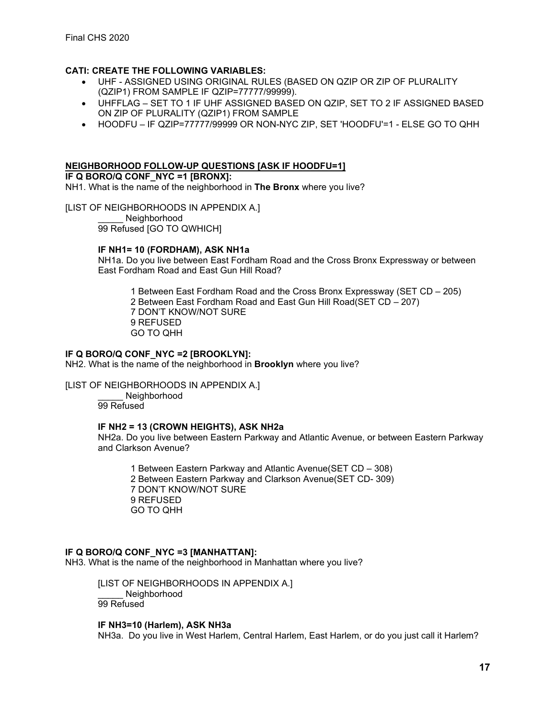# **CATI: CREATE THE FOLLOWING VARIABLES:**

- UHF ASSIGNED USING ORIGINAL RULES (BASED ON QZIP OR ZIP OF PLURALITY (QZIP1) FROM SAMPLE IF QZIP=77777/99999).
- UHFFLAG SET TO 1 IF UHF ASSIGNED BASED ON QZIP, SET TO 2 IF ASSIGNED BASED ON ZIP OF PLURALITY (QZIP1) FROM SAMPLE
- HOODFU IF QZIP=77777/99999 OR NON-NYC ZIP, SET 'HOODFU'=1 ELSE GO TO QHH

# **NEIGHBORHOOD FOLLOW-UP QUESTIONS [ASK IF HOODFU=1]**

**IF Q BORO/Q CONF\_NYC =1 [BRONX]:**

NH1. What is the name of the neighborhood in **The Bronx** where you live?

[LIST OF NEIGHBORHOODS IN APPENDIX A.]

Neighborhood

99 Refused [GO TO QWHICH]

# **IF NH1= 10 (FORDHAM), ASK NH1a**

NH1a. Do you live between East Fordham Road and the Cross Bronx Expressway or between East Fordham Road and East Gun Hill Road?

1 Between East Fordham Road and the Cross Bronx Expressway (SET CD – 205) 2 Between East Fordham Road and East Gun Hill Road(SET CD – 207) 7 DON'T KNOW/NOT SURE 9 REFUSED GO TO QHH

# **IF Q BORO/Q CONF\_NYC =2 [BROOKLYN]:**

NH2. What is the name of the neighborhood in **Brooklyn** where you live?

[LIST OF NEIGHBORHOODS IN APPENDIX A.]

Neighborhood 99 Refused

#### **IF NH2 = 13 (CROWN HEIGHTS), ASK NH2a**

NH2a. Do you live between Eastern Parkway and Atlantic Avenue, or between Eastern Parkway and Clarkson Avenue?

1 Between Eastern Parkway and Atlantic Avenue(SET CD – 308) 2 Between Eastern Parkway and Clarkson Avenue(SET CD- 309) 7 DON'T KNOW/NOT SURE 9 REFUSED GO TO QHH

#### **IF Q BORO/Q CONF\_NYC =3 [MANHATTAN]:**

NH3. What is the name of the neighborhood in Manhattan where you live?

[LIST OF NEIGHBORHOODS IN APPENDIX A.] Neighborhood 99 Refused

**IF NH3=10 (Harlem), ASK NH3a**

NH3a. Do you live in West Harlem, Central Harlem, East Harlem, or do you just call it Harlem?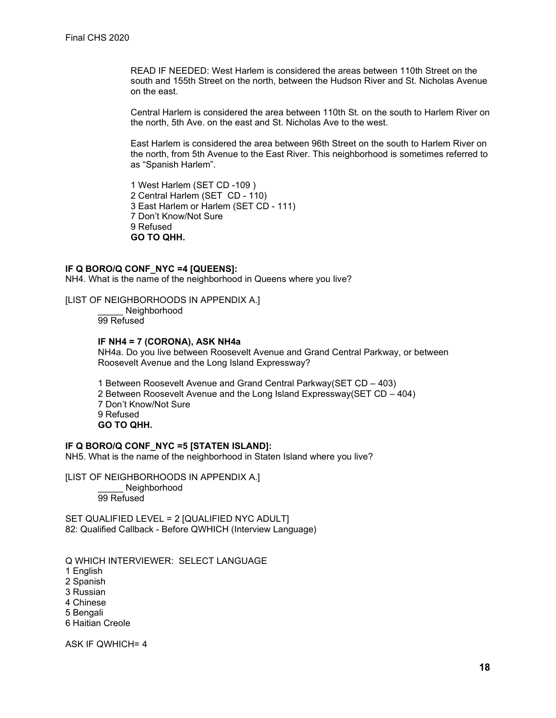READ IF NEEDED: West Harlem is considered the areas between 110th Street on the south and 155th Street on the north, between the Hudson River and St. Nicholas Avenue on the east.

Central Harlem is considered the area between 110th St. on the south to Harlem River on the north, 5th Ave. on the east and St. Nicholas Ave to the west.

East Harlem is considered the area between 96th Street on the south to Harlem River on the north, from 5th Avenue to the East River. This neighborhood is sometimes referred to as "Spanish Harlem".

1 West Harlem (SET CD -109 ) 2 Central Harlem (SET CD - 110) 3 East Harlem or Harlem (SET CD - 111) 7 Don't Know/Not Sure 9 Refused **GO TO QHH.** 

# **IF Q BORO/Q CONF\_NYC =4 [QUEENS]:**

NH4. What is the name of the neighborhood in Queens where you live?

[LIST OF NEIGHBORHOODS IN APPENDIX A.]

Neighborhood 99 Refused

#### **IF NH4 = 7 (CORONA), ASK NH4a**

NH4a. Do you live between Roosevelt Avenue and Grand Central Parkway, or between Roosevelt Avenue and the Long Island Expressway?

1 Between Roosevelt Avenue and Grand Central Parkway(SET CD – 403) 2 Between Roosevelt Avenue and the Long Island Expressway(SET CD – 404) 7 Don't Know/Not Sure 9 Refused **GO TO QHH.** 

#### **IF Q BORO/Q CONF\_NYC =5 [STATEN ISLAND]:**

NH5. What is the name of the neighborhood in Staten Island where you live?

[LIST OF NEIGHBORHOODS IN APPENDIX A.] Neighborhood 99 Refused

SET QUALIFIED LEVEL = 2 [QUALIFIED NYC ADULT] 82: Qualified Callback - Before QWHICH (Interview Language)

Q WHICH INTERVIEWER: SELECT LANGUAGE

1 English

2 Spanish

3 Russian

4 Chinese

5 Bengali

6 Haitian Creole

ASK IF QWHICH= 4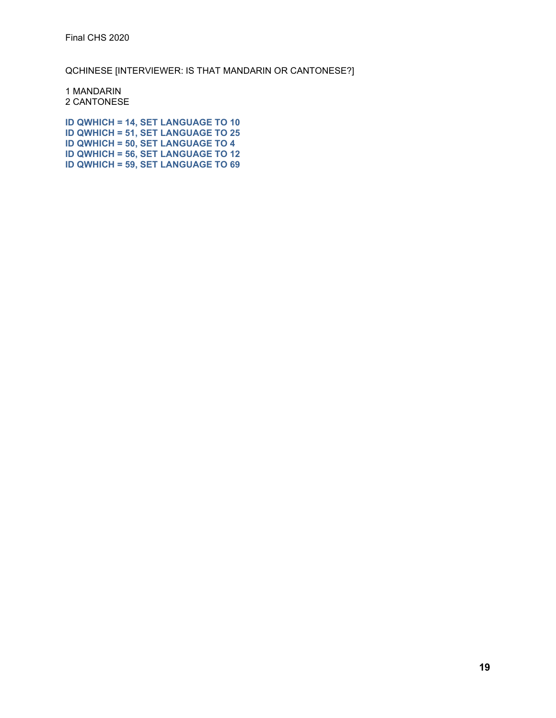QCHINESE [INTERVIEWER: IS THAT MANDARIN OR CANTONESE?]

1 MANDARIN 2 CANTONESE

**ID QWHICH = 14, SET LANGUAGE TO 10 ID QWHICH = 51, SET LANGUAGE TO 25 ID QWHICH = 50, SET LANGUAGE TO 4 ID QWHICH = 56, SET LANGUAGE TO 12 ID QWHICH = 59, SET LANGUAGE TO 69**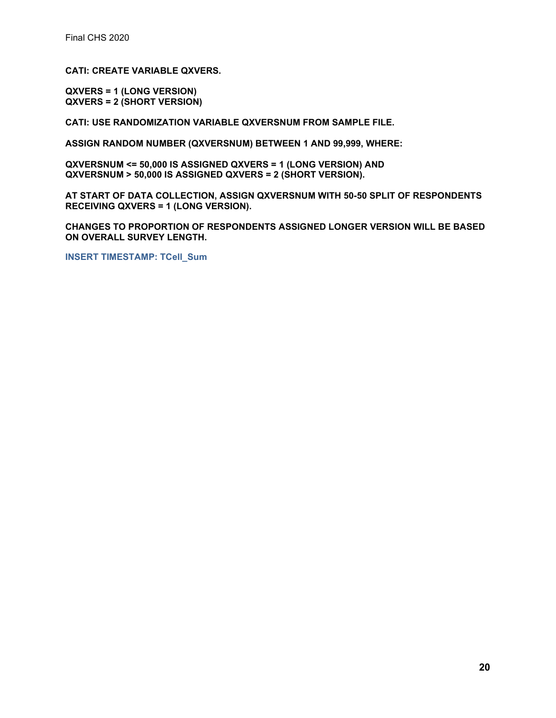**CATI: CREATE VARIABLE QXVERS.** 

**QXVERS = 1 (LONG VERSION) QXVERS = 2 (SHORT VERSION)**

**CATI: USE RANDOMIZATION VARIABLE QXVERSNUM FROM SAMPLE FILE.**

**ASSIGN RANDOM NUMBER (QXVERSNUM) BETWEEN 1 AND 99,999, WHERE:**

**QXVERSNUM <= 50,000 IS ASSIGNED QXVERS = 1 (LONG VERSION) AND QXVERSNUM > 50,000 IS ASSIGNED QXVERS = 2 (SHORT VERSION).**

**AT START OF DATA COLLECTION, ASSIGN QXVERSNUM WITH 50-50 SPLIT OF RESPONDENTS RECEIVING QXVERS = 1 (LONG VERSION).**

**CHANGES TO PROPORTION OF RESPONDENTS ASSIGNED LONGER VERSION WILL BE BASED ON OVERALL SURVEY LENGTH.**

**INSERT TIMESTAMP: TCell\_Sum**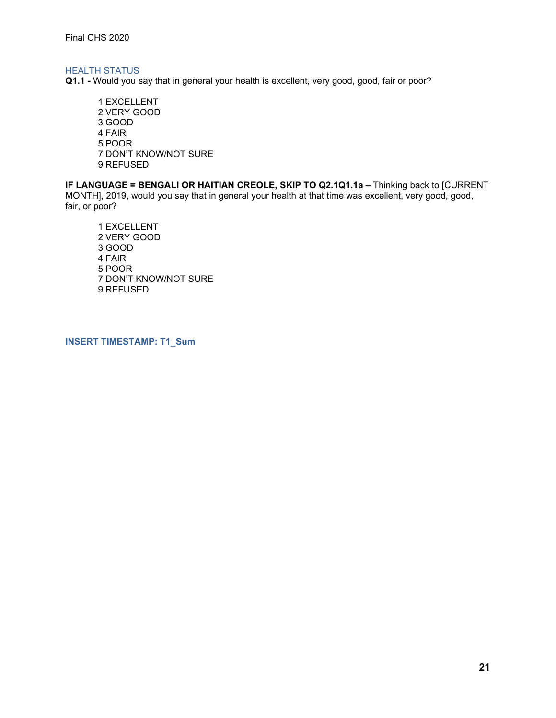# <span id="page-20-0"></span>HEALTH STATUS

**Q1.1 -** Would you say that in general your health is excellent, very good, good, fair or poor?

1 EXCELLENT 2 VERY GOOD 3 GOOD 4 FAIR 5 POOR 7 DON'T KNOW/NOT SURE 9 REFUSED

**IF LANGUAGE = BENGALI OR HAITIAN CREOLE, SKIP TO Q2.1Q1.1a –** Thinking back to [CURRENT MONTH], 2019, would you say that in general your health at that time was excellent, very good, good, fair, or poor?

1 EXCELLENT 2 VERY GOOD 3 GOOD 4 FAIR 5 POOR 7 DON'T KNOW/NOT SURE 9 REFUSED

**INSERT TIMESTAMP: T1\_Sum**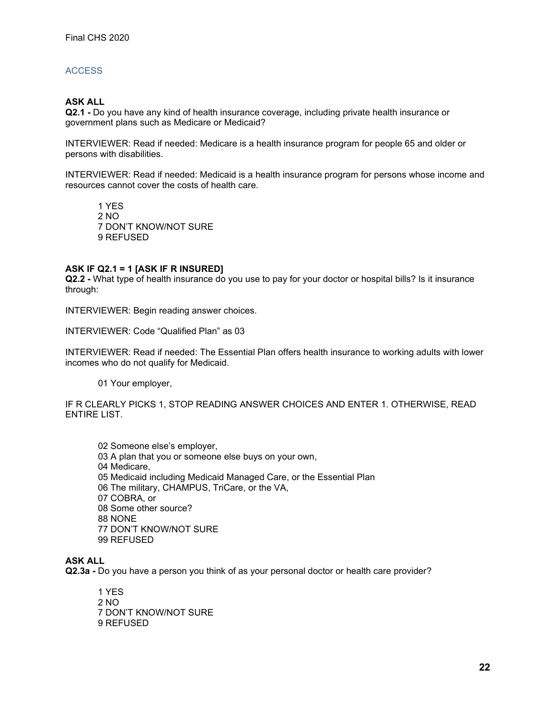# <span id="page-21-0"></span>ACCESS

# **ASK ALL**

**Q2.1 -** Do you have any kind of health insurance coverage, including private health insurance or government plans such as Medicare or Medicaid?

INTERVIEWER: Read if needed: Medicare is a health insurance program for people 65 and older or persons with disabilities.

INTERVIEWER: Read if needed: Medicaid is a health insurance program for persons whose income and resources cannot cover the costs of health care.

1 YES 2 NO 7 DON'T KNOW/NOT SURE 9 REFUSED

#### **ASK IF Q2.1 = 1 [ASK IF R INSURED]**

**Q2.2 -** What type of health insurance do you use to pay for your doctor or hospital bills? Is it insurance through:

INTERVIEWER: Begin reading answer choices.

INTERVIEWER: Code "Qualified Plan" as 03

INTERVIEWER: Read if needed: The Essential Plan offers health insurance to working adults with lower incomes who do not qualify for Medicaid.

01 Your employer,

IF R CLEARLY PICKS 1, STOP READING ANSWER CHOICES AND ENTER 1. OTHERWISE, READ ENTIRE LIST.

02 Someone else's employer, 03 A plan that you or someone else buys on your own, 04 Medicare, 05 Medicaid including Medicaid Managed Care, or the Essential Plan 06 The military, CHAMPUS, TriCare, or the VA, 07 COBRA, or 08 Some other source? 88 NONE 77 DON'T KNOW/NOT SURE 99 REFUSED

**ASK ALL Q2.3a -** Do you have a person you think of as your personal doctor or health care provider?

1 YES 2 NO 7 DON'T KNOW/NOT SURE 9 REFUSED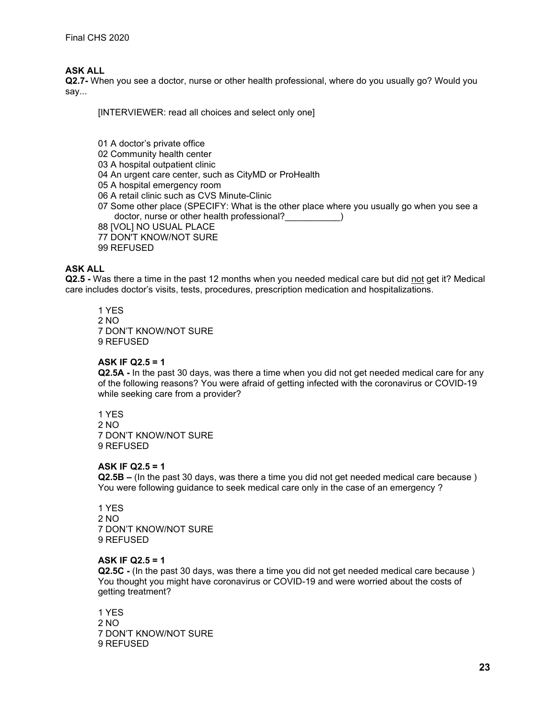# **ASK ALL**

**Q2.7-** When you see a doctor, nurse or other health professional, where do you usually go? Would you say...

[INTERVIEWER: read all choices and select only one]

01 A doctor's private office

- 02 Community health center
- 03 A hospital outpatient clinic
- 04 An urgent care center, such as CityMD or ProHealth
- 05 A hospital emergency room
- 06 A retail clinic such as CVS Minute-Clinic
- 07 Some other place (SPECIFY: What is the other place where you usually go when you see a doctor, nurse or other health professional?\_\_\_\_\_\_\_\_\_\_\_)

88 [VOL] NO USUAL PLACE 77 DON'T KNOW/NOT SURE

99 REFUSED

# **ASK ALL**

**Q2.5 -** Was there a time in the past 12 months when you needed medical care but did not get it? Medical care includes doctor's visits, tests, procedures, prescription medication and hospitalizations.

1 YES 2 NO 7 DON'T KNOW/NOT SURE 9 REFUSED

#### **ASK IF Q2.5 = 1**

**Q2.5A -** In the past 30 days, was there a time when you did not get needed medical care for any of the following reasons? You were afraid of getting infected with the coronavirus or COVID-19 while seeking care from a provider?

1 YES 2 NO 7 DON'T KNOW/NOT SURE 9 REFUSED

#### **ASK IF Q2.5 = 1**

**Q2.5B –** (In the past 30 days, was there a time you did not get needed medical care because ) You were following guidance to seek medical care only in the case of an emergency ?

1 YES 2 NO 7 DON'T KNOW/NOT SURE 9 REFUSED

#### **ASK IF Q2.5 = 1**

**Q2.5C -** (In the past 30 days, was there a time you did not get needed medical care because ) You thought you might have coronavirus or COVID-19 and were worried about the costs of getting treatment?

1 YES 2 NO 7 DON'T KNOW/NOT SURE 9 REFUSED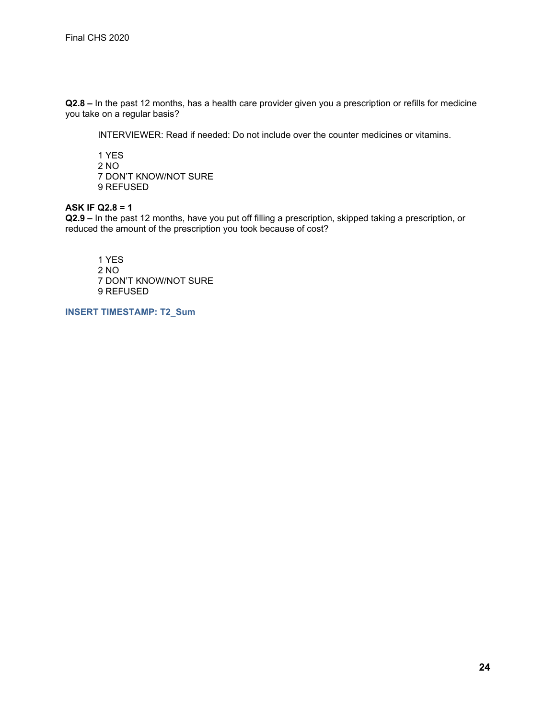**Q2.8 –** In the past 12 months, has a health care provider given you a prescription or refills for medicine you take on a regular basis?

INTERVIEWER: Read if needed: Do not include over the counter medicines or vitamins.

1 YES 2 NO 7 DON'T KNOW/NOT SURE 9 REFUSED

# **ASK IF Q2.8 = 1**

**Q2.9 –** In the past 12 months, have you put off filling a prescription, skipped taking a prescription, or reduced the amount of the prescription you took because of cost?

1 YES 2 NO 7 DON'T KNOW/NOT SURE 9 REFUSED

**INSERT TIMESTAMP: T2\_Sum**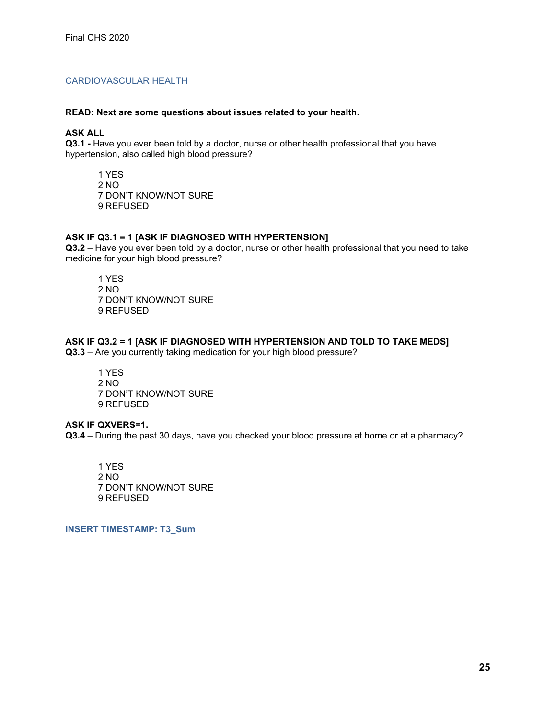# <span id="page-24-0"></span>CARDIOVASCULAR HEALTH

#### **READ: Next are some questions about issues related to your health.**

#### **ASK ALL**

**Q3.1 -** Have you ever been told by a doctor, nurse or other health professional that you have hypertension, also called high blood pressure?

1 YES 2 NO 7 DON'T KNOW/NOT SURE 9 REFUSED

#### **ASK IF Q3.1 = 1 [ASK IF DIAGNOSED WITH HYPERTENSION]**

**Q3.2** – Have you ever been told by a doctor, nurse or other health professional that you need to take medicine for your high blood pressure?

1 YES 2 NO 7 DON'T KNOW/NOT SURE 9 REFUSED

# **ASK IF Q3.2 = 1 [ASK IF DIAGNOSED WITH HYPERTENSION AND TOLD TO TAKE MEDS]**

**Q3.3** – Are you currently taking medication for your high blood pressure?

1 YES 2 NO 7 DON'T KNOW/NOT SURE 9 REFUSED

#### **ASK IF QXVERS=1.**

**Q3.4** – During the past 30 days, have you checked your blood pressure at home or at a pharmacy?

1 YES 2 NO 7 DON'T KNOW/NOT SURE 9 REFUSED

**INSERT TIMESTAMP: T3\_Sum**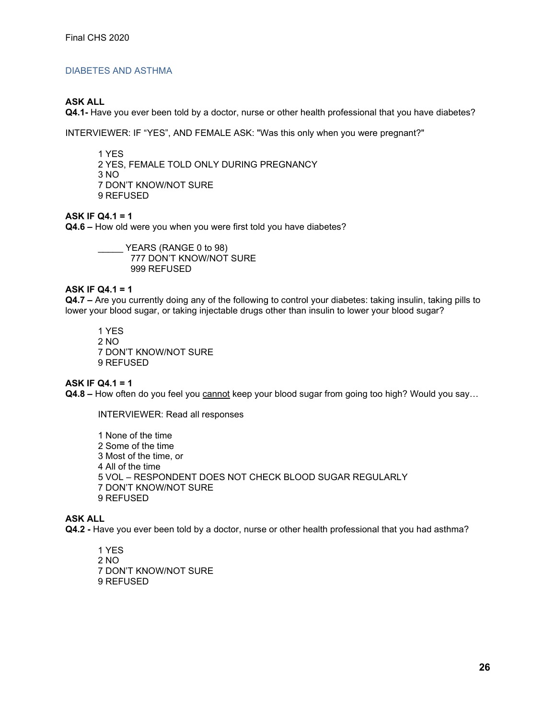# <span id="page-25-0"></span>DIABETES AND ASTHMA

# **ASK ALL**

**Q4.1-** Have you ever been told by a doctor, nurse or other health professional that you have diabetes?

INTERVIEWER: IF "YES", AND FEMALE ASK: "Was this only when you were pregnant?"

1 YES 2 YES, FEMALE TOLD ONLY DURING PREGNANCY 3 NO 7 DON'T KNOW/NOT SURE 9 REFUSED

# **ASK IF Q4.1 = 1**

**Q4.6 –** How old were you when you were first told you have diabetes?

 $\_$  YEARS (RANGE 0 to 98) 777 DON'T KNOW/NOT SURE 999 REFUSED

#### **ASK IF Q4.1 = 1**

**Q4.7 –** Are you currently doing any of the following to control your diabetes: taking insulin, taking pills to lower your blood sugar, or taking injectable drugs other than insulin to lower your blood sugar?

1 YES 2 NO 7 DON'T KNOW/NOT SURE 9 REFUSED

# **ASK IF Q4.1 = 1**

**Q4.8** – How often do you feel you cannot keep your blood sugar from going too high? Would you say...

INTERVIEWER: Read all responses

1 None of the time 2 Some of the time 3 Most of the time, or 4 All of the time 5 VOL – RESPONDENT DOES NOT CHECK BLOOD SUGAR REGULARLY 7 DON'T KNOW/NOT SURE 9 REFUSED

# **ASK ALL**

**Q4.2 -** Have you ever been told by a doctor, nurse or other health professional that you had asthma?

1 YES 2 NO 7 DON'T KNOW/NOT SURE 9 REFUSED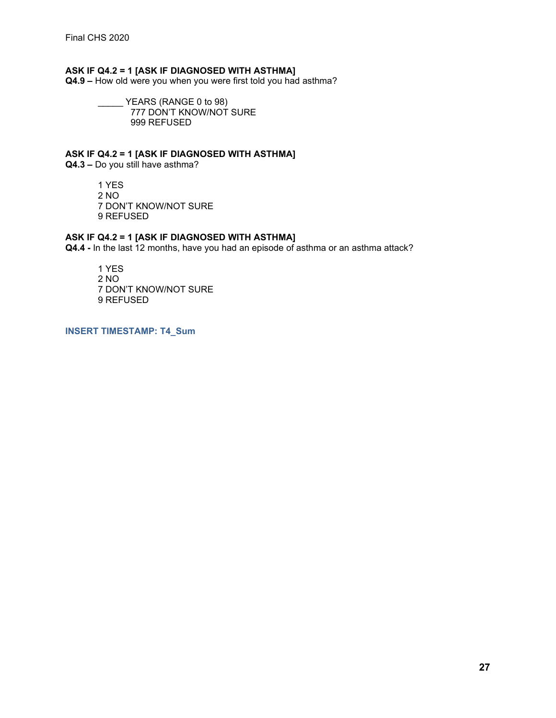# **ASK IF Q4.2 = 1 [ASK IF DIAGNOSED WITH ASTHMA]**

**Q4.9 –** How old were you when you were first told you had asthma?

\_\_\_\_\_ YEARS (RANGE 0 to 98) 777 DON'T KNOW/NOT SURE 999 REFUSED

# **ASK IF Q4.2 = 1 [ASK IF DIAGNOSED WITH ASTHMA]**

**Q4.3 –** Do you still have asthma?

1 YES 2 NO 7 DON'T KNOW/NOT SURE 9 REFUSED

#### **ASK IF Q4.2 = 1 [ASK IF DIAGNOSED WITH ASTHMA]**

**Q4.4 -** In the last 12 months, have you had an episode of asthma or an asthma attack?

1 YES 2 NO 7 DON'T KNOW/NOT SURE 9 REFUSED

**INSERT TIMESTAMP: T4\_Sum**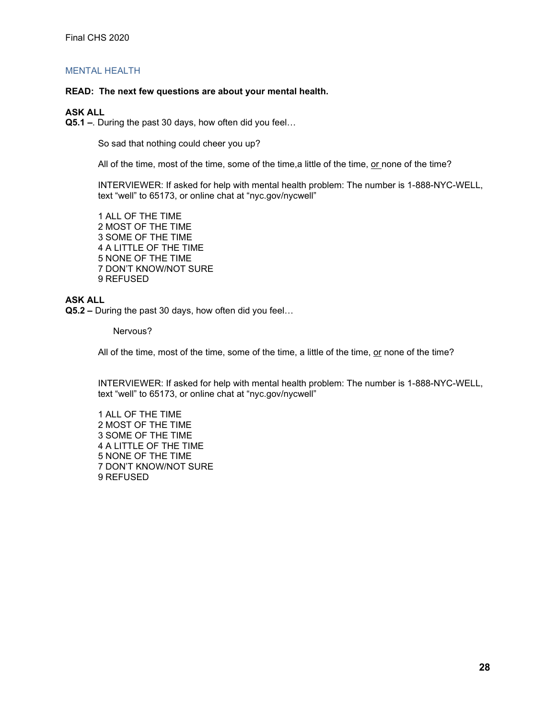# <span id="page-27-0"></span>MENTAL HEALTH

# **READ: The next few questions are about your mental health.**

# **ASK ALL**

**Q5.1 –**. During the past 30 days, how often did you feel…

So sad that nothing could cheer you up?

All of the time, most of the time, some of the time, a little of the time, or none of the time?

INTERVIEWER: If asked for help with mental health problem: The number is 1-888-NYC-WELL, text "well" to 65173, or online chat at "nyc.gov/nycwell"

1 ALL OF THE TIME 2 MOST OF THE TIME 3 SOME OF THE TIME 4 A LITTLE OF THE TIME 5 NONE OF THE TIME 7 DON'T KNOW/NOT SURE 9 REFUSED

# **ASK ALL**

**Q5.2 –** During the past 30 days, how often did you feel…

#### Nervous?

All of the time, most of the time, some of the time, a little of the time, or none of the time?

INTERVIEWER: If asked for help with mental health problem: The number is 1-888-NYC-WELL, text "well" to 65173, or online chat at "nyc.gov/nycwell"

1 ALL OF THE TIME 2 MOST OF THE TIME 3 SOME OF THE TIME 4 A LITTLE OF THE TIME 5 NONE OF THE TIME 7 DON'T KNOW/NOT SURE 9 REFUSED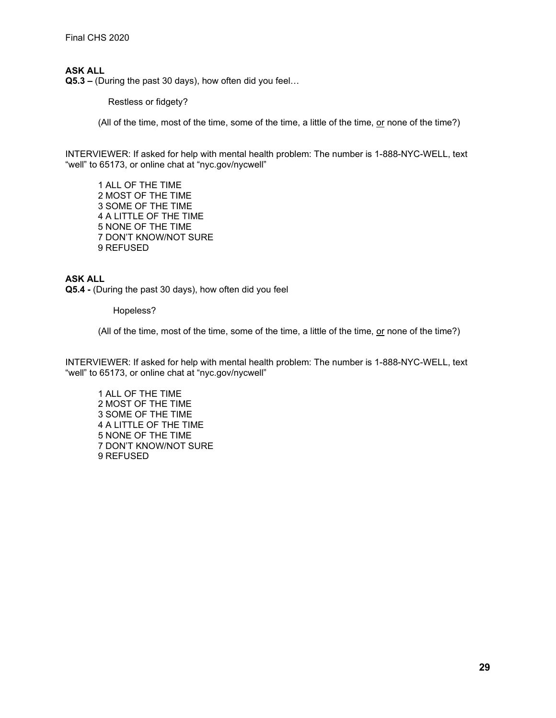# **ASK ALL**

**Q5.3 –** (During the past 30 days), how often did you feel…

Restless or fidgety?

(All of the time, most of the time, some of the time, a little of the time, or none of the time?)

INTERVIEWER: If asked for help with mental health problem: The number is 1-888-NYC-WELL, text "well" to 65173, or online chat at "nyc.gov/nycwell"

1 ALL OF THE TIME 2 MOST OF THE TIME 3 SOME OF THE TIME 4 A LITTLE OF THE TIME 5 NONE OF THE TIME 7 DON'T KNOW/NOT SURE 9 REFUSED

# **ASK ALL**

**Q5.4 -** (During the past 30 days), how often did you feel

Hopeless?

(All of the time, most of the time, some of the time, a little of the time, or none of the time?)

INTERVIEWER: If asked for help with mental health problem: The number is 1-888-NYC-WELL, text "well" to 65173, or online chat at "nyc.gov/nycwell"

1 ALL OF THE TIME 2 MOST OF THE TIME 3 SOME OF THE TIME 4 A LITTLE OF THE TIME 5 NONE OF THE TIME 7 DON'T KNOW/NOT SURE 9 REFUSED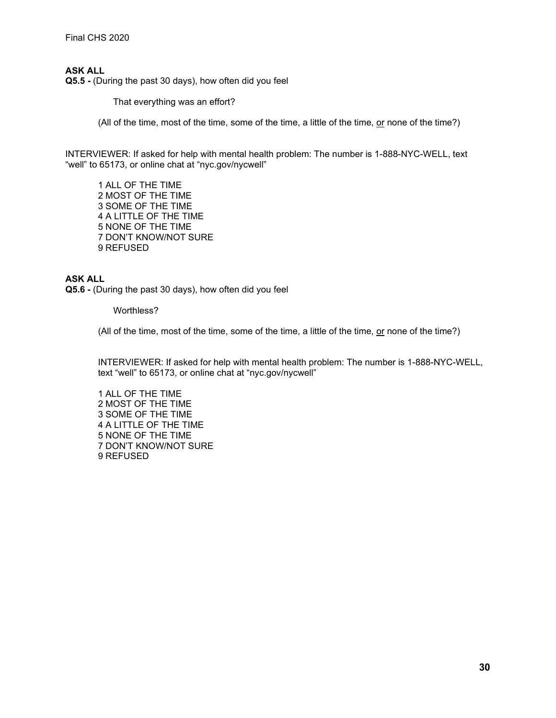# **ASK ALL**

**Q5.5 -** (During the past 30 days), how often did you feel

That everything was an effort?

(All of the time, most of the time, some of the time, a little of the time, or none of the time?)

INTERVIEWER: If asked for help with mental health problem: The number is 1-888-NYC-WELL, text "well" to 65173, or online chat at "nyc.gov/nycwell"

1 ALL OF THE TIME 2 MOST OF THE TIME 3 SOME OF THE TIME 4 A LITTLE OF THE TIME 5 NONE OF THE TIME 7 DON'T KNOW/NOT SURE 9 REFUSED

# **ASK ALL**

**Q5.6 -** (During the past 30 days), how often did you feel

Worthless?

(All of the time, most of the time, some of the time, a little of the time, or none of the time?)

INTERVIEWER: If asked for help with mental health problem: The number is 1-888-NYC-WELL, text "well" to 65173, or online chat at "nyc.gov/nycwell"

1 ALL OF THE TIME 2 MOST OF THE TIME 3 SOME OF THE TIME 4 A LITTLE OF THE TIME 5 NONE OF THE TIME 7 DON'T KNOW/NOT SURE 9 REFUSED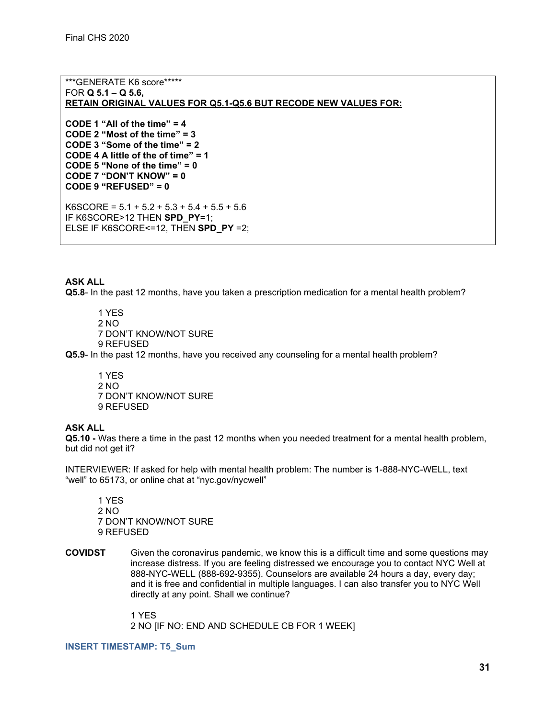\*\*\*GENERATE K6 score\*\*\*\*\* FOR **Q 5.1 – Q 5.6, RETAIN ORIGINAL VALUES FOR Q5.1-Q5.6 BUT RECODE NEW VALUES FOR:**

**CODE 1 "All of the time" = 4 CODE 2 "Most of the time" = 3 CODE 3 "Some of the time" = 2 CODE 4 A little of the of time" = 1 CODE 5 "None of the time" = 0 CODE 7 "DON'T KNOW" = 0 CODE 9 "REFUSED" = 0** 

K6SCORE =  $5.1 + 5.2 + 5.3 + 5.4 + 5.5 + 5.6$ IF K6SCORE>12 THEN **SPD\_PY**=1; ELSE IF K6SCORE<=12, THEN **SPD\_PY** =2;

# **ASK ALL**

**Q5.8**- In the past 12 months, have you taken a prescription medication for a mental health problem?

1 YES 2 NO 7 DON'T KNOW/NOT SURE 9 REFUSED

**Q5.9**- In the past 12 months, have you received any counseling for a mental health problem?

1 YES 2 NO 7 DON'T KNOW/NOT SURE 9 REFUSED

#### **ASK ALL**

**Q5.10 -** Was there a time in the past 12 months when you needed treatment for a mental health problem, but did not get it?

INTERVIEWER: If asked for help with mental health problem: The number is 1-888-NYC-WELL, text "well" to 65173, or online chat at "nyc.gov/nycwell"

1 YES 2 NO 7 DON'T KNOW/NOT SURE 9 REFUSED

**COVIDST** Given the coronavirus pandemic, we know this is a difficult time and some questions may increase distress. If you are feeling distressed we encourage you to contact NYC Well at 888-NYC-WELL (888-692-9355). Counselors are available 24 hours a day, every day; and it is free and confidential in multiple languages. I can also transfer you to NYC Well directly at any point. Shall we continue?

> 1 YES 2 NO [IF NO: END AND SCHEDULE CB FOR 1 WEEK]

#### **INSERT TIMESTAMP: T5\_Sum**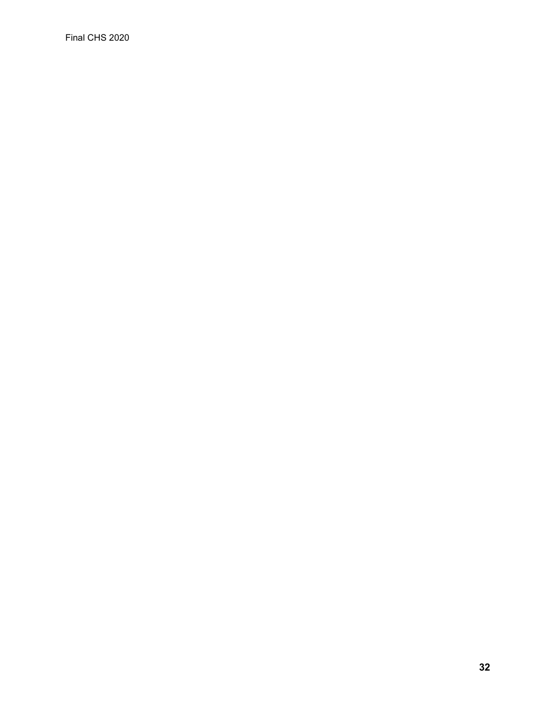Final CHS 2020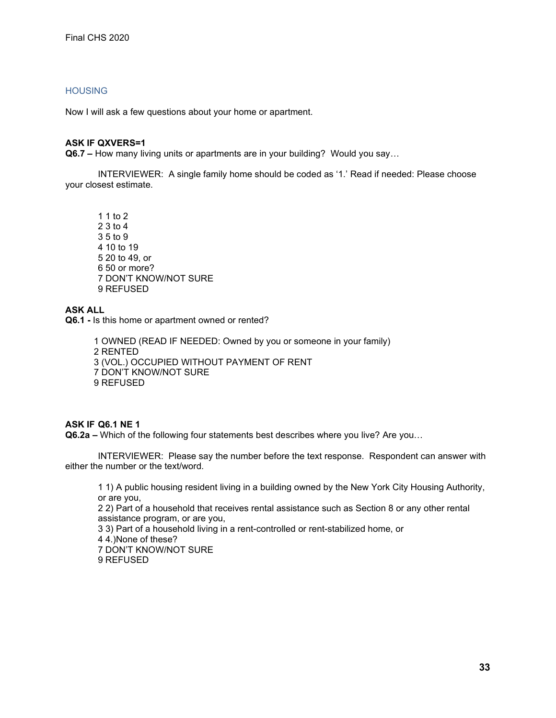# <span id="page-32-0"></span>**HOUSING**

Now I will ask a few questions about your home or apartment.

#### **ASK IF QXVERS=1**

**Q6.7 –** How many living units or apartments are in your building? Would you say…

INTERVIEWER: A single family home should be coded as '1.' Read if needed: Please choose your closest estimate.

1 1 to 2 2 3 to 4 3 5 to 9 4 10 to 19 5 20 to 49, or 6 50 or more? 7 DON'T KNOW/NOT SURE 9 REFUSED

#### **ASK ALL**

**Q6.1 -** Is this home or apartment owned or rented?

1 OWNED (READ IF NEEDED: Owned by you or someone in your family) 2 RENTED 3 (VOL.) OCCUPIED WITHOUT PAYMENT OF RENT 7 DON'T KNOW/NOT SURE 9 REFUSED

# **ASK IF Q6.1 NE 1**

**Q6.2a –** Which of the following four statements best describes where you live? Are you…

INTERVIEWER: Please say the number before the text response. Respondent can answer with either the number or the text/word.

1 1) A public housing resident living in a building owned by the New York City Housing Authority, or are you,

2 2) Part of a household that receives rental assistance such as Section 8 or any other rental assistance program, or are you,

3 3) Part of a household living in a rent-controlled or rent-stabilized home, or 4 4.)None of these?

7 DON'T KNOW/NOT SURE 9 REFUSED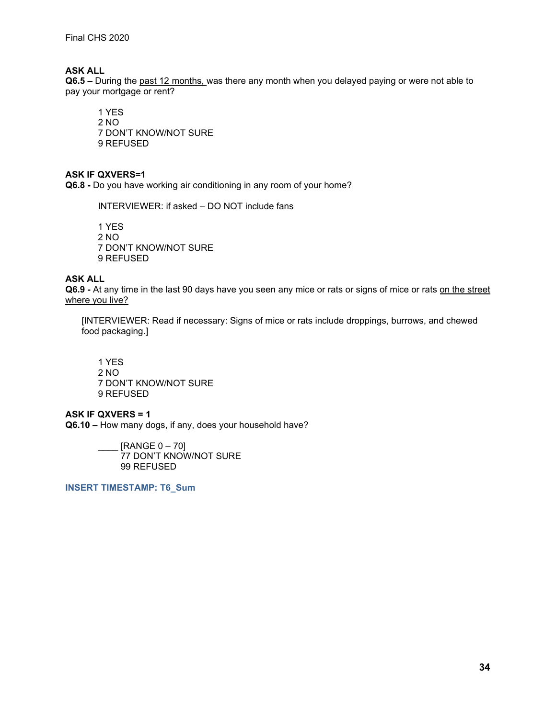# **ASK ALL**

**Q6.5 –** During the past 12 months, was there any month when you delayed paying or were not able to pay your mortgage or rent?

1 YES 2 NO 7 DON'T KNOW/NOT SURE 9 REFUSED

#### **ASK IF QXVERS=1**

**Q6.8 -** Do you have working air conditioning in any room of your home?

INTERVIEWER: if asked – DO NOT include fans

1 YES 2 NO 7 DON'T KNOW/NOT SURE 9 REFUSED

# **ASK ALL**

**Q6.9 -** At any time in the last 90 days have you seen any mice or rats or signs of mice or rats on the street where you live?

[INTERVIEWER: Read if necessary: Signs of mice or rats include droppings, burrows, and chewed food packaging.]

1 YES 2 NO 7 DON'T KNOW/NOT SURE 9 REFUSED

**ASK IF QXVERS = 1 Q6.10 –** How many dogs, if any, does your household have?

> $_{\_}$  [RANGE 0 – 70] 77 DON'T KNOW/NOT SURE 99 REFUSED

**INSERT TIMESTAMP: T6\_Sum**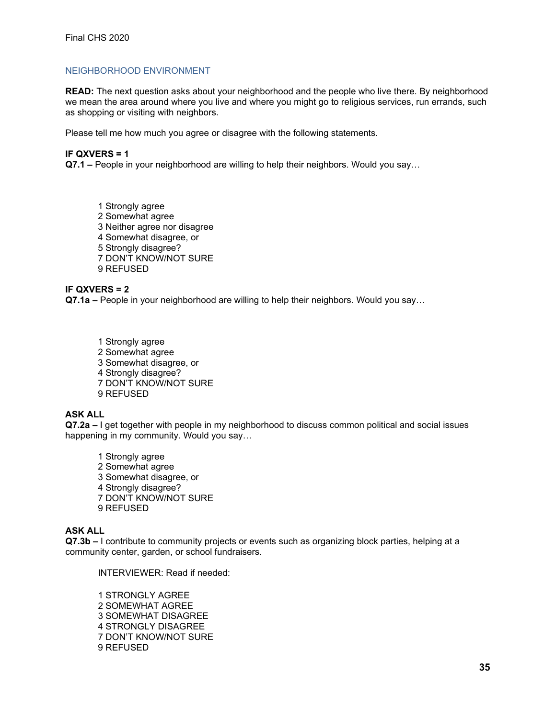# <span id="page-34-0"></span>NEIGHBORHOOD ENVIRONMENT

**READ:** The next question asks about your neighborhood and the people who live there. By neighborhood we mean the area around where you live and where you might go to religious services, run errands, such as shopping or visiting with neighbors.

Please tell me how much you agree or disagree with the following statements.

#### **IF QXVERS = 1**

**Q7.1 –** People in your neighborhood are willing to help their neighbors. Would you say…

1 Strongly agree 2 Somewhat agree 3 Neither agree nor disagree 4 Somewhat disagree, or 5 Strongly disagree? 7 DON'T KNOW/NOT SURE 9 REFUSED

**IF QXVERS = 2** 

**Q7.1a –** People in your neighborhood are willing to help their neighbors. Would you say…

1 Strongly agree 2 Somewhat agree 3 Somewhat disagree, or 4 Strongly disagree? 7 DON'T KNOW/NOT SURE 9 REFUSED

# **ASK ALL**

**Q7.2a –** I get together with people in my neighborhood to discuss common political and social issues happening in my community. Would you say…

1 Strongly agree 2 Somewhat agree 3 Somewhat disagree, or 4 Strongly disagree? 7 DON'T KNOW/NOT SURE 9 REFUSED

# **ASK ALL**

**Q7.3b –** I contribute to community projects or events such as organizing block parties, helping at a community center, garden, or school fundraisers.

INTERVIEWER: Read if needed:

1 STRONGLY AGREE 2 SOMEWHAT AGREE 3 SOMEWHAT DISAGREE 4 STRONGLY DISAGREE 7 DON'T KNOW/NOT SURE 9 REFUSED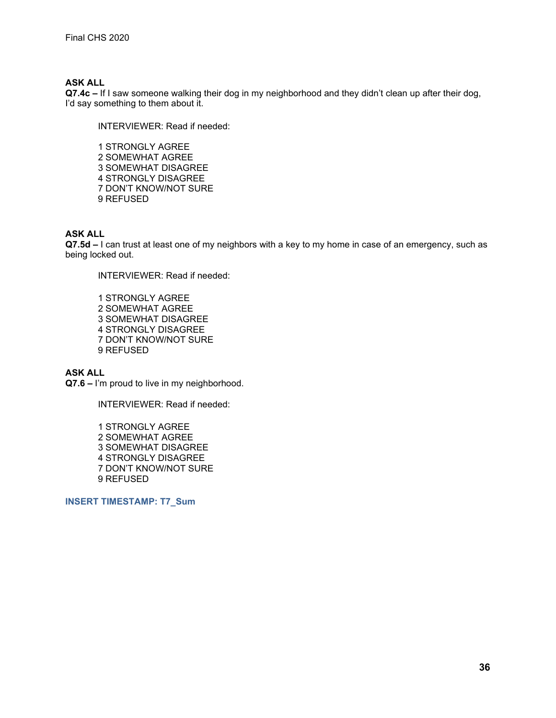# **ASK ALL**

**Q7.4c –** If I saw someone walking their dog in my neighborhood and they didn't clean up after their dog, I'd say something to them about it.

INTERVIEWER: Read if needed:

1 STRONGLY AGREE 2 SOMEWHAT AGREE 3 SOMEWHAT DISAGREE 4 STRONGLY DISAGREE 7 DON'T KNOW/NOT SURE 9 REFUSED

# **ASK ALL**

**Q7.5d –** I can trust at least one of my neighbors with a key to my home in case of an emergency, such as being locked out.

INTERVIEWER: Read if needed:

1 STRONGLY AGREE 2 SOMEWHAT AGREE 3 SOMEWHAT DISAGREE 4 STRONGLY DISAGREE 7 DON'T KNOW/NOT SURE 9 REFUSED

#### **ASK ALL**

**Q7.6 –** I'm proud to live in my neighborhood.

INTERVIEWER: Read if needed:

1 STRONGLY AGREE 2 SOMEWHAT AGREE 3 SOMEWHAT DISAGREE 4 STRONGLY DISAGREE 7 DON'T KNOW/NOT SURE 9 REFUSED

**INSERT TIMESTAMP: T7\_Sum**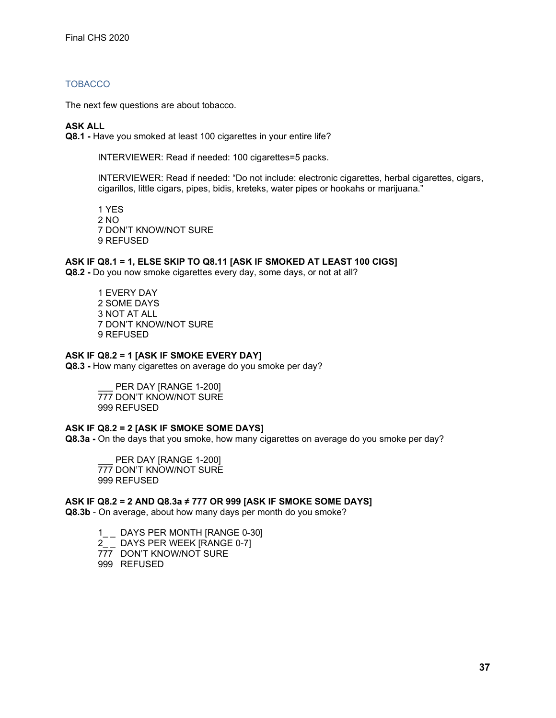### TOBACCO

The next few questions are about tobacco.

# **ASK ALL**

**Q8.1 -** Have you smoked at least 100 cigarettes in your entire life?

INTERVIEWER: Read if needed: 100 cigarettes=5 packs.

INTERVIEWER: Read if needed: "Do not include: electronic cigarettes, herbal cigarettes, cigars, cigarillos, little cigars, pipes, bidis, kreteks, water pipes or hookahs or marijuana."

1 YES 2 NO 7 DON'T KNOW/NOT SURE 9 REFUSED

# **ASK IF Q8.1 = 1, ELSE SKIP TO Q8.11 [ASK IF SMOKED AT LEAST 100 CIGS]**

**Q8.2 -** Do you now smoke cigarettes every day, some days, or not at all?

1 EVERY DAY 2 SOME DAYS 3 NOT AT ALL 7 DON'T KNOW/NOT SURE 9 REFUSED

#### **ASK IF Q8.2 = 1 [ASK IF SMOKE EVERY DAY]**

**Q8.3 -** How many cigarettes on average do you smoke per day?

PER DAY [RANGE 1-200] 777 DON'T KNOW/NOT SURE 999 REFUSED

#### **ASK IF Q8.2 = 2 [ASK IF SMOKE SOME DAYS]**

**Q8.3a -** On the days that you smoke, how many cigarettes on average do you smoke per day?

PER DAY [RANGE 1-200] 777 DON'T KNOW/NOT SURE 999 REFUSED

### **ASK IF Q8.2 = 2 AND Q8.3a ≠ 777 OR 999 [ASK IF SMOKE SOME DAYS]**

**Q8.3b** - On average, about how many days per month do you smoke?

1\_\_ DAYS PER MONTH [RANGE 0-30]

2 DAYS PER WEEK [RANGE 0-7]

777 DON'T KNOW/NOT SURE

999 REFUSED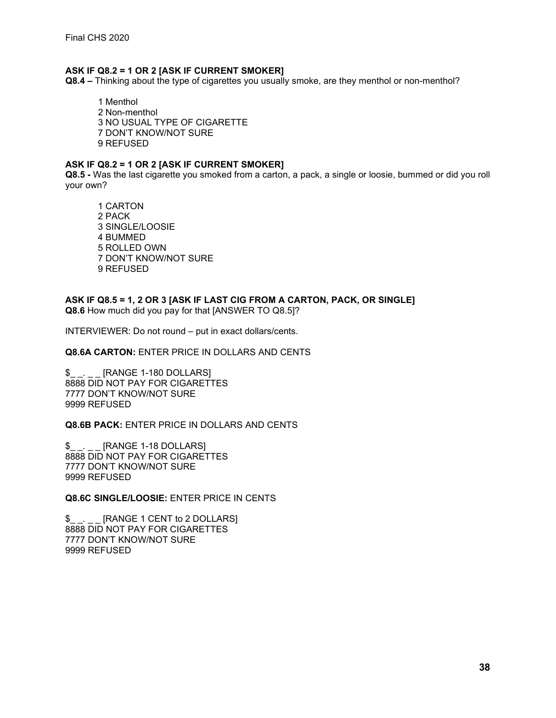### **ASK IF Q8.2 = 1 OR 2 [ASK IF CURRENT SMOKER]**

**Q8.4 –** Thinking about the type of cigarettes you usually smoke, are they menthol or non-menthol?

1 Menthol 2 Non-menthol 3 NO USUAL TYPE OF CIGARETTE 7 DON'T KNOW/NOT SURE 9 REFUSED

#### **ASK IF Q8.2 = 1 OR 2 [ASK IF CURRENT SMOKER]**

**Q8.5 -** Was the last cigarette you smoked from a carton, a pack, a single or loosie, bummed or did you roll your own?

1 CARTON 2 PACK 3 SINGLE/LOOSIE 4 BUMMED 5 ROLLED OWN 7 DON'T KNOW/NOT SURE 9 REFUSED

# **ASK IF Q8.5 = 1, 2 OR 3 [ASK IF LAST CIG FROM A CARTON, PACK, OR SINGLE]**

**Q8.6** How much did you pay for that [ANSWER TO Q8.5]?

INTERVIEWER: Do not round – put in exact dollars/cents.

**Q8.6A CARTON:** ENTER PRICE IN DOLLARS AND CENTS

\$\_ \_. \_ \_ [RANGE 1-180 DOLLARS] 8888 DID NOT PAY FOR CIGARETTES 7777 DON'T KNOW/NOT SURE 9999 REFUSED

**Q8.6B PACK:** ENTER PRICE IN DOLLARS AND CENTS

 $\quad$  . [RANGE 1-18 DOLLARS] 8888 DID NOT PAY FOR CIGARETTES 7777 DON'T KNOW/NOT SURE 9999 REFUSED

**Q8.6C SINGLE/LOOSIE:** ENTER PRICE IN CENTS

\$ . [RANGE 1 CENT to 2 DOLLARS] 8888 DID NOT PAY FOR CIGARETTES 7777 DON'T KNOW/NOT SURE 9999 REFUSED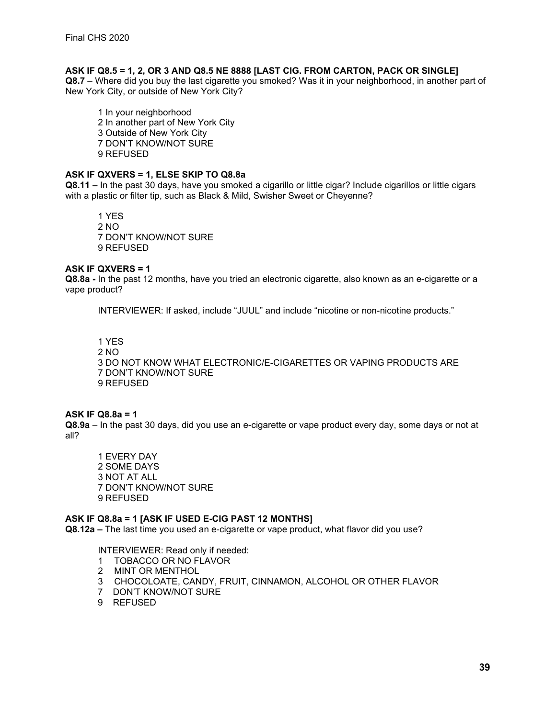### **ASK IF Q8.5 = 1, 2, OR 3 AND Q8.5 NE 8888 [LAST CIG. FROM CARTON, PACK OR SINGLE]**

**Q8.7** – Where did you buy the last cigarette you smoked? Was it in your neighborhood, in another part of New York City, or outside of New York City?

1 In your neighborhood 2 In another part of New York City 3 Outside of New York City 7 DON'T KNOW/NOT SURE 9 REFUSED

#### **ASK IF QXVERS = 1, ELSE SKIP TO Q8.8a**

**Q8.11 –** In the past 30 days, have you smoked a cigarillo or little cigar? Include cigarillos or little cigars with a plastic or filter tip, such as Black & Mild, Swisher Sweet or Cheyenne?

1 YES 2 NO 7 DON'T KNOW/NOT SURE 9 REFUSED

#### **ASK IF QXVERS = 1**

**Q8.8a -** In the past 12 months, have you tried an electronic cigarette, also known as an e-cigarette or a vape product?

INTERVIEWER: If asked, include "JUUL" and include "nicotine or non-nicotine products."

1 YES

2 NO 3 DO NOT KNOW WHAT ELECTRONIC/E-CIGARETTES OR VAPING PRODUCTS ARE 7 DON'T KNOW/NOT SURE 9 REFUSED

#### **ASK IF Q8.8a = 1**

**Q8.9a** – In the past 30 days, did you use an e-cigarette or vape product every day, some days or not at all?

1 EVERY DAY 2 SOME DAYS 3 NOT AT ALL 7 DON'T KNOW/NOT SURE 9 REFUSED

**ASK IF Q8.8a = 1 [ASK IF USED E-CIG PAST 12 MONTHS]**

**Q8.12a –** The last time you used an e-cigarette or vape product, what flavor did you use?

INTERVIEWER: Read only if needed:

- 1 TOBACCO OR NO FLAVOR
- 2 MINT OR MENTHOL
- 3 CHOCOLOATE, CANDY, FRUIT, CINNAMON, ALCOHOL OR OTHER FLAVOR
- 7 DON'T KNOW/NOT SURE
- 9 REFUSED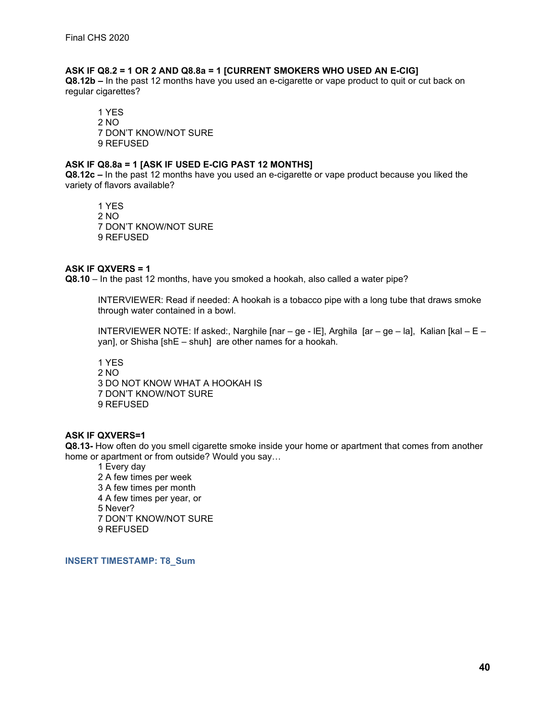### **ASK IF Q8.2 = 1 OR 2 AND Q8.8a = 1 [CURRENT SMOKERS WHO USED AN E-CIG]**

**Q8.12b –** In the past 12 months have you used an e-cigarette or vape product to quit or cut back on regular cigarettes?

1 YES 2 NO 7 DON'T KNOW/NOT SURE 9 REFUSED

### **ASK IF Q8.8a = 1 [ASK IF USED E-CIG PAST 12 MONTHS]**

**Q8.12c –** In the past 12 months have you used an e-cigarette or vape product because you liked the variety of flavors available?

1 YES 2 NO 7 DON'T KNOW/NOT SURE 9 REFUSED

### **ASK IF QXVERS = 1**

**Q8.10** – In the past 12 months, have you smoked a hookah, also called a water pipe?

INTERVIEWER: Read if needed: A hookah is a tobacco pipe with a long tube that draws smoke through water contained in a bowl.

INTERVIEWER NOTE: If asked:, Narghile [nar – ge - IE], Arghila [ar – ge – la], Kalian [kal – E – yan], or Shisha [shE – shuh] are other names for a hookah.

1 YES 2 NO 3 DO NOT KNOW WHAT A HOOKAH IS 7 DON'T KNOW/NOT SURE 9 REFUSED

### **ASK IF QXVERS=1**

**Q8.13-** How often do you smell cigarette smoke inside your home or apartment that comes from another home or apartment or from outside? Would you say…

1 Every day 2 A few times per week 3 A few times per month 4 A few times per year, or 5 Never? 7 DON'T KNOW/NOT SURE 9 REFUSED

**INSERT TIMESTAMP: T8\_Sum**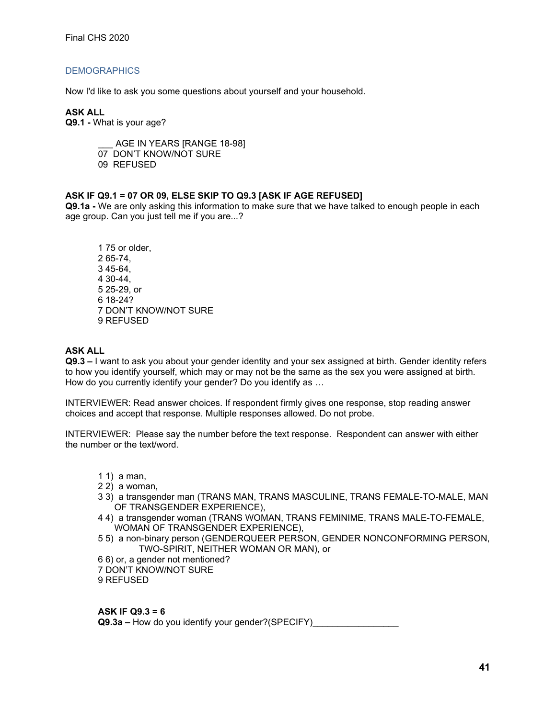# **DEMOGRAPHICS**

Now I'd like to ask you some questions about yourself and your household.

# **ASK ALL**

**Q9.1 -** What is your age?

AGE IN YEARS [RANGE 18-98]

- 07 DON'T KNOW/NOT SURE
- 09 REFUSED

# **ASK IF Q9.1 = 07 OR 09, ELSE SKIP TO Q9.3 [ASK IF AGE REFUSED]**

**Q9.1a -** We are only asking this information to make sure that we have talked to enough people in each age group. Can you just tell me if you are...?

1 75 or older, 2 65-74, 3 45-64, 4 30-44, 5 25-29, or 6 18-24? 7 DON'T KNOW/NOT SURE 9 REFUSED

# **ASK ALL**

**Q9.3 –** I want to ask you about your gender identity and your sex assigned at birth. Gender identity refers to how you identify yourself, which may or may not be the same as the sex you were assigned at birth. How do you currently identify your gender? Do you identify as …

INTERVIEWER: Read answer choices. If respondent firmly gives one response, stop reading answer choices and accept that response. Multiple responses allowed. Do not probe.

INTERVIEWER: Please say the number before the text response. Respondent can answer with either the number or the text/word.

- 1 1) a man,
- 2 2) a woman,
- 3 3) a transgender man (TRANS MAN, TRANS MASCULINE, TRANS FEMALE-TO-MALE, MAN OF TRANSGENDER EXPERIENCE),
- 4 4) a transgender woman (TRANS WOMAN, TRANS FEMINIME, TRANS MALE-TO-FEMALE, WOMAN OF TRANSGENDER EXPERIENCE),
- 5 5) a non-binary person (GENDERQUEER PERSON, GENDER NONCONFORMING PERSON, TWO-SPIRIT, NEITHER WOMAN OR MAN), or
- 6 6) or, a gender not mentioned?
- 7 DON'T KNOW/NOT SURE

9 REFUSED

# **ASK IF Q9.3 = 6**

**Q9.3a –** How do you identify your gender?(SPECIFY)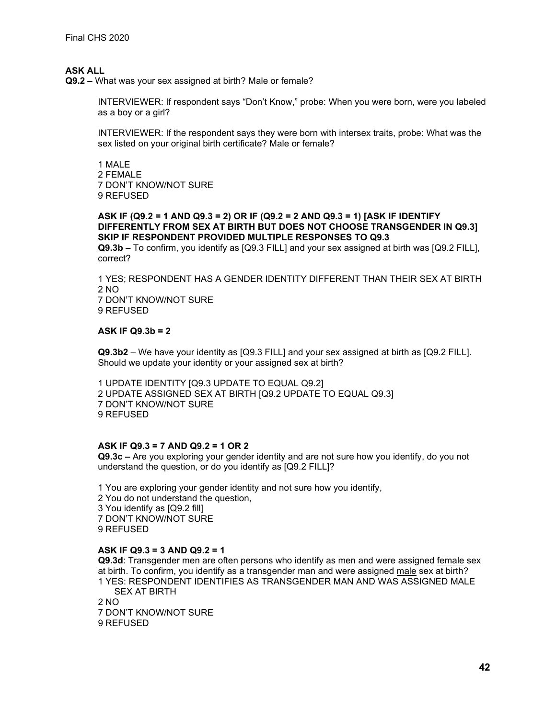# **ASK ALL**

**Q9.2 –** What was your sex assigned at birth? Male or female?

INTERVIEWER: If respondent says "Don't Know," probe: When you were born, were you labeled as a boy or a girl?

INTERVIEWER: If the respondent says they were born with intersex traits, probe: What was the sex listed on your original birth certificate? Male or female?

1 MALE 2 FEMALE 7 DON'T KNOW/NOT SURE 9 REFUSED

**ASK IF (Q9.2 = 1 AND Q9.3 = 2) OR IF (Q9.2 = 2 AND Q9.3 = 1) [ASK IF IDENTIFY DIFFERENTLY FROM SEX AT BIRTH BUT DOES NOT CHOOSE TRANSGENDER IN Q9.3] SKIP IF RESPONDENT PROVIDED MULTIPLE RESPONSES TO Q9.3**

**Q9.3b –** To confirm, you identify as [Q9.3 FILL] and your sex assigned at birth was [Q9.2 FILL], correct?

1 YES; RESPONDENT HAS A GENDER IDENTITY DIFFERENT THAN THEIR SEX AT BIRTH 2 NO 7 DON'T KNOW/NOT SURE 9 REFUSED

#### **ASK IF Q9.3b = 2**

**Q9.3b2** – We have your identity as [Q9.3 FILL] and your sex assigned at birth as [Q9.2 FILL]. Should we update your identity or your assigned sex at birth?

1 UPDATE IDENTITY [Q9.3 UPDATE TO EQUAL Q9.2] 2 UPDATE ASSIGNED SEX AT BIRTH [Q9.2 UPDATE TO EQUAL Q9.3] 7 DON'T KNOW/NOT SURE 9 REFUSED

#### **ASK IF Q9.3 = 7 AND Q9.2 = 1 OR 2**

**Q9.3c –** Are you exploring your gender identity and are not sure how you identify, do you not understand the question, or do you identify as [Q9.2 FILL]?

1 You are exploring your gender identity and not sure how you identify, 2 You do not understand the question, 3 You identify as [Q9.2 fill] 7 DON'T KNOW/NOT SURE 9 REFUSED

#### **ASK IF Q9.3 = 3 AND Q9.2 = 1**

**Q9.3d**: Transgender men are often persons who identify as men and were assigned female sex at birth. To confirm, you identify as a transgender man and were assigned male sex at birth? 1 YES: RESPONDENT IDENTIFIES AS TRANSGENDER MAN AND WAS ASSIGNED MALE SEX AT BIRTH

 $2 N<sub>O</sub>$ 7 DON'T KNOW/NOT SURE 9 REFUSED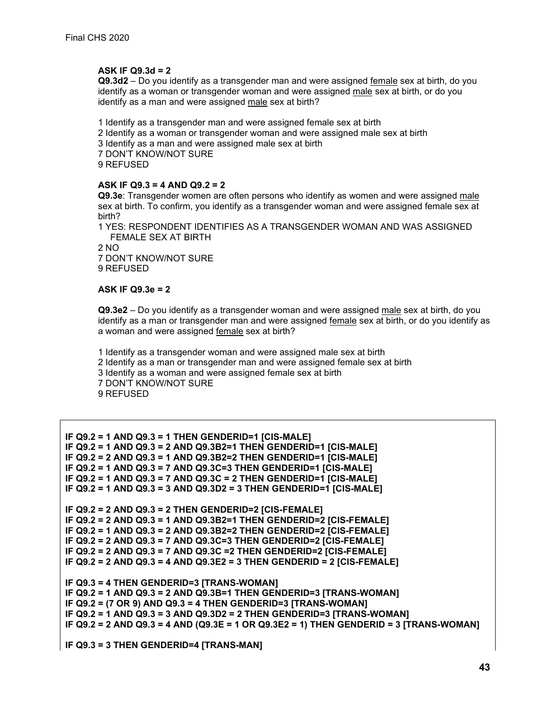# **ASK IF Q9.3d = 2**

**Q9.3d2** – Do you identify as a transgender man and were assigned female sex at birth, do you identify as a woman or transgender woman and were assigned male sex at birth, or do you identify as a man and were assigned male sex at birth?

1 Identify as a transgender man and were assigned female sex at birth 2 Identify as a woman or transgender woman and were assigned male sex at birth 3 Identify as a man and were assigned male sex at birth 7 DON'T KNOW/NOT SURE 9 REFUSED

# **ASK IF Q9.3 = 4 AND Q9.2 = 2**

**Q9.3e**: Transgender women are often persons who identify as women and were assigned male sex at birth. To confirm, you identify as a transgender woman and were assigned female sex at birth?

1 YES: RESPONDENT IDENTIFIES AS A TRANSGENDER WOMAN AND WAS ASSIGNED FEMALE SEX AT BIRTH

 $2 N()$ 7 DON'T KNOW/NOT SURE 9 REFUSED

# **ASK IF Q9.3e = 2**

**Q9.3e2** – Do you identify as a transgender woman and were assigned male sex at birth, do you identify as a man or transgender man and were assigned female sex at birth, or do you identify as a woman and were assigned female sex at birth?

1 Identify as a transgender woman and were assigned male sex at birth 2 Identify as a man or transgender man and were assigned female sex at birth 3 Identify as a woman and were assigned female sex at birth 7 DON'T KNOW/NOT SURE 9 REFUSED

```
IF Q9.2 = 1 AND Q9.3 = 1 THEN GENDERID=1 [CIS-MALE]
IF Q9.2 = 1 AND Q9.3 = 2 AND Q9.3B2=1 THEN GENDERID=1 [CIS-MALE]
IF Q9.2 = 2 AND Q9.3 = 1 AND Q9.3B2=2 THEN GENDERID=1 [CIS-MALE]
IF Q9.2 = 1 AND Q9.3 = 7 AND Q9.3C=3 THEN GENDERID=1 [CIS-MALE]
IF Q9.2 = 1 AND Q9.3 = 7 AND Q9.3C = 2 THEN GENDERID=1 [CIS-MALE]
IF Q9.2 = 1 AND Q9.3 = 3 AND Q9.3D2 = 3 THEN GENDERID=1 [CIS-MALE]
IF Q9.2 = 2 AND Q9.3 = 2 THEN GENDERID=2 [CIS-FEMALE]
IF Q9.2 = 2 AND Q9.3 = 1 AND Q9.3B2=1 THEN GENDERID=2 [CIS-FEMALE]
IF Q9.2 = 1 AND Q9.3 = 2 AND Q9.3B2=2 THEN GENDERID=2 [CIS-FEMALE]
IF Q9.2 = 2 AND Q9.3 = 7 AND Q9.3C=3 THEN GENDERID=2 [CIS-FEMALE]
IF Q9.2 = 2 AND Q9.3 = 7 AND Q9.3C =2 THEN GENDERID=2 [CIS-FEMALE]
IF Q9.2 = 2 AND Q9.3 = 4 AND Q9.3E2 = 3 THEN GENDERID = 2 [CIS-FEMALE]
IF Q9.3 = 4 THEN GENDERID=3 [TRANS-WOMAN]
IF Q9.2 = 1 AND Q9.3 = 2 AND Q9.3B=1 THEN GENDERID=3 [TRANS-WOMAN]
IF Q9.2 = (7 OR 9) AND Q9.3 = 4 THEN GENDERID=3 [TRANS-WOMAN]
IF Q9.2 = 1 AND Q9.3 = 3 AND Q9.3D2 = 2 THEN GENDERID=3 [TRANS-WOMAN]
IF Q9.2 = 2 AND Q9.3 = 4 AND (Q9.3E = 1 OR Q9.3E2 = 1) THEN GENDERID = 3 [TRANS-WOMAN]
IF Q9.3 = 3 THEN GENDERID=4 [TRANS-MAN]
```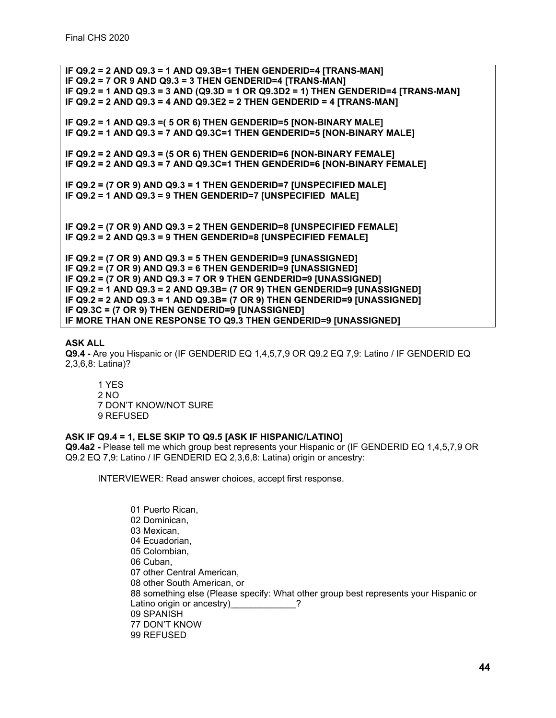**IF Q9.2 = 2 AND Q9.3 = 1 AND Q9.3B=1 THEN GENDERID=4 [TRANS-MAN] IF Q9.2 = 7 OR 9 AND Q9.3 = 3 THEN GENDERID=4 [TRANS-MAN] IF Q9.2 = 1 AND Q9.3 = 3 AND (Q9.3D = 1 OR Q9.3D2 = 1) THEN GENDERID=4 [TRANS-MAN] IF Q9.2 = 2 AND Q9.3 = 4 AND Q9.3E2 = 2 THEN GENDERID = 4 [TRANS-MAN] IF Q9.2 = 1 AND Q9.3 =( 5 OR 6) THEN GENDERID=5 [NON-BINARY MALE] IF Q9.2 = 1 AND Q9.3 = 7 AND Q9.3C=1 THEN GENDERID=5 [NON-BINARY MALE] IF Q9.2 = 2 AND Q9.3 = (5 OR 6) THEN GENDERID=6 [NON-BINARY FEMALE] IF Q9.2 = 2 AND Q9.3 = 7 AND Q9.3C=1 THEN GENDERID=6 [NON-BINARY FEMALE] IF Q9.2 = (7 OR 9) AND Q9.3 = 1 THEN GENDERID=7 [UNSPECIFIED MALE] IF Q9.2 = 1 AND Q9.3 = 9 THEN GENDERID=7 [UNSPECIFIED MALE] IF Q9.2 = (7 OR 9) AND Q9.3 = 2 THEN GENDERID=8 [UNSPECIFIED FEMALE] IF Q9.2 = 2 AND Q9.3 = 9 THEN GENDERID=8 [UNSPECIFIED FEMALE] IF Q9.2 = (7 OR 9) AND Q9.3 = 5 THEN GENDERID=9 [UNASSIGNED] IF Q9.2 = (7 OR 9) AND Q9.3 = 6 THEN GENDERID=9 [UNASSIGNED] IF Q9.2 = (7 OR 9) AND Q9.3 = 7 OR 9 THEN GENDERID=9 [UNASSIGNED] IF Q9.2 = 1 AND Q9.3 = 2 AND Q9.3B= (7 OR 9) THEN GENDERID=9 [UNASSIGNED] IF Q9.2 = 2 AND Q9.3 = 1 AND Q9.3B= (7 OR 9) THEN GENDERID=9 [UNASSIGNED] IF Q9.3C = (7 OR 9) THEN GENDERID=9 [UNASSIGNED] IF MORE THAN ONE RESPONSE TO Q9.3 THEN GENDERID=9 [UNASSIGNED]**

# **ASK ALL**

**Q9.4 -** Are you Hispanic or (IF GENDERID EQ 1,4,5,7,9 OR Q9.2 EQ 7,9: Latino / IF GENDERID EQ 2,3,6,8: Latina)?

1 YES 2 NO 7 DON'T KNOW/NOT SURE 9 REFUSED

#### **ASK IF Q9.4 = 1, ELSE SKIP TO Q9.5 [ASK IF HISPANIC/LATINO]**

**Q9.4a2 -** Please tell me which group best represents your Hispanic or (IF GENDERID EQ 1,4,5,7,9 OR Q9.2 EQ 7,9: Latino / IF GENDERID EQ 2,3,6,8: Latina) origin or ancestry:

INTERVIEWER: Read answer choices, accept first response.

01 Puerto Rican, 02 Dominican, 03 Mexican, 04 Ecuadorian, 05 Colombian, 06 Cuban, 07 other Central American, 08 other South American, or 88 something else (Please specify: What other group best represents your Hispanic or Latino origin or ancestry) 09 SPANISH 77 DON'T KNOW 99 REFUSED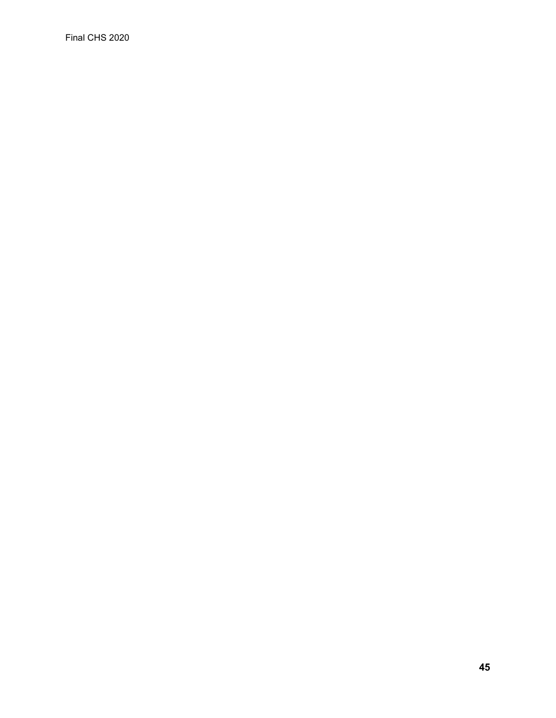Final CHS 2020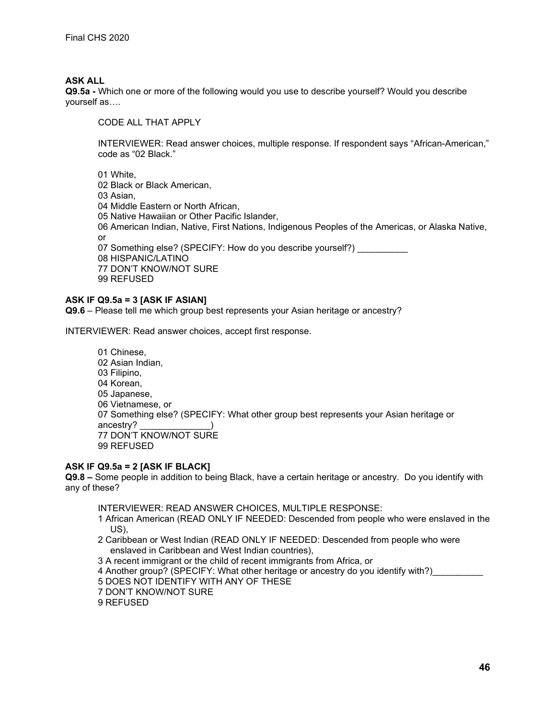#### **ASK ALL**

**Q9.5a -** Which one or more of the following would you use to describe yourself? Would you describe yourself as….

CODE ALL THAT APPLY

INTERVIEWER: Read answer choices, multiple response. If respondent says "African-American," code as "02 Black."

01 White, 02 Black or Black American, 03 Asian, 04 Middle Eastern or North African, 05 Native Hawaiian or Other Pacific Islander, 06 American Indian, Native, First Nations, Indigenous Peoples of the Americas, or Alaska Native, or 07 Something else? (SPECIFY: How do you describe yourself?) 08 HISPANIC/LATINO 77 DON'T KNOW/NOT SURE 99 REFUSED

### **ASK IF Q9.5a = 3 [ASK IF ASIAN]**

**Q9.6** – Please tell me which group best represents your Asian heritage or ancestry?

INTERVIEWER: Read answer choices, accept first response.

01 Chinese, 02 Asian Indian, 03 Filipino, 04 Korean, 05 Japanese, 06 Vietnamese, or 07 Something else? (SPECIFY: What other group best represents your Asian heritage or ancestry? 77 DON'T KNOW/NOT SURE 99 REFUSED

# **ASK IF Q9.5a = 2 [ASK IF BLACK]**

**Q9.8 –** Some people in addition to being Black, have a certain heritage or ancestry. Do you identify with any of these?

INTERVIEWER: READ ANSWER CHOICES, MULTIPLE RESPONSE:

1 African American (READ ONLY IF NEEDED: Descended from people who were enslaved in the US),

2 Caribbean or West Indian (READ ONLY IF NEEDED: Descended from people who were enslaved in Caribbean and West Indian countries),

3 A recent immigrant or the child of recent immigrants from Africa, or

4 Another group? (SPECIFY: What other heritage or ancestry do you identify with?)

5 DOES NOT IDENTIFY WITH ANY OF THESE

7 DON'T KNOW/NOT SURE

9 REFUSED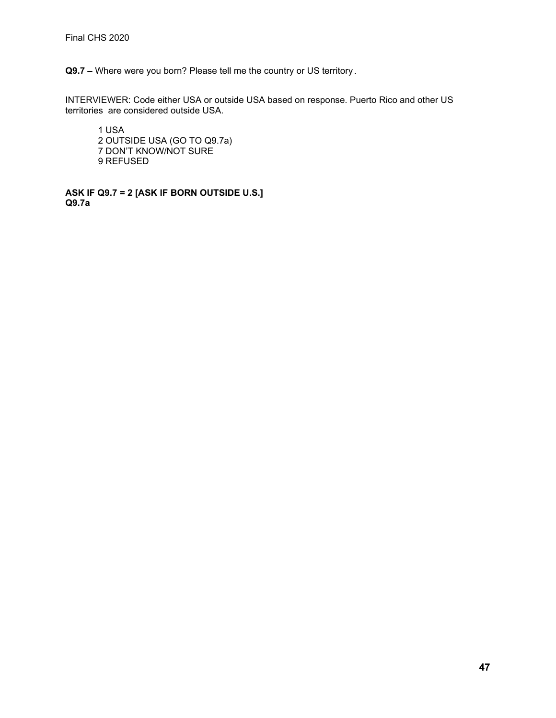**Q9.7 –** Where were you born? Please tell me the country or US territory.

INTERVIEWER: Code either USA or outside USA based on response. Puerto Rico and other US territories are considered outside USA.

1 USA 2 OUTSIDE USA (GO TO Q9.7a) 7 DON'T KNOW/NOT SURE 9 REFUSED

**ASK IF Q9.7 = 2 [ASK IF BORN OUTSIDE U.S.] Q9.7a**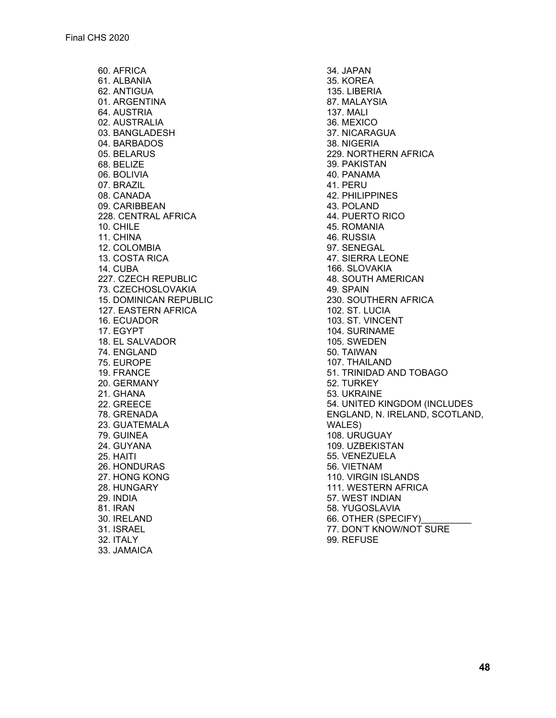60. AFRICA 61. ALBANIA 62. ANTIGUA 01. ARGENTINA 64. AUSTRIA 02. AUSTRALIA 03. BANGLADESH 04. BARBADOS 05. BELARUS 68. BELIZE 06. BOLIVIA 07. BRAZIL 08. CANADA 09. CARIBBEAN 228. CENTRAL AFRICA 10. CHILE 11. CHINA 12. COLOMBIA 13. COSTA RICA 14. CUBA 227. CZECH REPUBLIC 73. CZECHOSLOVAKIA 15. DOMINICAN REPUBLIC 127. EASTERN AFRICA 16. ECUADOR 17. EGYPT 18. EL SALVADOR 74. ENGLAND 75. EUROPE 19. FRANCE 20. GERMANY 21. GHANA 22. GREECE 78. GRENADA 23. GUATEMALA 79. GUINEA 24. GUYANA 25. HAITI 26. HONDURAS 27. HONG KONG 28. HUNGARY 29. INDIA 81. IRAN 30. IRELAND 31. ISRAEL 32. ITALY 33. JAMAICA

34. JAPAN 35. KOREA 135. LIBERIA 87. MALAYSIA 137. MALI 36. MEXICO 37. NICARAGUA 38. NIGERIA 229. NORTHERN AFRICA 39. PAKISTAN 40. PANAMA 41. PERU 42. PHILIPPINES 43. POLAND 44. PUERTO RICO 45. ROMANIA 46. RUSSIA 97. SENEGAL 47. SIERRA LEONE 166. SLOVAKIA 48. SOUTH AMERICAN 49. SPAIN 230. SOUTHERN AFRICA 102. ST. LUCIA 103. ST. VINCENT 104. SURINAME 105. SWEDEN 50. TAIWAN 107. THAILAND 51. TRINIDAD AND TOBAGO 52. TURKEY 53. UKRAINE 54. UNITED KINGDOM (INCLUDES ENGLAND, N. IRELAND, SCOTLAND, WALES) 108. URUGUAY 109. UZBEKISTAN 55. VENEZUELA 56. VIETNAM 110. VIRGIN ISLANDS 111. WESTERN AFRICA 57. WEST INDIAN 58. YUGOSLAVIA 66. OTHER (SPECIFY)\_\_\_\_\_\_\_\_\_\_ 77. DON'T KNOW/NOT SURE 99. REFUSE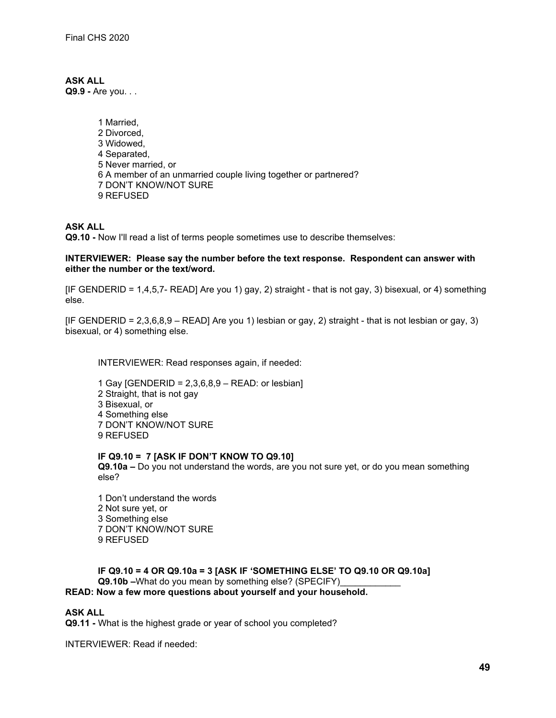**ASK ALL Q9.9 -** Are you. . .

> 1 Married, 2 Divorced, 3 Widowed, 4 Separated, 5 Never married, or 6 A member of an unmarried couple living together or partnered? 7 DON'T KNOW/NOT SURE 9 REFUSED

# **ASK ALL**

**Q9.10 -** Now I'll read a list of terms people sometimes use to describe themselves:

#### **INTERVIEWER: Please say the number before the text response. Respondent can answer with either the number or the text/word.**

[IF GENDERID = 1,4,5,7- READ] Are you 1) gay, 2) straight - that is not gay, 3) bisexual, or 4) something else.

[IF GENDERID = 2,3,6,8,9 – READ] Are you 1) lesbian or gay, 2) straight - that is not lesbian or gay, 3) bisexual, or 4) something else.

INTERVIEWER: Read responses again, if needed:

1 Gay [GENDERID = 2,3,6,8,9 – READ: or lesbian] 2 Straight, that is not gay 3 Bisexual, or 4 Something else 7 DON'T KNOW/NOT SURE 9 REFUSED

#### **IF Q9.10 = 7 [ASK IF DON'T KNOW TO Q9.10]**

**Q9.10a –** Do you not understand the words, are you not sure yet, or do you mean something else?

1 Don't understand the words 2 Not sure yet, or 3 Something else 7 DON'T KNOW/NOT SURE 9 REFUSED

**IF Q9.10 = 4 OR Q9.10a = 3 [ASK IF 'SOMETHING ELSE' TO Q9.10 OR Q9.10a] Q9.10b –**What do you mean by something else? (SPECIFY) **READ: Now a few more questions about yourself and your household.**

#### **ASK ALL**

**Q9.11 -** What is the highest grade or year of school you completed?

INTERVIEWER: Read if needed: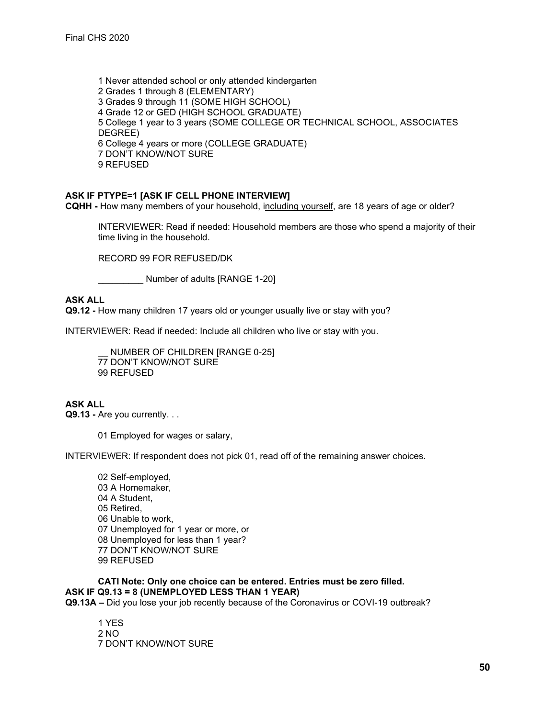1 Never attended school or only attended kindergarten 2 Grades 1 through 8 (ELEMENTARY) 3 Grades 9 through 11 (SOME HIGH SCHOOL) 4 Grade 12 or GED (HIGH SCHOOL GRADUATE) 5 College 1 year to 3 years (SOME COLLEGE OR TECHNICAL SCHOOL, ASSOCIATES DEGREE) 6 College 4 years or more (COLLEGE GRADUATE) 7 DON'T KNOW/NOT SURE 9 REFUSED

#### **ASK IF PTYPE=1 [ASK IF CELL PHONE INTERVIEW]**

**CQHH -** How many members of your household, including yourself, are 18 years of age or older?

INTERVIEWER: Read if needed: Household members are those who spend a majority of their time living in the household.

RECORD 99 FOR REFUSED/DK

\_\_\_\_\_\_\_\_\_ Number of adults [RANGE 1-20]

# **ASK ALL**

**Q9.12 -** How many children 17 years old or younger usually live or stay with you?

INTERVIEWER: Read if needed: Include all children who live or stay with you.

NUMBER OF CHILDREN [RANGE 0-25] 77 DON'T KNOW/NOT SURE 99 REFUSED

# **ASK ALL**

**Q9.13 -** Are you currently. . .

01 Employed for wages or salary,

INTERVIEWER: If respondent does not pick 01, read off of the remaining answer choices.

02 Self-employed, 03 A Homemaker, 04 A Student, 05 Retired, 06 Unable to work, 07 Unemployed for 1 year or more, or 08 Unemployed for less than 1 year? 77 DON'T KNOW/NOT SURE 99 REFUSED

**CATI Note: Only one choice can be entered. Entries must be zero filled. ASK IF Q9.13 = 8 (UNEMPLOYED LESS THAN 1 YEAR)**

**Q9.13A –** Did you lose your job recently because of the Coronavirus or COVI-19 outbreak?

1 YES 2 NO 7 DON'T KNOW/NOT SURE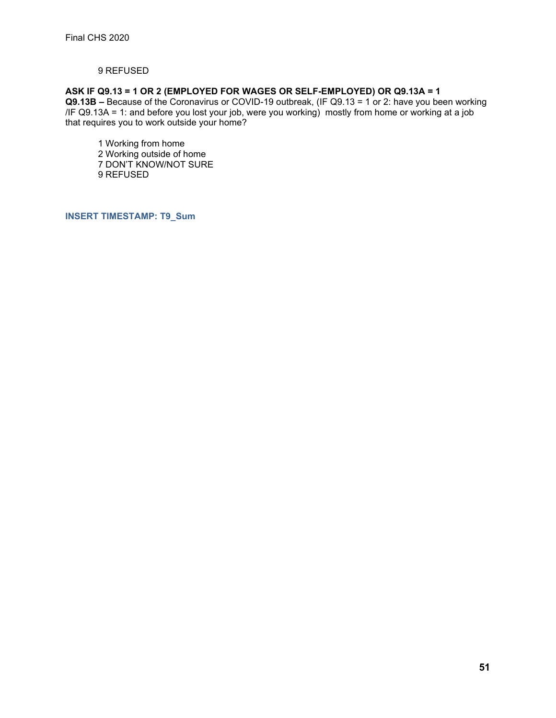# 9 REFUSED

# **ASK IF Q9.13 = 1 OR 2 (EMPLOYED FOR WAGES OR SELF-EMPLOYED) OR Q9.13A = 1**

**Q9.13B –** Because of the Coronavirus or COVID-19 outbreak, (IF Q9.13 = 1 or 2: have you been working /IF Q9.13A = 1: and before you lost your job, were you working) mostly from home or working at a job that requires you to work outside your home?

1 Working from home 2 Working outside of home 7 DON'T KNOW/NOT SURE 9 REFUSED

**INSERT TIMESTAMP: T9\_Sum**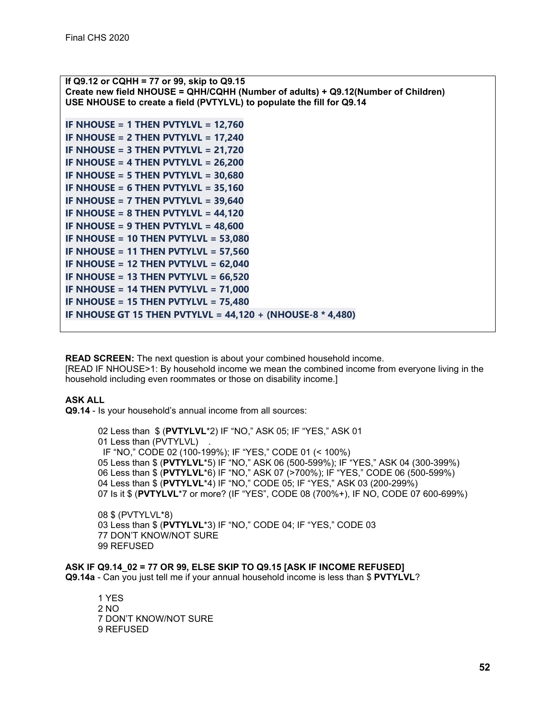**If Q9.12 or CQHH = 77 or 99, skip to Q9.15 Create new field NHOUSE = QHH/CQHH (Number of adults) + Q9.12(Number of Children) USE NHOUSE to create a field (PVTYLVL) to populate the fill for Q9.14 IF NHOUSE = 1 THEN PVTYLVL = 12,760 IF NHOUSE = 2 THEN PVTYLVL = 17,240 IF NHOUSE = 3 THEN PVTYLVL = 21,720 IF NHOUSE = 4 THEN PVTYLVL = 26,200 IF NHOUSE = 5 THEN PVTYLVL = 30,680 IF NHOUSE = 6 THEN PVTYLVL = 35,160 IF NHOUSE = 7 THEN PVTYLVL = 39,640 IF NHOUSE = 8 THEN PVTYLVL = 44,120 IF NHOUSE = 9 THEN PVTYLVL = 48,600 IF NHOUSE = 10 THEN PVTYLVL = 53,080 IF NHOUSE = 11 THEN PVTYLVL = 57,560 IF NHOUSE = 12 THEN PVTYLVL = 62,040 IF NHOUSE = 13 THEN PVTYLVL = 66,520 IF NHOUSE = 14 THEN PVTYLVL = 71,000 IF NHOUSE = 15 THEN PVTYLVL = 75,480 IF NHOUSE GT 15 THEN PVTYLVL = 44,120 + (NHOUSE-8 \* 4,480)**

**READ SCREEN:** The next question is about your combined household income. [READ IF NHOUSE>1: By household income we mean the combined income from everyone living in the household including even roommates or those on disability income.]

# **ASK ALL**

**Q9.14** - Is your household's annual income from all sources:

02 Less than \$ (**PVTYLVL**\*2) IF "NO," ASK 05; IF "YES," ASK 01 01 Less than (PVTYLVL) IF "NO," CODE 02 (100-199%); IF "YES," CODE 01 (< 100%) 05 Less than \$ (**PVTYLVL**\*5) IF "NO," ASK 06 (500-599%); IF "YES," ASK 04 (300-399%) 06 Less than \$ (**PVTYLVL**\*6) IF "NO," ASK 07 (>700%); IF "YES," CODE 06 (500-599%) 04 Less than \$ (**PVTYLVL**\*4) IF "NO," CODE 05; IF "YES," ASK 03 (200-299%) 07 Is it \$ (**PVTYLVL**\*7 or more? (IF "YES", CODE 08 (700%+), IF NO, CODE 07 600-699%)

08 \$ (PVTYLVL\*8) 03 Less than \$ (**PVTYLVL**\*3) IF "NO," CODE 04; IF "YES," CODE 03 77 DON'T KNOW/NOT SURE 99 REFUSED

#### **ASK IF Q9.14\_02 = 77 OR 99, ELSE SKIP TO Q9.15 [ASK IF INCOME REFUSED] Q9.14a** - Can you just tell me if your annual household income is less than \$ **PVTYLVL**?

1 YES 2 NO 7 DON'T KNOW/NOT SURE 9 REFUSED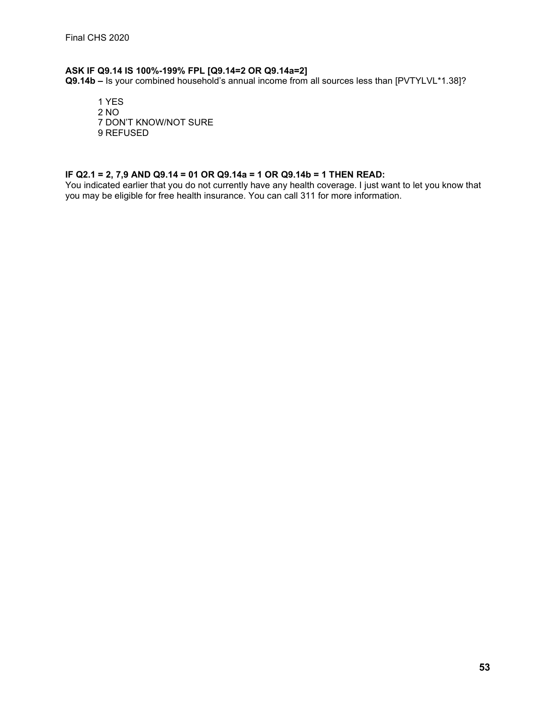# **ASK IF Q9.14 IS 100%-199% FPL [Q9.14=2 OR Q9.14a=2]**

**Q9.14b –** Is your combined household's annual income from all sources less than [PVTYLVL\*1.38]?

1 YES 2 NO 7 DON'T KNOW/NOT SURE 9 REFUSED

# **IF Q2.1 = 2, 7,9 AND Q9.14 = 01 OR Q9.14a = 1 OR Q9.14b = 1 THEN READ:**

You indicated earlier that you do not currently have any health coverage. I just want to let you know that you may be eligible for free health insurance. You can call 311 for more information.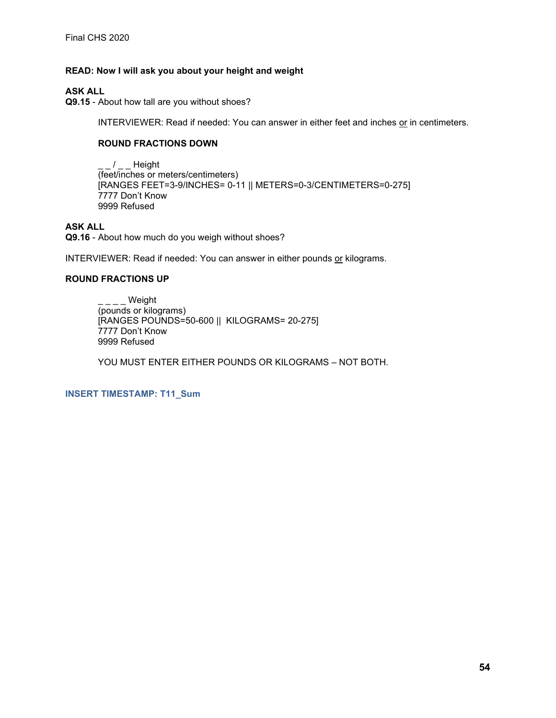# **READ: Now I will ask you about your height and weight**

# **ASK ALL**

**Q9.15** - About how tall are you without shoes?

INTERVIEWER: Read if needed: You can answer in either feet and inches or in centimeters.

### **ROUND FRACTIONS DOWN**

/ Height (feet/inches or meters/centimeters) [RANGES FEET=3-9/INCHES= 0-11 || METERS=0-3/CENTIMETERS=0-275] 7777 Don't Know 9999 Refused

# **ASK ALL**

**Q9.16** - About how much do you weigh without shoes?

INTERVIEWER: Read if needed: You can answer in either pounds or kilograms.

### **ROUND FRACTIONS UP**

Weight  $\frac{2}{2}$  (pounds or kilograms) [RANGES POUNDS=50-600 || KILOGRAMS= 20-275] 7777 Don't Know 9999 Refused

YOU MUST ENTER EITHER POUNDS OR KILOGRAMS - NOT BOTH.

### **INSERT TIMESTAMP: T11\_Sum**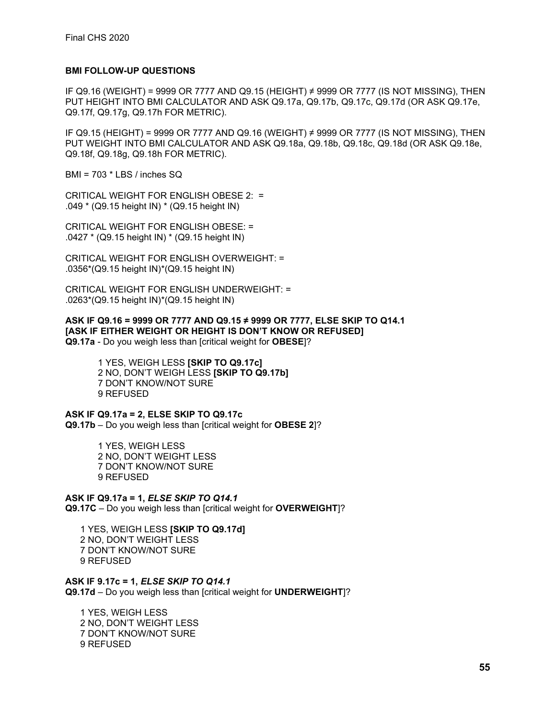### **BMI FOLLOW-UP QUESTIONS**

IF Q9.16 (WEIGHT) = 9999 OR 7777 AND Q9.15 (HEIGHT) ≠ 9999 OR 7777 (IS NOT MISSING), THEN PUT HEIGHT INTO BMI CALCULATOR AND ASK Q9.17a, Q9.17b, Q9.17c, Q9.17d (OR ASK Q9.17e, Q9.17f, Q9.17g, Q9.17h FOR METRIC).

IF Q9.15 (HEIGHT) = 9999 OR 7777 AND Q9.16 (WEIGHT) ≠ 9999 OR 7777 (IS NOT MISSING), THEN PUT WEIGHT INTO BMI CALCULATOR AND ASK Q9.18a, Q9.18b, Q9.18c, Q9.18d (OR ASK Q9.18e, Q9.18f, Q9.18g, Q9.18h FOR METRIC).

BMI = 703 \* LBS / inches SQ

CRITICAL WEIGHT FOR ENGLISH OBESE 2: = .049 \* (Q9.15 height IN) \* (Q9.15 height IN)

CRITICAL WEIGHT FOR ENGLISH OBESE: = .0427 \* (Q9.15 height IN) \* (Q9.15 height IN)

CRITICAL WEIGHT FOR ENGLISH OVERWEIGHT: = .0356\*(Q9.15 height IN)\*(Q9.15 height IN)

CRITICAL WEIGHT FOR ENGLISH UNDERWEIGHT: = .0263\*(Q9.15 height IN)\*(Q9.15 height IN)

**ASK IF Q9.16 = 9999 OR 7777 AND Q9.15 ≠ 9999 OR 7777, ELSE SKIP TO Q14.1 [ASK IF EITHER WEIGHT OR HEIGHT IS DON'T KNOW OR REFUSED] Q9.17a** - Do you weigh less than [critical weight for **OBESE**]?

1 YES, WEIGH LESS **[SKIP TO Q9.17c]** 2 NO, DON'T WEIGH LESS **[SKIP TO Q9.17b]** 7 DON'T KNOW/NOT SURE 9 REFUSED

**ASK IF Q9.17a = 2, ELSE SKIP TO Q9.17c Q9.17b** – Do you weigh less than [critical weight for **OBESE 2**]?

> 1 YES, WEIGH LESS 2 NO, DON'T WEIGHT LESS 7 DON'T KNOW/NOT SURE 9 REFUSED

**ASK IF Q9.17a = 1,** *ELSE SKIP TO Q14.1* **Q9.17C** – Do you weigh less than [critical weight for **OVERWEIGHT**]?

 1 YES, WEIGH LESS **[SKIP TO Q9.17d]** 2 NO, DON'T WEIGHT LESS 7 DON'T KNOW/NOT SURE 9 REFUSED

**ASK IF 9.17c = 1,** *ELSE SKIP TO Q14.1* **Q9.17d** – Do you weigh less than [critical weight for **UNDERWEIGHT**]?

 1 YES, WEIGH LESS 2 NO, DON'T WEIGHT LESS 7 DON'T KNOW/NOT SURE 9 REFUSED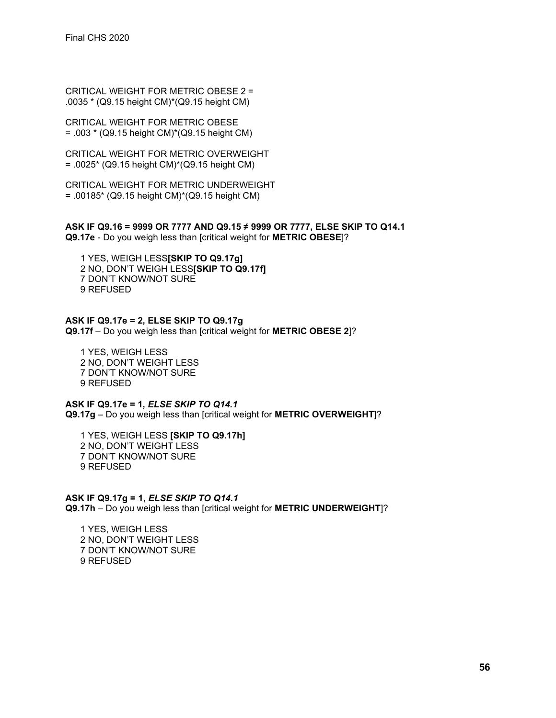CRITICAL WEIGHT FOR METRIC OBESE 2 = .0035 \* (Q9.15 height CM)\*(Q9.15 height CM)

CRITICAL WEIGHT FOR METRIC OBESE = .003 \* (Q9.15 height CM)\*(Q9.15 height CM)

CRITICAL WEIGHT FOR METRIC OVERWEIGHT = .0025\* (Q9.15 height CM)\*(Q9.15 height CM)

CRITICAL WEIGHT FOR METRIC UNDERWEIGHT = .00185\* (Q9.15 height CM)\*(Q9.15 height CM)

**ASK IF Q9.16 = 9999 OR 7777 AND Q9.15 ≠ 9999 OR 7777, ELSE SKIP TO Q14.1 Q9.17e** - Do you weigh less than [critical weight for **METRIC OBESE**]?

 1 YES, WEIGH LESS**[SKIP TO Q9.17g]** 2 NO, DON'T WEIGH LESS**[SKIP TO Q9.17f]** 7 DON'T KNOW/NOT SURE 9 REFUSED

#### **ASK IF Q9.17e = 2, ELSE SKIP TO Q9.17g**

**Q9.17f** – Do you weigh less than [critical weight for **METRIC OBESE 2**]?

 1 YES, WEIGH LESS 2 NO, DON'T WEIGHT LESS 7 DON'T KNOW/NOT SURE 9 REFUSED

# **ASK IF Q9.17e = 1,** *ELSE SKIP TO Q14.1*

**Q9.17g** – Do you weigh less than [critical weight for **METRIC OVERWEIGHT**]?

 1 YES, WEIGH LESS **[SKIP TO Q9.17h]** 2 NO, DON'T WEIGHT LESS 7 DON'T KNOW/NOT SURE 9 REFUSED

#### **ASK IF Q9.17g = 1,** *ELSE SKIP TO Q14.1*

**Q9.17h** – Do you weigh less than [critical weight for **METRIC UNDERWEIGHT**]?

 1 YES, WEIGH LESS 2 NO, DON'T WEIGHT LESS 7 DON'T KNOW/NOT SURE 9 REFUSED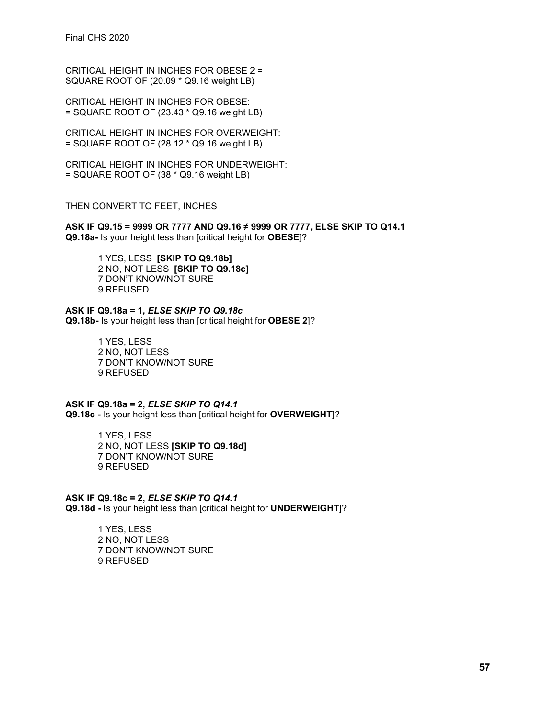CRITICAL HEIGHT IN INCHES FOR OBESE 2 = SQUARE ROOT OF (20.09 \* Q9.16 weight LB)

CRITICAL HEIGHT IN INCHES FOR OBESE:  $=$  SQUARE ROOT OF (23.43  $*$  Q9.16 weight LB)

CRITICAL HEIGHT IN INCHES FOR OVERWEIGHT: = SQUARE ROOT OF (28.12 \* Q9.16 weight LB)

CRITICAL HEIGHT IN INCHES FOR UNDERWEIGHT:  $=$  SQUARE ROOT OF (38  $*$  Q9.16 weight LB)

THEN CONVERT TO FEET, INCHES

**ASK IF Q9.15 = 9999 OR 7777 AND Q9.16 ≠ 9999 OR 7777, ELSE SKIP TO Q14.1 Q9.18a-** Is your height less than [critical height for **OBESE**]?

1 YES, LESS **[SKIP TO Q9.18b]** 2 NO, NOT LESS **[SKIP TO Q9.18c]** 7 DON'T KNOW/NOT SURE 9 REFUSED

# **ASK IF Q9.18a = 1,** *ELSE SKIP TO Q9.18c*

**Q9.18b-** Is your height less than [critical height for **OBESE 2**]?

1 YES, LESS 2 NO, NOT LESS 7 DON'T KNOW/NOT SURE 9 REFUSED

# **ASK IF Q9.18a = 2,** *ELSE SKIP TO Q14.1*

**Q9.18c -** Is your height less than [critical height for **OVERWEIGHT**]?

1 YES, LESS 2 NO, NOT LESS **[SKIP TO Q9.18d]** 7 DON'T KNOW/NOT SURE 9 REFUSED

#### **ASK IF Q9.18c = 2,** *ELSE SKIP TO Q14.1*

**Q9.18d -** Is your height less than [critical height for **UNDERWEIGHT**]?

1 YES, LESS 2 NO, NOT LESS 7 DON'T KNOW/NOT SURE 9 REFUSED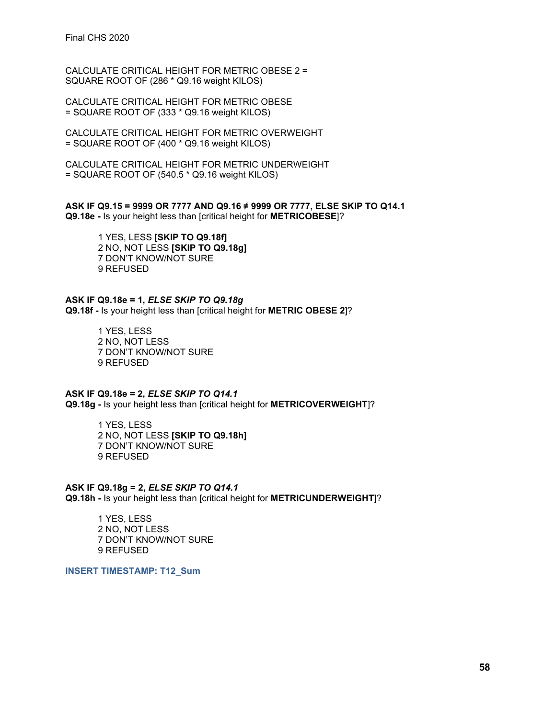CALCULATE CRITICAL HEIGHT FOR METRIC OBESE 2 = SQUARE ROOT OF (286 \* Q9.16 weight KILOS)

CALCULATE CRITICAL HEIGHT FOR METRIC OBESE = SQUARE ROOT OF (333 \* Q9.16 weight KILOS)

CALCULATE CRITICAL HEIGHT FOR METRIC OVERWEIGHT = SQUARE ROOT OF (400 \* Q9.16 weight KILOS)

CALCULATE CRITICAL HEIGHT FOR METRIC UNDERWEIGHT  $=$  SQUARE ROOT OF (540.5  $*$  Q9.16 weight KILOS)

#### **ASK IF Q9.15 = 9999 OR 7777 AND Q9.16 ≠ 9999 OR 7777, ELSE SKIP TO Q14.1 Q9.18e -** Is your height less than [critical height for **METRICOBESE**]?

1 YES, LESS **[SKIP TO Q9.18f]** 2 NO, NOT LESS **[SKIP TO Q9.18g]** 7 DON'T KNOW/NOT SURE 9 REFUSED

#### **ASK IF Q9.18e = 1,** *ELSE SKIP TO Q9.18g*

**Q9.18f -** Is your height less than [critical height for **METRIC OBESE 2**]?

1 YES, LESS 2 NO, NOT LESS 7 DON'T KNOW/NOT SURE 9 REFUSED

### **ASK IF Q9.18e = 2,** *ELSE SKIP TO Q14.1*

**Q9.18g -** Is your height less than [critical height for **METRICOVERWEIGHT**]?

1 YES, LESS 2 NO, NOT LESS **[SKIP TO Q9.18h]** 7 DON'T KNOW/NOT SURE 9 REFUSED

#### **ASK IF Q9.18g = 2,** *ELSE SKIP TO Q14.1*

**Q9.18h -** Is your height less than [critical height for **METRICUNDERWEIGHT**]?

1 YES, LESS 2 NO, NOT LESS 7 DON'T KNOW/NOT SURE 9 REFUSED

**INSERT TIMESTAMP: T12\_Sum**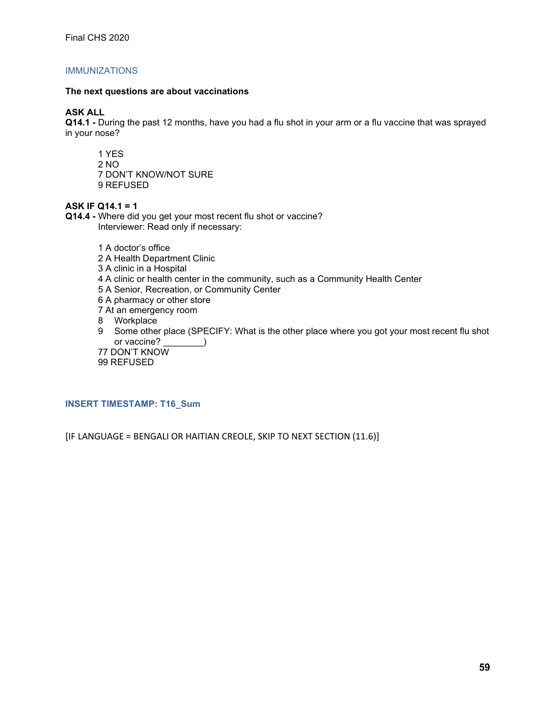# IMMUNIZATIONS

### **The next questions are about vaccinations**

# **ASK ALL**

**Q14.1 -** During the past 12 months, have you had a flu shot in your arm or a flu vaccine that was sprayed in your nose?

1 YES 2 NO 7 DON'T KNOW/NOT SURE 9 REFUSED

# **ASK IF Q14.1 = 1**

**Q14.4 -** Where did you get your most recent flu shot or vaccine? Interviewer: Read only if necessary:

1 A doctor's office

- 2 A Health Department Clinic
- 3 A clinic in a Hospital
- 4 A clinic or health center in the community, such as a Community Health Center

5 A Senior, Recreation, or Community Center

- 6 A pharmacy or other store
- 7 At an emergency room
- 8 Workplace
- 9 Some other place (SPECIFY: What is the other place where you got your most recent flu shot or vaccine? \_\_\_\_\_\_\_\_)

77 DON'T KNOW

99 REFUSED

# **INSERT TIMESTAMP: T16\_Sum**

[IF LANGUAGE = BENGALI OR HAITIAN CREOLE, SKIP TO NEXT SECTION (11.6)]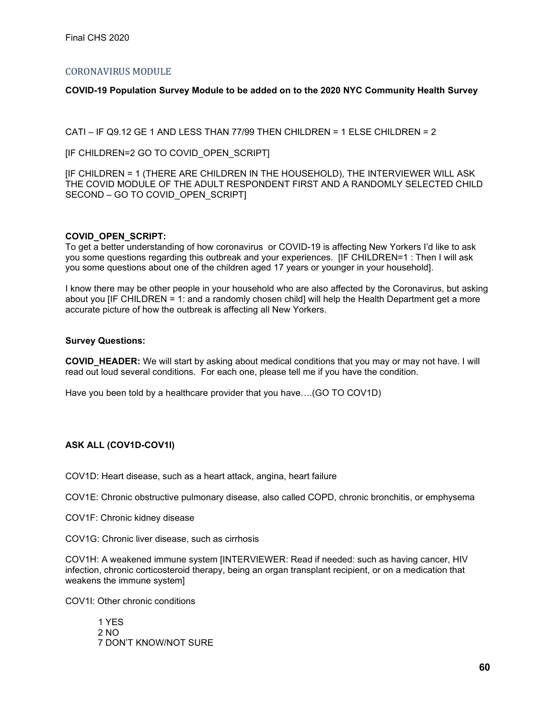### CORONAVIRUS MODULE

**COVID-19 Population Survey Module to be added on to the 2020 NYC Community Health Survey** 

CATI – IF Q9.12 GE 1 AND LESS THAN 77/99 THEN CHILDREN = 1 ELSE CHILDREN = 2

[IF CHILDREN=2 GO TO COVID\_OPEN\_SCRIPT]

[IF CHILDREN = 1 (THERE ARE CHILDREN IN THE HOUSEHOLD), THE INTERVIEWER WILL ASK THE COVID MODULE OF THE ADULT RESPONDENT FIRST AND A RANDOMLY SELECTED CHILD SECOND – GO TO COVID\_OPEN\_SCRIPT]

### **COVID\_OPEN\_SCRIPT:**

To get a better understanding of how coronavirus or COVID-19 is affecting New Yorkers I'd like to ask you some questions regarding this outbreak and your experiences. [IF CHILDREN=1 : Then I will ask you some questions about one of the children aged 17 years or younger in your household].

I know there may be other people in your household who are also affected by the Coronavirus, but asking about you [IF CHILDREN = 1: and a randomly chosen child] will help the Health Department get a more accurate picture of how the outbreak is affecting all New Yorkers.

#### **Survey Questions:**

**COVID\_HEADER:** We will start by asking about medical conditions that you may or may not have. I will read out loud several conditions. For each one, please tell me if you have the condition.

Have you been told by a healthcare provider that you have….(GO TO COV1D)

# **ASK ALL (COV1D-COV1I)**

COV1D: Heart disease, such as a heart attack, angina, heart failure

COV1E: Chronic obstructive pulmonary disease, also called COPD, chronic bronchitis, or emphysema

COV1F: Chronic kidney disease

COV1G: Chronic liver disease, such as cirrhosis

COV1H: A weakened immune system [INTERVIEWER: Read if needed: such as having cancer, HIV infection, chronic corticosteroid therapy, being an organ transplant recipient, or on a medication that weakens the immune system]

COV1I: Other chronic conditions

1 YES 2 NO 7 DON'T KNOW/NOT SURE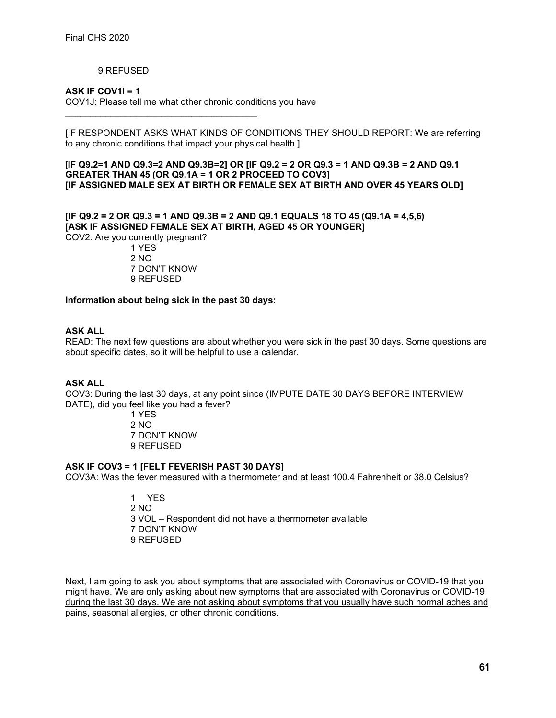# 9 REFUSED

# **ASK IF COV1I = 1**

COV1J: Please tell me what other chronic conditions you have

\_\_\_\_\_\_\_\_\_\_\_\_\_\_\_\_\_\_\_\_\_\_\_\_\_\_\_\_\_\_\_\_\_\_\_\_\_\_

[IF RESPONDENT ASKS WHAT KINDS OF CONDITIONS THEY SHOULD REPORT: We are referring to any chronic conditions that impact your physical health.]

[**IF Q9.2=1 AND Q9.3=2 AND Q9.3B=2] OR [IF Q9.2 = 2 OR Q9.3 = 1 AND Q9.3B = 2 AND Q9.1 GREATER THAN 45 (OR Q9.1A = 1 OR 2 PROCEED TO COV3] [IF ASSIGNED MALE SEX AT BIRTH OR FEMALE SEX AT BIRTH AND OVER 45 YEARS OLD]**

**[IF Q9.2 = 2 OR Q9.3 = 1 AND Q9.3B = 2 AND Q9.1 EQUALS 18 TO 45 (Q9.1A = 4,5,6) [ASK IF ASSIGNED FEMALE SEX AT BIRTH, AGED 45 OR YOUNGER]**

COV2: Are you currently pregnant?

1 YES 2 NO 7 DON'T KNOW 9 REFUSED

### **Information about being sick in the past 30 days:**

# **ASK ALL**

READ: The next few questions are about whether you were sick in the past 30 days. Some questions are about specific dates, so it will be helpful to use a calendar.

# **ASK ALL**

COV3: During the last 30 days, at any point since (IMPUTE DATE 30 DAYS BEFORE INTERVIEW DATE), did you feel like you had a fever?

> 1 YES 2 NO 7 DON'T KNOW 9 REFUSED

# **ASK IF COV3 = 1 [FELT FEVERISH PAST 30 DAYS]**

COV3A: Was the fever measured with a thermometer and at least 100.4 Fahrenheit or 38.0 Celsius?

1 YES 2 NO 3 VOL – Respondent did not have a thermometer available 7 DON'T KNOW 9 REFUSED

Next, I am going to ask you about symptoms that are associated with Coronavirus or COVID-19 that you might have. We are only asking about new symptoms that are associated with Coronavirus or COVID-19 during the last 30 days. We are not asking about symptoms that you usually have such normal aches and pains, seasonal allergies, or other chronic conditions.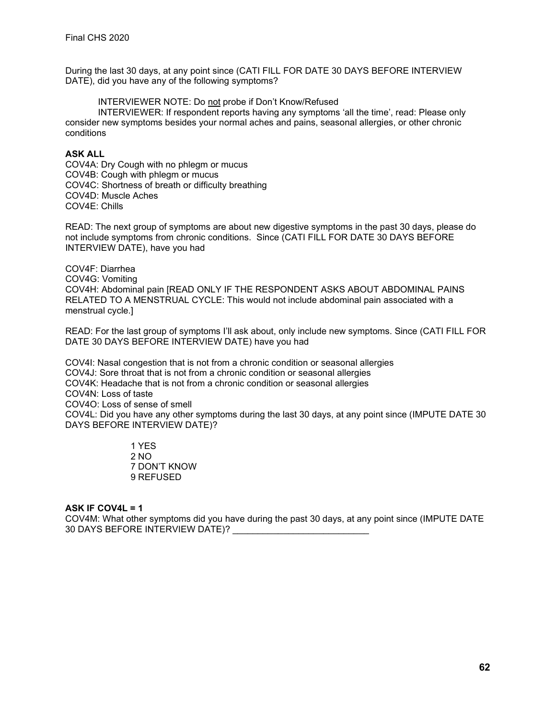During the last 30 days, at any point since (CATI FILL FOR DATE 30 DAYS BEFORE INTERVIEW DATE), did you have any of the following symptoms?

INTERVIEWER NOTE: Do not probe if Don't Know/Refused

INTERVIEWER: If respondent reports having any symptoms 'all the time', read: Please only consider new symptoms besides your normal aches and pains, seasonal allergies, or other chronic conditions

### **ASK ALL**

COV4A: Dry Cough with no phlegm or mucus COV4B: Cough with phlegm or mucus COV4C: Shortness of breath or difficulty breathing COV4D: Muscle Aches COV4E: Chills

READ: The next group of symptoms are about new digestive symptoms in the past 30 days, please do not include symptoms from chronic conditions. Since (CATI FILL FOR DATE 30 DAYS BEFORE INTERVIEW DATE), have you had

COV4F: Diarrhea COV4G: Vomiting COV4H: Abdominal pain [READ ONLY IF THE RESPONDENT ASKS ABOUT ABDOMINAL PAINS RELATED TO A MENSTRUAL CYCLE: This would not include abdominal pain associated with a menstrual cycle.]

READ: For the last group of symptoms I'll ask about, only include new symptoms. Since (CATI FILL FOR DATE 30 DAYS BEFORE INTERVIEW DATE) have you had

COV4I: Nasal congestion that is not from a chronic condition or seasonal allergies COV4J: Sore throat that is not from a chronic condition or seasonal allergies COV4K: Headache that is not from a chronic condition or seasonal allergies COV4N: Loss of taste COV4O: Loss of sense of smell COV4L: Did you have any other symptoms during the last 30 days, at any point since (IMPUTE DATE 30 DAYS BEFORE INTERVIEW DATE)?

> 1 YES 2 NO 7 DON'T KNOW 9 REFUSED

#### **ASK IF COV4L = 1**

COV4M: What other symptoms did you have during the past 30 days, at any point since (IMPUTE DATE 30 DAYS BEFORE INTERVIEW DATE)?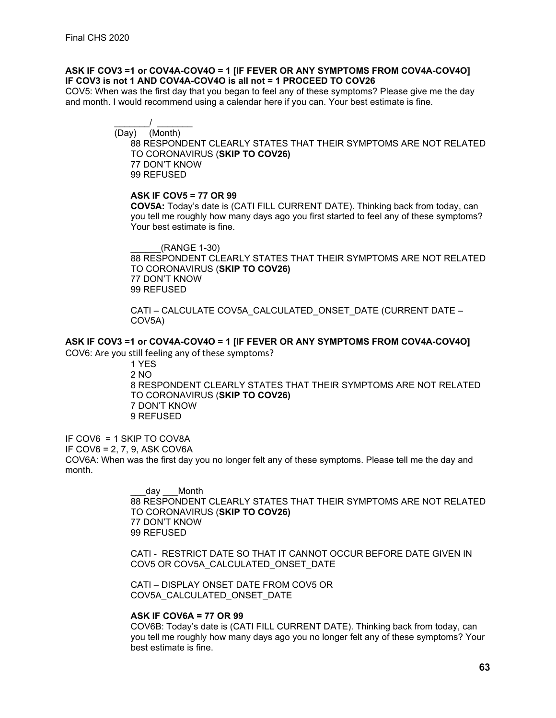### **ASK IF COV3 =1 or COV4A-COV4O = 1 [IF FEVER OR ANY SYMPTOMS FROM COV4A-COV4O] IF COV3 is not 1 AND COV4A-COV4O is all not = 1 PROCEED TO COV26**

COV5: When was the first day that you began to feel any of these symptoms? Please give me the day and month. I would recommend using a calendar here if you can. Your best estimate is fine.

#### $\overline{\phantom{a}}$   $\overline{\phantom{a}}$   $\overline{\phantom{a}}$   $\overline{\phantom{a}}$   $\overline{\phantom{a}}$   $\overline{\phantom{a}}$   $\overline{\phantom{a}}$   $\overline{\phantom{a}}$   $\overline{\phantom{a}}$   $\overline{\phantom{a}}$   $\overline{\phantom{a}}$   $\overline{\phantom{a}}$   $\overline{\phantom{a}}$   $\overline{\phantom{a}}$   $\overline{\phantom{a}}$   $\overline{\phantom{a}}$   $\overline{\phantom{a}}$   $\overline{\phantom{a}}$   $\overline{\$ (Day) (Month) 88 RESPONDENT CLEARLY STATES THAT THEIR SYMPTOMS ARE NOT RELATED TO CORONAVIRUS (**SKIP TO COV26)** 77 DON'T KNOW 99 REFUSED

### **ASK IF COV5 = 77 OR 99**

**COV5A:** Today's date is (CATI FILL CURRENT DATE). Thinking back from today, can you tell me roughly how many days ago you first started to feel any of these symptoms? Your best estimate is fine.

\_\_\_\_\_\_(RANGE 1-30) 88 RESPONDENT CLEARLY STATES THAT THEIR SYMPTOMS ARE NOT RELATED TO CORONAVIRUS (**SKIP TO COV26)** 77 DON'T KNOW 99 REFUSED

CATI – CALCULATE COV5A\_CALCULATED\_ONSET\_DATE (CURRENT DATE – COV5A)

# **ASK IF COV3 =1 or COV4A-COV4O = 1 [IF FEVER OR ANY SYMPTOMS FROM COV4A-COV4O]**

COV6: Are you still feeling any of these symptoms?

1 YES 2 NO 8 RESPONDENT CLEARLY STATES THAT THEIR SYMPTOMS ARE NOT RELATED TO CORONAVIRUS (**SKIP TO COV26)** 7 DON'T KNOW 9 REFUSED

IF COV6 = 1 SKIP TO COV8A

IF COV6 = 2, 7, 9, ASK COV6A

COV6A: When was the first day you no longer felt any of these symptoms. Please tell me the day and month.

> day Month 88 RESPONDENT CLEARLY STATES THAT THEIR SYMPTOMS ARE NOT RELATED TO CORONAVIRUS (**SKIP TO COV26)** 77 DON'T KNOW 99 REFUSED

CATI - RESTRICT DATE SO THAT IT CANNOT OCCUR BEFORE DATE GIVEN IN COV5 OR COV5A\_CALCULATED\_ONSET\_DATE

CATI – DISPLAY ONSET DATE FROM COV5 OR COV5A\_CALCULATED\_ONSET\_DATE

#### **ASK IF COV6A = 77 OR 99**

COV6B: Today's date is (CATI FILL CURRENT DATE). Thinking back from today, can you tell me roughly how many days ago you no longer felt any of these symptoms? Your best estimate is fine.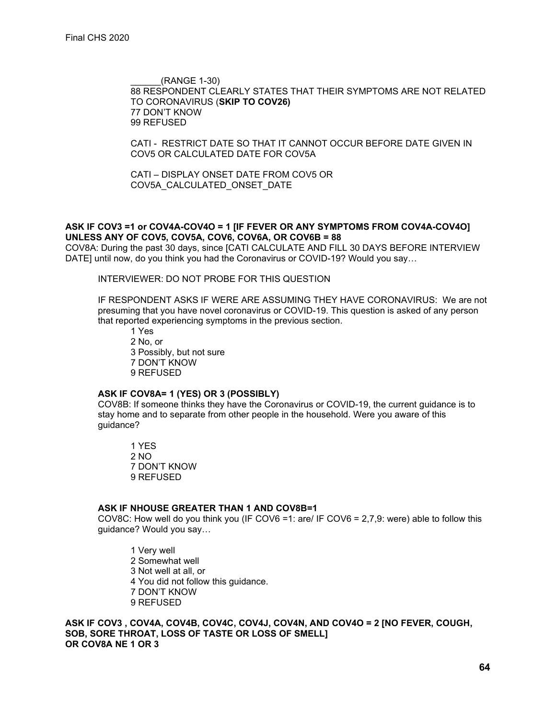\_\_\_\_\_\_(RANGE 1-30) 88 RESPONDENT CLEARLY STATES THAT THEIR SYMPTOMS ARE NOT RELATED TO CORONAVIRUS (**SKIP TO COV26)** 77 DON'T KNOW 99 REFUSED

CATI - RESTRICT DATE SO THAT IT CANNOT OCCUR BEFORE DATE GIVEN IN COV5 OR CALCULATED DATE FOR COV5A

CATI – DISPLAY ONSET DATE FROM COV5 OR COV5A\_CALCULATED\_ONSET\_DATE

#### **ASK IF COV3 =1 or COV4A-COV4O = 1 [IF FEVER OR ANY SYMPTOMS FROM COV4A-COV4O] UNLESS ANY OF COV5, COV5A, COV6, COV6A, OR COV6B = 88**

COV8A: During the past 30 days, since [CATI CALCULATE AND FILL 30 DAYS BEFORE INTERVIEW DATE] until now, do you think you had the Coronavirus or COVID-19? Would you say…

INTERVIEWER: DO NOT PROBE FOR THIS QUESTION

IF RESPONDENT ASKS IF WERE ARE ASSUMING THEY HAVE CORONAVIRUS: We are not presuming that you have novel coronavirus or COVID-19. This question is asked of any person that reported experiencing symptoms in the previous section.

1 Yes 2 No, or 3 Possibly, but not sure 7 DON'T KNOW 9 REFUSED

#### **ASK IF COV8A= 1 (YES) OR 3 (POSSIBLY)**

COV8B: If someone thinks they have the Coronavirus or COVID-19, the current guidance is to stay home and to separate from other people in the household. Were you aware of this quidance?

1 YES 2 NO 7 DON'T KNOW 9 REFUSED

### **ASK IF NHOUSE GREATER THAN 1 AND COV8B=1**

COV8C: How well do you think you (IF COV6 =1: are/ IF COV6 = 2,7,9: were) able to follow this guidance? Would you say…

1 Very well 2 Somewhat well 3 Not well at all, or 4 You did not follow this guidance. 7 DON'T KNOW 9 REFUSED

**ASK IF COV3 , COV4A, COV4B, COV4C, COV4J, COV4N, AND COV4O = 2 [NO FEVER, COUGH, SOB, SORE THROAT, LOSS OF TASTE OR LOSS OF SMELL] OR COV8A NE 1 OR 3**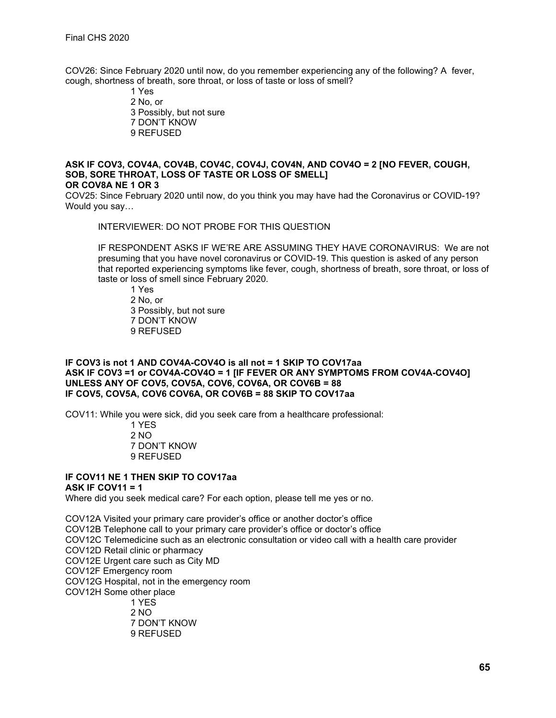COV26: Since February 2020 until now, do you remember experiencing any of the following? A fever, cough, shortness of breath, sore throat, or loss of taste or loss of smell?

> 1 Yes 2 No, or 3 Possibly, but not sure 7 DON'T KNOW 9 REFUSED

#### **ASK IF COV3, COV4A, COV4B, COV4C, COV4J, COV4N, AND COV4O = 2 [NO FEVER, COUGH, SOB, SORE THROAT, LOSS OF TASTE OR LOSS OF SMELL] OR COV8A NE 1 OR 3**

COV25: Since February 2020 until now, do you think you may have had the Coronavirus or COVID-19? Would you say…

INTERVIEWER: DO NOT PROBE FOR THIS QUESTION

IF RESPONDENT ASKS IF WE'RE ARE ASSUMING THEY HAVE CORONAVIRUS: We are not presuming that you have novel coronavirus or COVID-19. This question is asked of any person that reported experiencing symptoms like fever, cough, shortness of breath, sore throat, or loss of taste or loss of smell since February 2020.

1 Yes 2 No, or 3 Possibly, but not sure 7 DON'T KNOW 9 REFUSED

#### **IF COV3 is not 1 AND COV4A-COV4O is all not = 1 SKIP TO COV17aa ASK IF COV3 =1 or COV4A-COV4O = 1 [IF FEVER OR ANY SYMPTOMS FROM COV4A-COV4O] UNLESS ANY OF COV5, COV5A, COV6, COV6A, OR COV6B = 88 IF COV5, COV5A, COV6 COV6A, OR COV6B = 88 SKIP TO COV17aa**

COV11: While you were sick, did you seek care from a healthcare professional:

1 YES 2 NO 7 DON'T KNOW 9 REFUSED

#### **IF COV11 NE 1 THEN SKIP TO COV17aa ASK IF COV11 = 1**

Where did you seek medical care? For each option, please tell me yes or no.

COV12A Visited your primary care provider's office or another doctor's office COV12B Telephone call to your primary care provider's office or doctor's office COV12C Telemedicine such as an electronic consultation or video call with a health care provider COV12D Retail clinic or pharmacy COV12E Urgent care such as City MD COV12F Emergency room COV12G Hospital, not in the emergency room COV12H Some other place 1 YES 2 NO 7 DON'T KNOW 9 REFUSED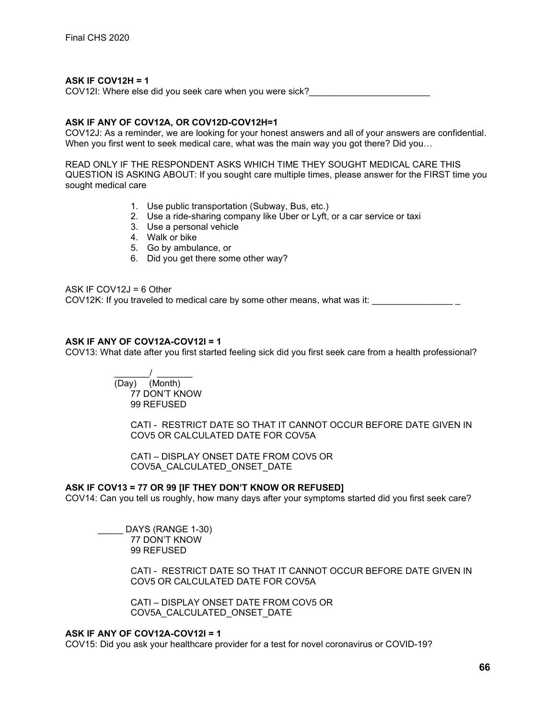#### **ASK IF COV12H = 1**

COV12I: Where else did you seek care when you were sick?

### **ASK IF ANY OF COV12A, OR COV12D-COV12H=1**

COV12J: As a reminder, we are looking for your honest answers and all of your answers are confidential. When you first went to seek medical care, what was the main way you got there? Did you...

READ ONLY IF THE RESPONDENT ASKS WHICH TIME THEY SOUGHT MEDICAL CARE THIS QUESTION IS ASKING ABOUT: If you sought care multiple times, please answer for the FIRST time you sought medical care

- 1. Use public transportation (Subway, Bus, etc.)
- 2. Use a ride-sharing company like Uber or Lyft, or a car service or taxi
- 3. Use a personal vehicle
- 4. Walk or bike
- 5. Go by ambulance, or
- 6. Did you get there some other way?

ASK IF COV12J =  $6$  Other COV12K: If you traveled to medical care by some other means, what was it:

# **ASK IF ANY OF COV12A-COV12I = 1**

COV13: What date after you first started feeling sick did you first seek care from a health professional?

 $\frac{1}{2}$ (Day) (Month) 77 DON'T KNOW 99 REFUSED

> CATI - RESTRICT DATE SO THAT IT CANNOT OCCUR BEFORE DATE GIVEN IN COV5 OR CALCULATED DATE FOR COV5A

CATI – DISPLAY ONSET DATE FROM COV5 OR COV5A\_CALCULATED\_ONSET\_DATE

#### **ASK IF COV13 = 77 OR 99 [IF THEY DON'T KNOW OR REFUSED]**

COV14: Can you tell us roughly, how many days after your symptoms started did you first seek care?

\_\_\_\_\_ DAYS (RANGE 1-30) 77 DON'T KNOW 99 REFUSED

> CATI - RESTRICT DATE SO THAT IT CANNOT OCCUR BEFORE DATE GIVEN IN COV5 OR CALCULATED DATE FOR COV5A

CATI – DISPLAY ONSET DATE FROM COV5 OR COV5A\_CALCULATED\_ONSET\_DATE

### **ASK IF ANY OF COV12A-COV12I = 1**

COV15: Did you ask your healthcare provider for a test for novel coronavirus or COVID-19?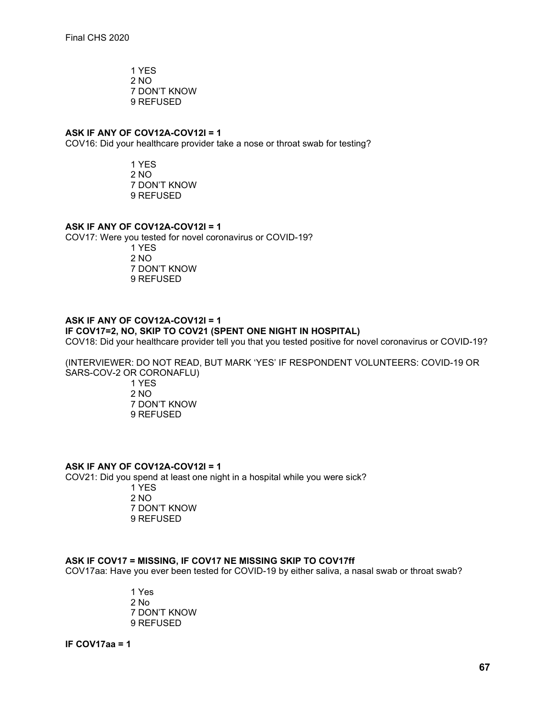1 YES 2 NO 7 DON'T KNOW 9 REFUSED

### **ASK IF ANY OF COV12A-COV12I = 1**

COV16: Did your healthcare provider take a nose or throat swab for testing?

1 YES 2 NO 7 DON'T KNOW 9 REFUSED

# **ASK IF ANY OF COV12A-COV12I = 1**

COV17: Were you tested for novel coronavirus or COVID-19?

1 YES 2 NO 7 DON'T KNOW 9 REFUSED

### **ASK IF ANY OF COV12A-COV12I = 1 IF COV17=2, NO, SKIP TO COV21 (SPENT ONE NIGHT IN HOSPITAL)**

COV18: Did your healthcare provider tell you that you tested positive for novel coronavirus or COVID-19?

(INTERVIEWER: DO NOT READ, BUT MARK 'YES' IF RESPONDENT VOLUNTEERS: COVID-19 OR SARS-COV-2 OR CORONAFLU)

> 1 YES 2 NO 7 DON'T KNOW 9 REFUSED

# **ASK IF ANY OF COV12A-COV12I = 1**

COV21: Did you spend at least one night in a hospital while you were sick?

1 YES 2 NO 7 DON'T KNOW 9 REFUSED

### **ASK IF COV17 = MISSING, IF COV17 NE MISSING SKIP TO COV17ff**

COV17aa: Have you ever been tested for COVID-19 by either saliva, a nasal swab or throat swab?

1 Yes 2 No 7 DON'T KNOW 9 REFUSED

**IF COV17aa = 1**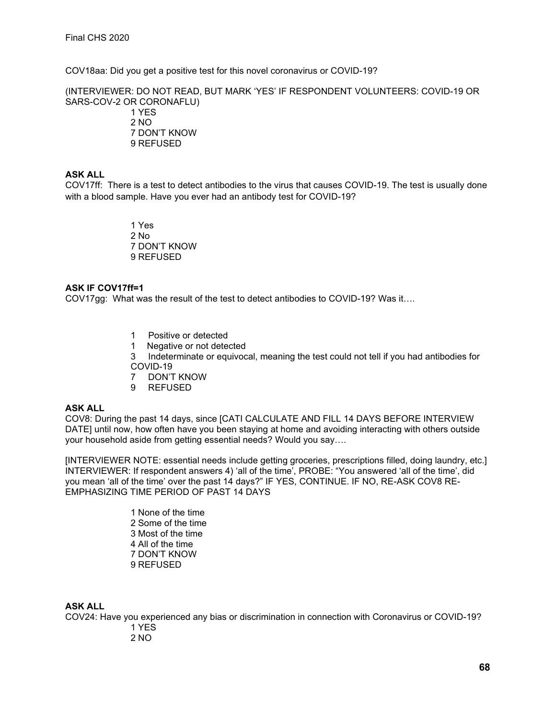COV18aa: Did you get a positive test for this novel coronavirus or COVID-19?

(INTERVIEWER: DO NOT READ, BUT MARK 'YES' IF RESPONDENT VOLUNTEERS: COVID-19 OR SARS-COV-2 OR CORONAFLU)

> 1 YES 2 NO 7 DON'T KNOW 9 REFUSED

# **ASK ALL**

COV17ff: There is a test to detect antibodies to the virus that causes COVID-19. The test is usually done with a blood sample. Have you ever had an antibody test for COVID-19?

> 1 Yes 2 No 7 DON'T KNOW 9 REFUSED

### **ASK IF COV17ff=1**

COV17gg: What was the result of the test to detect antibodies to COVID-19? Was it….

- 1 Positive or detected
- 1 Negative or not detected

3 Indeterminate or equivocal, meaning the test could not tell if you had antibodies for COVID-19

- 7 DON'T KNOW
- 9 REFUSED

### **ASK ALL**

COV8: During the past 14 days, since [CATI CALCULATE AND FILL 14 DAYS BEFORE INTERVIEW DATE] until now, how often have you been staying at home and avoiding interacting with others outside your household aside from getting essential needs? Would you say….

[INTERVIEWER NOTE: essential needs include getting groceries, prescriptions filled, doing laundry, etc.] INTERVIEWER: If respondent answers 4) 'all of the time', PROBE: "You answered 'all of the time', did you mean 'all of the time' over the past 14 days?" IF YES, CONTINUE. IF NO, RE-ASK COV8 RE-EMPHASIZING TIME PERIOD OF PAST 14 DAYS

> 1 None of the time 2 Some of the time 3 Most of the time 4 All of the time 7 DON'T KNOW 9 REFUSED

### **ASK ALL**

COV24: Have you experienced any bias or discrimination in connection with Coronavirus or COVID-19?

1 YES 2 NO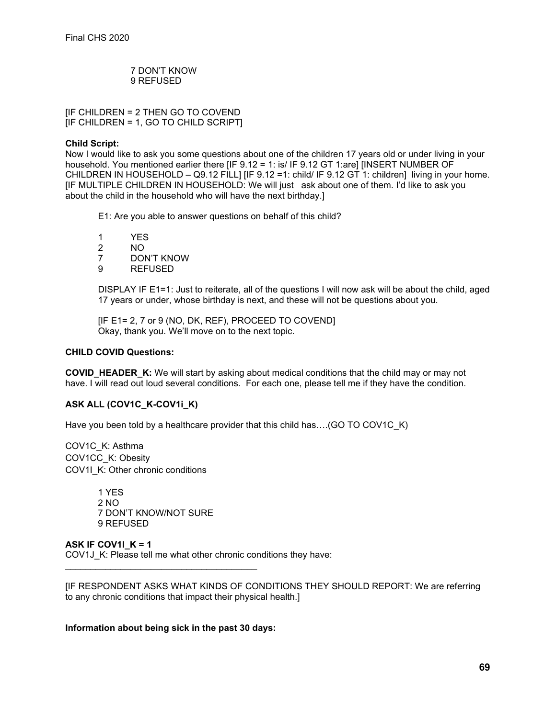7 DON'T KNOW 9 REFUSED

[IF CHILDREN = 2 THEN GO TO COVEND [IF CHILDREN = 1, GO TO CHILD SCRIPT]

#### **Child Script:**

Now I would like to ask you some questions about one of the children 17 years old or under living in your household. You mentioned earlier there [IF 9.12 = 1: is/ IF 9.12 GT 1:are] [INSERT NUMBER OF CHILDREN IN HOUSEHOLD – Q9.12 FILL] [IF 9.12 =1: child/ IF 9.12 GT 1: children] living in your home. [IF MULTIPLE CHILDREN IN HOUSEHOLD: We will just ask about one of them. I'd like to ask you about the child in the household who will have the next birthday.]

E1: Are you able to answer questions on behalf of this child?

1 YES<br>2 NO NO<sub>1</sub> 7 DON'T KNOW 9 REFUSED

DISPLAY IF E1=1: Just to reiterate, all of the questions I will now ask will be about the child, aged 17 years or under, whose birthday is next, and these will not be questions about you.

[IF E1= 2, 7 or 9 (NO, DK, REF), PROCEED TO COVEND] Okay, thank you. We'll move on to the next topic.

#### **CHILD COVID Questions:**

**COVID\_HEADER\_K:** We will start by asking about medical conditions that the child may or may not have. I will read out loud several conditions. For each one, please tell me if they have the condition.

# **ASK ALL (COV1C\_K-COV1i\_K)**

Have you been told by a healthcare provider that this child has...(GO TO COV1C K)

COV1C\_K: Asthma COV1CC\_K: Obesity COV1I\_K: Other chronic conditions

> 1 YES 2 NO 7 DON'T KNOW/NOT SURE 9 REFUSED

\_\_\_\_\_\_\_\_\_\_\_\_\_\_\_\_\_\_\_\_\_\_\_\_\_\_\_\_\_\_\_\_\_\_\_\_\_\_

# **ASK IF COV1I\_K = 1**

COV1J\_K: Please tell me what other chronic conditions they have:

[IF RESPONDENT ASKS WHAT KINDS OF CONDITIONS THEY SHOULD REPORT: We are referring to any chronic conditions that impact their physical health.]

### **Information about being sick in the past 30 days:**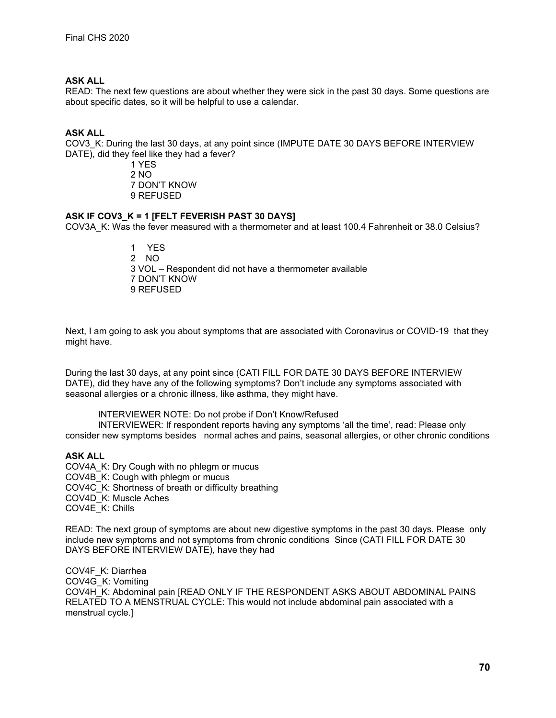### **ASK ALL**

READ: The next few questions are about whether they were sick in the past 30 days. Some questions are about specific dates, so it will be helpful to use a calendar.

### **ASK ALL**

COV3\_K: During the last 30 days, at any point since (IMPUTE DATE 30 DAYS BEFORE INTERVIEW DATE), did they feel like they had a fever?

1 YES 2 NO 7 DON'T KNOW 9 REFUSED

#### **ASK IF COV3\_K = 1 [FELT FEVERISH PAST 30 DAYS]**

COV3A\_K: Was the fever measured with a thermometer and at least 100.4 Fahrenheit or 38.0 Celsius?

1 YES 2 NO 3 VOL – Respondent did not have a thermometer available 7 DON'T KNOW 9 REFUSED

Next, I am going to ask you about symptoms that are associated with Coronavirus or COVID-19 that they might have.

During the last 30 days, at any point since (CATI FILL FOR DATE 30 DAYS BEFORE INTERVIEW DATE), did they have any of the following symptoms? Don't include any symptoms associated with seasonal allergies or a chronic illness, like asthma, they might have.

#### INTERVIEWER NOTE: Do not probe if Don't Know/Refused

INTERVIEWER: If respondent reports having any symptoms 'all the time', read: Please only consider new symptoms besides normal aches and pains, seasonal allergies, or other chronic conditions

#### **ASK ALL**

COV4A\_K: Dry Cough with no phlegm or mucus COV4B\_K: Cough with phlegm or mucus COV4C\_K: Shortness of breath or difficulty breathing COV4D\_K: Muscle Aches COV4E\_K: Chills

READ: The next group of symptoms are about new digestive symptoms in the past 30 days. Please only include new symptoms and not symptoms from chronic conditions Since (CATI FILL FOR DATE 30 DAYS BEFORE INTERVIEW DATE), have they had

COV4F\_K: Diarrhea COV4G\_K: Vomiting COV4H\_K: Abdominal pain [READ ONLY IF THE RESPONDENT ASKS ABOUT ABDOMINAL PAINS RELATED TO A MENSTRUAL CYCLE: This would not include abdominal pain associated with a menstrual cycle.]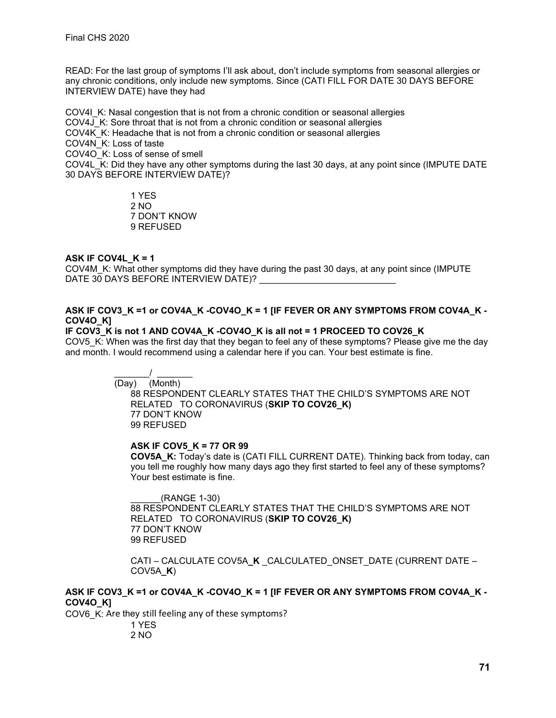READ: For the last group of symptoms I'll ask about, don't include symptoms from seasonal allergies or any chronic conditions, only include new symptoms. Since (CATI FILL FOR DATE 30 DAYS BEFORE INTERVIEW DATE) have they had

COV4I\_K: Nasal congestion that is not from a chronic condition or seasonal allergies COV4J\_K: Sore throat that is not from a chronic condition or seasonal allergies COV4K\_K: Headache that is not from a chronic condition or seasonal allergies COV4N\_K: Loss of taste COV4O\_K: Loss of sense of smell COV4L\_K: Did they have any other symptoms during the last 30 days, at any point since (IMPUTE DATE 30 DAYS BEFORE INTERVIEW DATE)?

> 1 YES 2 NO 7 DON'T KNOW 9 REFUSED

# **ASK IF COV4L\_K = 1**

COV4M\_K: What other symptoms did they have during the past 30 days, at any point since (IMPUTE DATE 30 DAYS BEFORE INTERVIEW DATE)?

# ASK IF COV3 K =1 or COV4A\_K -COV4O\_K = 1 [IF FEVER OR ANY SYMPTOMS FROM COV4A\_K -**COV4O\_K]**

### **IF COV3\_K is not 1 AND COV4A\_K -COV4O\_K is all not = 1 PROCEED TO COV26\_K**

COV5 K: When was the first day that they began to feel any of these symptoms? Please give me the day and month. I would recommend using a calendar here if you can. Your best estimate is fine.

 $\frac{1}{2}$ 

(Day) (Month) 88 RESPONDENT CLEARLY STATES THAT THE CHILD'S SYMPTOMS ARE NOT RELATED TO CORONAVIRUS (**SKIP TO COV26\_K)** 77 DON'T KNOW 99 REFUSED

#### **ASK IF COV5\_K = 77 OR 99**

**COV5A\_K:** Today's date is (CATI FILL CURRENT DATE). Thinking back from today, can you tell me roughly how many days ago they first started to feel any of these symptoms? Your best estimate is fine.

\_\_\_\_\_\_(RANGE 1-30) 88 RESPONDENT CLEARLY STATES THAT THE CHILD'S SYMPTOMS ARE NOT RELATED TO CORONAVIRUS (**SKIP TO COV26\_K)** 77 DON'T KNOW 99 REFUSED

CATI – CALCULATE COV5A**\_K** \_CALCULATED\_ONSET\_DATE (CURRENT DATE – COV5A**\_K**)

ASK IF COV3 K =1 or COV4A\_K -COV4O\_K = 1 [IF FEVER OR ANY SYMPTOMS FROM COV4A\_K -**COV4O\_K]**

COV6\_K: Are they still feeling any of these symptoms?

1 YES 2 NO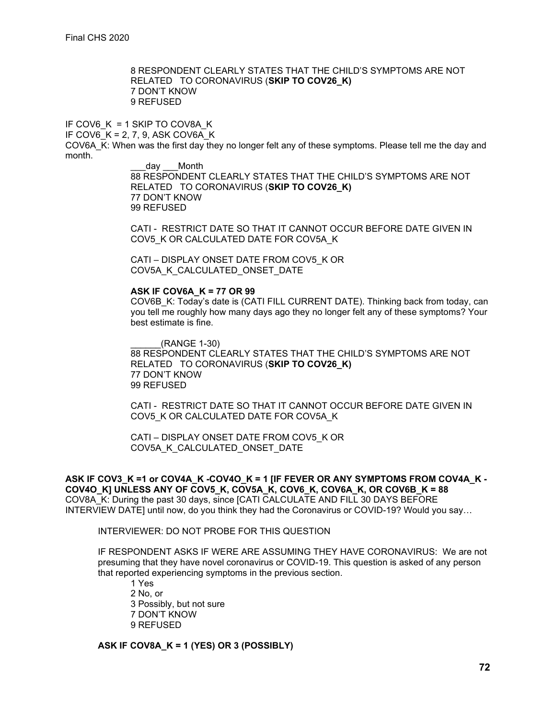8 RESPONDENT CLEARLY STATES THAT THE CHILD'S SYMPTOMS ARE NOT RELATED TO CORONAVIRUS (**SKIP TO COV26\_K)** 7 DON'T KNOW 9 REFUSED

IF COV6\_K = 1 SKIP TO COV8A\_K

IF COV6  $K = 2, 7, 9$ , ASK COV6A K

COV6A\_K: When was the first day they no longer felt any of these symptoms. Please tell me the day and month.

> \_\_\_day \_\_\_Month 88 RESPONDENT CLEARLY STATES THAT THE CHILD'S SYMPTOMS ARE NOT RELATED TO CORONAVIRUS (**SKIP TO COV26\_K)** 77 DON'T KNOW 99 REFUSED

> CATI - RESTRICT DATE SO THAT IT CANNOT OCCUR BEFORE DATE GIVEN IN COV5\_K OR CALCULATED DATE FOR COV5A\_K

CATI – DISPLAY ONSET DATE FROM COV5\_K OR COV5A\_K\_CALCULATED\_ONSET\_DATE

#### **ASK IF COV6A\_K = 77 OR 99**

COV6B\_K: Today's date is (CATI FILL CURRENT DATE). Thinking back from today, can you tell me roughly how many days ago they no longer felt any of these symptoms? Your best estimate is fine.

\_\_\_\_\_\_(RANGE 1-30) 88 RESPONDENT CLEARLY STATES THAT THE CHILD'S SYMPTOMS ARE NOT RELATED TO CORONAVIRUS (**SKIP TO COV26\_K)** 77 DON'T KNOW 99 REFUSED

CATI - RESTRICT DATE SO THAT IT CANNOT OCCUR BEFORE DATE GIVEN IN COV5\_K OR CALCULATED DATE FOR COV5A\_K

CATI – DISPLAY ONSET DATE FROM COV5\_K OR COV5A\_K\_CALCULATED\_ONSET\_DATE

ASK IF COV3 K =1 or COV4A K -COV4O K = 1 [IF FEVER OR ANY SYMPTOMS FROM COV4A K -**COV4O\_K] UNLESS ANY OF COV5\_K, COV5A\_K, COV6\_K, COV6A\_K, OR COV6B\_K = 88** COV8A\_K: During the past 30 days, since [CATI CALCULATE AND FILL 30 DAYS BEFORE INTERVIEW DATE] until now, do you think they had the Coronavirus or COVID-19? Would you say…

INTERVIEWER: DO NOT PROBE FOR THIS QUESTION

IF RESPONDENT ASKS IF WERE ARE ASSUMING THEY HAVE CORONAVIRUS: We are not presuming that they have novel coronavirus or COVID-19. This question is asked of any person that reported experiencing symptoms in the previous section.

1 Yes 2 No, or 3 Possibly, but not sure 7 DON'T KNOW 9 REFUSED

**ASK IF COV8A\_K = 1 (YES) OR 3 (POSSIBLY)**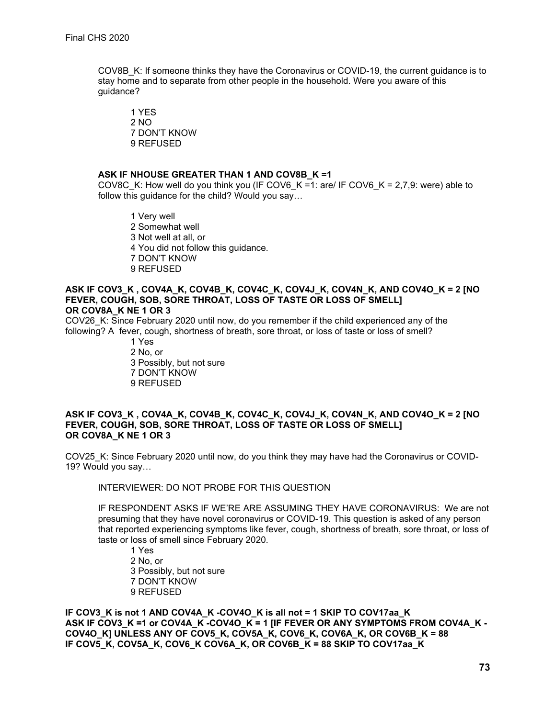COV8B\_K: If someone thinks they have the Coronavirus or COVID-19, the current guidance is to stay home and to separate from other people in the household. Were you aware of this quidance?

1 YES 2 NO 7 DON'T KNOW 9 REFUSED

# **ASK IF NHOUSE GREATER THAN 1 AND COV8B\_K =1**

COV8C\_K: How well do you think you (IF COV6\_K =1: are/ IF COV6\_K = 2,7,9: were) able to follow this guidance for the child? Would you say…

1 Very well 2 Somewhat well 3 Not well at all, or 4 You did not follow this guidance. 7 DON'T KNOW 9 REFUSED

#### **ASK IF COV3\_K , COV4A\_K, COV4B\_K, COV4C\_K, COV4J\_K, COV4N\_K, AND COV4O\_K = 2 [NO FEVER, COUGH, SOB, SORE THROAT, LOSS OF TASTE OR LOSS OF SMELL] OR COV8A\_K NE 1 OR 3**

COV26\_K: Since February 2020 until now, do you remember if the child experienced any of the following? A fever, cough, shortness of breath, sore throat, or loss of taste or loss of smell?

> 1 Yes 2 No, or 3 Possibly, but not sure 7 DON'T KNOW 9 REFUSED

#### **ASK IF COV3\_K , COV4A\_K, COV4B\_K, COV4C\_K, COV4J\_K, COV4N\_K, AND COV4O\_K = 2 [NO FEVER, COUGH, SOB, SORE THROAT, LOSS OF TASTE OR LOSS OF SMELL] OR COV8A\_K NE 1 OR 3**

COV25\_K: Since February 2020 until now, do you think they may have had the Coronavirus or COVID-19? Would you say…

INTERVIEWER: DO NOT PROBE FOR THIS QUESTION

IF RESPONDENT ASKS IF WE'RE ARE ASSUMING THEY HAVE CORONAVIRUS: We are not presuming that they have novel coronavirus or COVID-19. This question is asked of any person that reported experiencing symptoms like fever, cough, shortness of breath, sore throat, or loss of taste or loss of smell since February 2020.

1 Yes 2 No, or 3 Possibly, but not sure 7 DON'T KNOW 9 REFUSED

**IF COV3\_K is not 1 AND COV4A\_K -COV4O\_K is all not = 1 SKIP TO COV17aa\_K ASK IF COV3\_K =1 or COV4A\_K -COV4O\_K = 1 [IF FEVER OR ANY SYMPTOMS FROM COV4A\_K -** COV4O\_K] UNLESS ANY OF COV5\_K, COV5A\_K, COV6\_K, COV6A\_K, OR COV6B\_K = 88 **IF COV5\_K, COV5A\_K, COV6\_K COV6A\_K, OR COV6B\_K = 88 SKIP TO COV17aa\_K**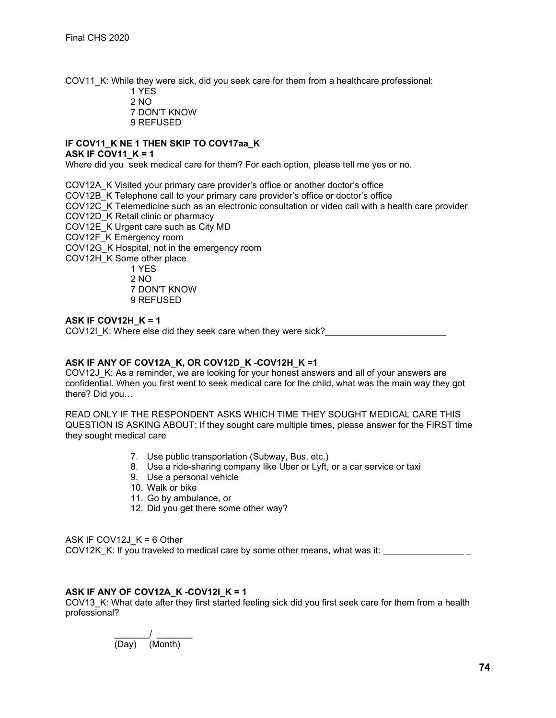COV11\_K: While they were sick, did you seek care for them from a healthcare professional:

1 YES 2 NO 7 DON'T KNOW 9 REFUSED

#### **IF COV11\_K NE 1 THEN SKIP TO COV17aa\_K ASK IF COV11\_K = 1**

Where did you seek medical care for them? For each option, please tell me yes or no.

COV12A\_K Visited your primary care provider's office or another doctor's office COV12B\_K Telephone call to your primary care provider's office or doctor's office COV12C\_K Telemedicine such as an electronic consultation or video call with a health care provider COV12D\_K Retail clinic or pharmacy COV12E\_K Urgent care such as City MD COV12F\_K Emergency room COV12G\_K Hospital, not in the emergency room COV12H\_K Some other place 1 YES

2 NO 7 DON'T KNOW 9 REFUSED

# **ASK IF COV12H\_K = 1**

COV12I K: Where else did they seek care when they were sick?

# **ASK IF ANY OF COV12A\_K, OR COV12D\_K -COV12H\_K =1**

COV12J\_K: As a reminder, we are looking for your honest answers and all of your answers are confidential. When you first went to seek medical care for the child, what was the main way they got there? Did you…

READ ONLY IF THE RESPONDENT ASKS WHICH TIME THEY SOUGHT MEDICAL CARE THIS QUESTION IS ASKING ABOUT: If they sought care multiple times, please answer for the FIRST time they sought medical care

- 7. Use public transportation (Subway, Bus, etc.)
- 8. Use a ride-sharing company like Uber or Lyft, or a car service or taxi
- 9. Use a personal vehicle
- 10. Walk or bike
- 11. Go by ambulance, or
- 12. Did you get there some other way?

#### ASK IF COV12J  $K = 6$  Other

COV12K K: If you traveled to medical care by some other means, what was it: \_\_\_\_\_\_\_\_\_\_\_\_\_\_\_

# **ASK IF ANY OF COV12A\_K -COV12I\_K = 1**

COV13\_K: What date after they first started feeling sick did you first seek care for them from a health professional?

> $\frac{1}{\sqrt{2\pi}}$ (Day) (Month)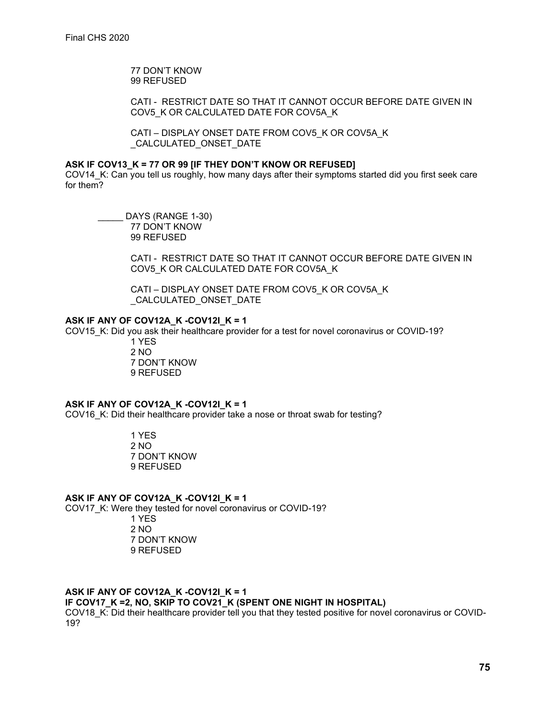77 DON'T KNOW 99 REFUSED

CATI - RESTRICT DATE SO THAT IT CANNOT OCCUR BEFORE DATE GIVEN IN COV5\_K OR CALCULATED DATE FOR COV5A\_K

CATI – DISPLAY ONSET DATE FROM COV5\_K OR COV5A\_K \_CALCULATED\_ONSET\_DATE

# **ASK IF COV13\_K = 77 OR 99 [IF THEY DON'T KNOW OR REFUSED]**

COV14\_K: Can you tell us roughly, how many days after their symptoms started did you first seek care for them?

DAYS (RANGE 1-30) 77 DON'T KNOW 99 REFUSED

> CATI - RESTRICT DATE SO THAT IT CANNOT OCCUR BEFORE DATE GIVEN IN COV5\_K OR CALCULATED DATE FOR COV5A\_K

CATI – DISPLAY ONSET DATE FROM COV5\_K OR COV5A\_K \_CALCULATED\_ONSET\_DATE

# **ASK IF ANY OF COV12A\_K -COV12I\_K = 1**

COV15\_K: Did you ask their healthcare provider for a test for novel coronavirus or COVID-19?

1 YES 2 NO 7 DON'T KNOW 9 REFUSED

# **ASK IF ANY OF COV12A\_K -COV12I\_K = 1**

COV16 K: Did their healthcare provider take a nose or throat swab for testing?

1 YES 2 NO 7 DON'T KNOW 9 REFUSED

# **ASK IF ANY OF COV12A\_K -COV12I\_K = 1**

COV17 K: Were they tested for novel coronavirus or COVID-19?

1 YES 2 NO 7 DON'T KNOW 9 REFUSED

# **ASK IF ANY OF COV12A\_K -COV12I\_K = 1**

#### **IF COV17\_K =2, NO, SKIP TO COV21\_K (SPENT ONE NIGHT IN HOSPITAL)**

COV18\_K: Did their healthcare provider tell you that they tested positive for novel coronavirus or COVID-19?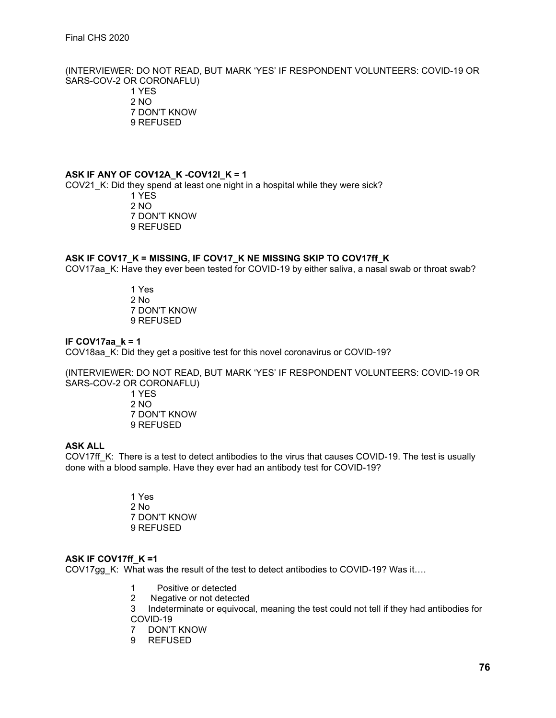(INTERVIEWER: DO NOT READ, BUT MARK 'YES' IF RESPONDENT VOLUNTEERS: COVID-19 OR SARS-COV-2 OR CORONAFLU)

1 YES 2 NO 7 DON'T KNOW 9 REFUSED

# **ASK IF ANY OF COV12A\_K -COV12I\_K = 1**

COV21 K: Did they spend at least one night in a hospital while they were sick?

1 YES 2 NO 7 DON'T KNOW 9 REFUSED

# **ASK IF COV17\_K = MISSING, IF COV17\_K NE MISSING SKIP TO COV17ff\_K**

COV17aa\_K: Have they ever been tested for COVID-19 by either saliva, a nasal swab or throat swab?

1 Yes 2 No 7 DON'T KNOW 9 REFUSED

#### **IF COV17aa\_k = 1**

COV18aa\_K: Did they get a positive test for this novel coronavirus or COVID-19?

(INTERVIEWER: DO NOT READ, BUT MARK 'YES' IF RESPONDENT VOLUNTEERS: COVID-19 OR SARS-COV-2 OR CORONAFLU)

1 YES 2 NO 7 DON'T KNOW 9 REFUSED

# **ASK ALL**

COV17ff\_K: There is a test to detect antibodies to the virus that causes COVID-19. The test is usually done with a blood sample. Have they ever had an antibody test for COVID-19?

> 1 Yes 2 No 7 DON'T KNOW 9 REFUSED

# **ASK IF COV17ff\_K =1**

COV17gg\_K: What was the result of the test to detect antibodies to COVID-19? Was it….

- 1 Positive or detected<br>2 Negative or not detect
- 2 Negative or not detected<br>3 Indeterminate or equivoca

Indeterminate or equivocal, meaning the test could not tell if they had antibodies for COVID-19

- 7 DON'T KNOW
- 9 REFUSED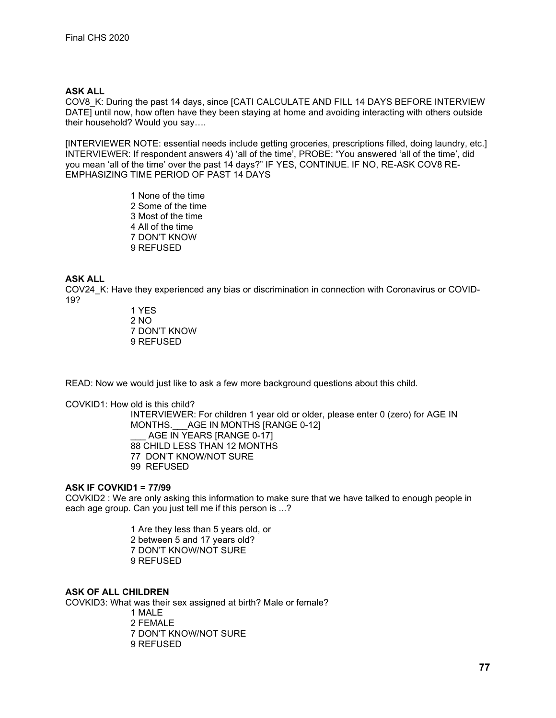# **ASK ALL**

COV8\_K: During the past 14 days, since [CATI CALCULATE AND FILL 14 DAYS BEFORE INTERVIEW DATE] until now, how often have they been staying at home and avoiding interacting with others outside their household? Would you say….

[INTERVIEWER NOTE: essential needs include getting groceries, prescriptions filled, doing laundry, etc.] INTERVIEWER: If respondent answers 4) 'all of the time', PROBE: "You answered 'all of the time', did you mean 'all of the time' over the past 14 days?" IF YES, CONTINUE. IF NO, RE-ASK COV8 RE-EMPHASIZING TIME PERIOD OF PAST 14 DAYS

> 1 None of the time 2 Some of the time 3 Most of the time 4 All of the time 7 DON'T KNOW 9 REFUSED

# **ASK ALL**

COV24\_K: Have they experienced any bias or discrimination in connection with Coronavirus or COVID-19?

1 YES 2 NO 7 DON'T KNOW 9 REFUSED

READ: Now we would just like to ask a few more background questions about this child.

COVKID1: How old is this child?

INTERVIEWER: For children 1 year old or older, please enter 0 (zero) for AGE IN MONTHS. AGE IN MONTHS [RANGE 0-12] AGE IN YEARS IRANGE 0-171 88 CHILD LESS THAN 12 MONTHS 77 DON'T KNOW/NOT SURE 99 REFUSED

# **ASK IF COVKID1 = 77/99**

COVKID2 : We are only asking this information to make sure that we have talked to enough people in each age group. Can you just tell me if this person is ...?

> 1 Are they less than 5 years old, or 2 between 5 and 17 years old? 7 DON'T KNOW/NOT SURE 9 REFUSED

# **ASK OF ALL CHILDREN**

COVKID3: What was their sex assigned at birth? Male or female? 1 MALE 2 FEMALE 7 DON'T KNOW/NOT SURE 9 REFUSED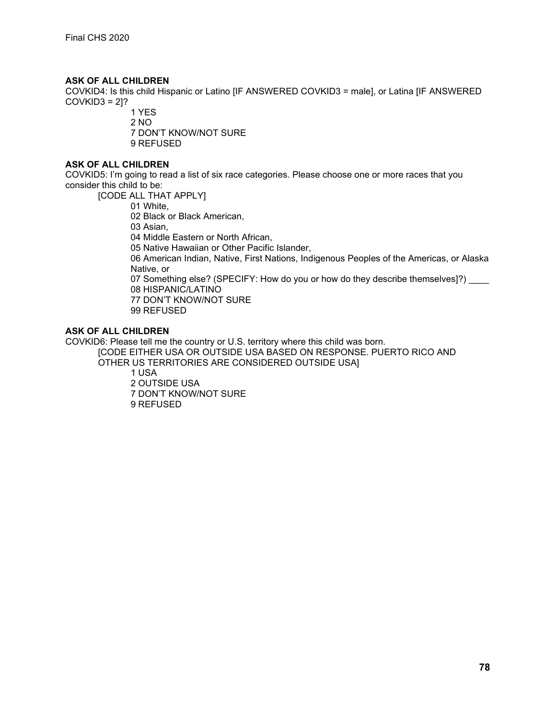# **ASK OF ALL CHILDREN**

COVKID4: Is this child Hispanic or Latino [IF ANSWERED COVKID3 = male], or Latina [IF ANSWERED COVKID3 = 2]?

> 1 YES 2 NO 7 DON'T KNOW/NOT SURE 9 REFUSED

# **ASK OF ALL CHILDREN**

COVKID5: I'm going to read a list of six race categories. Please choose one or more races that you consider this child to be:

[CODE ALL THAT APPLY]

01 White,

02 Black or Black American,

03 Asian,

04 Middle Eastern or North African,

05 Native Hawaiian or Other Pacific Islander,

06 American Indian, Native, First Nations, Indigenous Peoples of the Americas, or Alaska Native, or

07 Something else? (SPECIFY: How do you or how do they describe themselves]?) \_\_\_\_ 08 HISPANIC/LATINO

77 DON'T KNOW/NOT SURE

99 REFUSED

# **ASK OF ALL CHILDREN**

COVKID6: Please tell me the country or U.S. territory where this child was born.

[CODE EITHER USA OR OUTSIDE USA BASED ON RESPONSE. PUERTO RICO AND OTHER US TERRITORIES ARE CONSIDERED OUTSIDE USA]

1 USA

2 OUTSIDE USA 7 DON'T KNOW/NOT SURE 9 REFUSED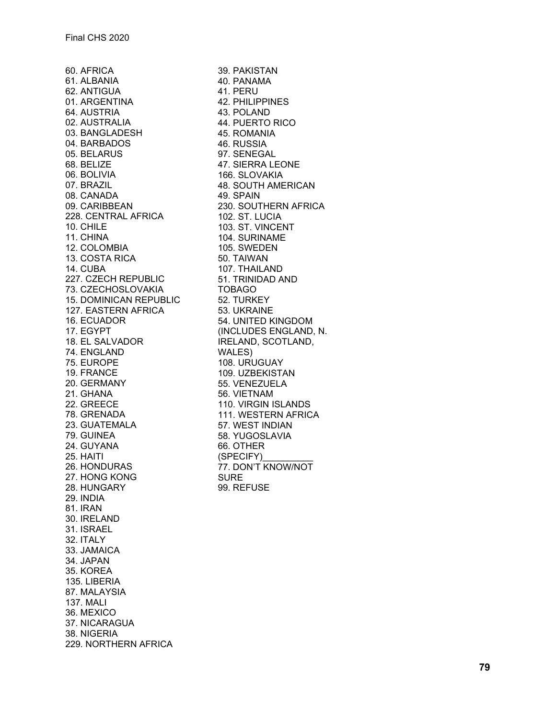60. AFRICA 61. ALBANIA 62. ANTIGUA 01. ARGENTINA 64. AUSTRIA 02. AUSTRALIA 03. BANGLADESH 04. BARBADOS 05. BELARUS 68. BELIZE 06. BOLIVIA 07. BRAZIL 08. CANADA 09. CARIBBEAN 228. CENTRAL AFRICA 10. CHILE 11. CHINA 12. COLOMBIA 13. COSTA RICA 14. CUBA 227. CZECH REPUBLIC 73. CZECHOSLOVAKIA 15. DOMINICAN REPUBLIC 127. EASTERN AFRICA 16. ECUADOR 17. EGYPT 18. EL SALVADOR 74. ENGLAND 75. EUROPE 19. FRANCE 20. GERMANY 21. GHANA 22. GREECE 78. GRENADA 23. GUATEMALA 79. GUINEA 24. GUYANA 25. HAITI 26. HONDURAS 27. HONG KONG 28. HUNGARY 29. INDIA 81. IRAN 30. IRELAND 31. ISRAEL 32. ITALY 33. JAMAICA 34. JAPAN 35. KOREA 135. LIBERIA 87. MALAYSIA 137. MALI 36. MEXICO 37. NICARAGUA 38. NIGERIA 229. NORTHERN AFRICA

39. PAKISTAN 40. PANAMA 41. PERU 42. PHILIPPINES 43. POLAND 44. PUERTO RICO 45. ROMANIA 46. RUSSIA 97. SENEGAL 47. SIERRA LEONE 166. SLOVAKIA 48. SOUTH AMERICAN 49. SPAIN 230. SOUTHERN AFRICA 102. ST. LUCIA 103. ST. VINCENT 104. SURINAME 105. SWEDEN 50. TAIWAN 107. THAILAND 51. TRINIDAD AND TOBAGO 52. TURKEY 53. UKRAINE 54. UNITED KINGDOM (INCLUDES ENGLAND, N. IRELAND, SCOTLAND, WALES) 108. URUGUAY 109. UZBEKISTAN 55. VENEZUELA 56. VIETNAM 110. VIRGIN ISLANDS 111. WESTERN AFRICA 57. WEST INDIAN 58. YUGOSLAVIA 66. OTHER (SPECIFY)\_\_\_\_\_\_\_\_\_\_ 77. DON'T KNOW/NOT SURE 99. REFUSE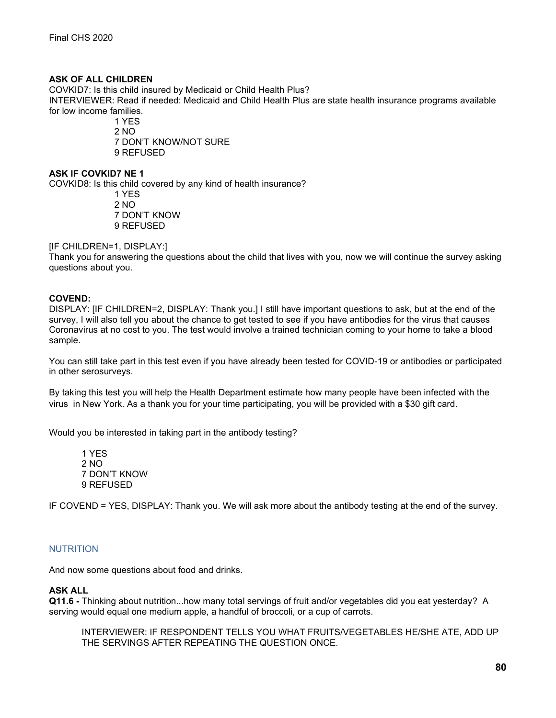# **ASK OF ALL CHILDREN**

COVKID7: Is this child insured by Medicaid or Child Health Plus? INTERVIEWER: Read if needed: Medicaid and Child Health Plus are state health insurance programs available for low income families.

1 YES 2 NO 7 DON'T KNOW/NOT SURE 9 REFUSED

# **ASK IF COVKID7 NE 1**

COVKID8: Is this child covered by any kind of health insurance?

1 YES 2 NO 7 DON'T KNOW 9 REFUSED

# [IF CHILDREN=1, DISPLAY:]

Thank you for answering the questions about the child that lives with you, now we will continue the survey asking questions about you.

# **COVEND:**

DISPLAY: [IF CHILDREN=2, DISPLAY: Thank you.] I still have important questions to ask, but at the end of the survey, I will also tell you about the chance to get tested to see if you have antibodies for the virus that causes Coronavirus at no cost to you. The test would involve a trained technician coming to your home to take a blood sample.

You can still take part in this test even if you have already been tested for COVID-19 or antibodies or participated in other serosurveys.

By taking this test you will help the Health Department estimate how many people have been infected with the virus in New York. As a thank you for your time participating, you will be provided with a \$30 gift card.

Would you be interested in taking part in the antibody testing?

1 YES 2 NO 7 DON'T KNOW 9 REFUSED

IF COVEND = YES, DISPLAY: Thank you. We will ask more about the antibody testing at the end of the survey.

# **NUTRITION**

And now some questions about food and drinks.

# **ASK ALL**

**Q11.6 -** Thinking about nutrition...how many total servings of fruit and/or vegetables did you eat yesterday? A serving would equal one medium apple, a handful of broccoli, or a cup of carrots.

INTERVIEWER: IF RESPONDENT TELLS YOU WHAT FRUITS/VEGETABLES HE/SHE ATE, ADD UP THE SERVINGS AFTER REPEATING THE QUESTION ONCE.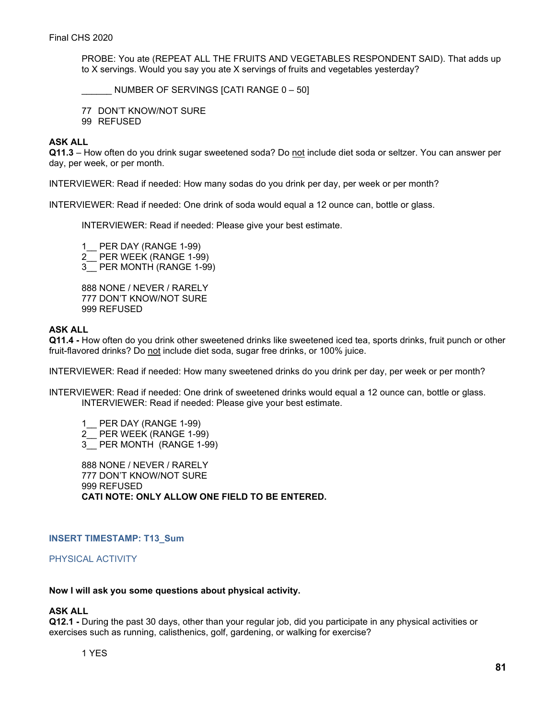PROBE: You ate (REPEAT ALL THE FRUITS AND VEGETABLES RESPONDENT SAID). That adds up to X servings. Would you say you ate X servings of fruits and vegetables yesterday?

NUMBER OF SERVINGS [CATI RANGE  $0 - 50$ ]

77 DON'T KNOW/NOT SURE 99 REFUSED

#### **ASK ALL**

**Q11.3** – How often do you drink sugar sweetened soda? Do not include diet soda or seltzer. You can answer per day, per week, or per month.

INTERVIEWER: Read if needed: How many sodas do you drink per day, per week or per month?

INTERVIEWER: Read if needed: One drink of soda would equal a 12 ounce can, bottle or glass.

INTERVIEWER: Read if needed: Please give your best estimate.

1\_\_ PER DAY (RANGE 1-99) 2 PER WEEK (RANGE 1-99) 3\_\_ PER MONTH (RANGE 1-99)

888 NONE / NEVER / RARELY 777 DON'T KNOW/NOT SURE 999 REFUSED

# **ASK ALL**

**Q11.4 -** How often do you drink other sweetened drinks like sweetened iced tea, sports drinks, fruit punch or other fruit-flavored drinks? Do not include diet soda, sugar free drinks, or 100% juice.

INTERVIEWER: Read if needed: How many sweetened drinks do you drink per day, per week or per month?

INTERVIEWER: Read if needed: One drink of sweetened drinks would equal a 12 ounce can, bottle or glass. INTERVIEWER: Read if needed: Please give your best estimate.

1\_\_ PER DAY (RANGE 1-99)

- 2\_\_ PER WEEK (RANGE 1-99)
- 3\_\_ PER MONTH (RANGE 1-99)

888 NONE / NEVER / RARELY 777 DON'T KNOW/NOT SURE 999 REFUSED **CATI NOTE: ONLY ALLOW ONE FIELD TO BE ENTERED.**

# **INSERT TIMESTAMP: T13\_Sum**

# PHYSICAL ACTIVITY

# **Now I will ask you some questions about physical activity.**

#### **ASK ALL**

**Q12.1 -** During the past 30 days, other than your regular job, did you participate in any physical activities or exercises such as running, calisthenics, golf, gardening, or walking for exercise?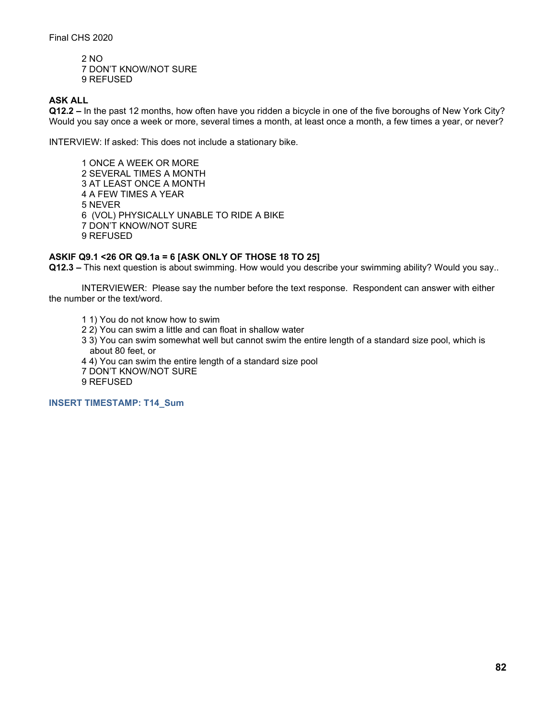2 NO 7 DON'T KNOW/NOT SURE 9 REFUSED

# **ASK ALL**

**Q12.2 –** In the past 12 months, how often have you ridden a bicycle in one of the five boroughs of New York City? Would you say once a week or more, several times a month, at least once a month, a few times a year, or never?

INTERVIEW: If asked: This does not include a stationary bike.

1 ONCE A WEEK OR MORE 2 SEVERAL TIMES A MONTH 3 AT LEAST ONCE A MONTH 4 A FEW TIMES A YEAR 5 NEVER 6 (VOL) PHYSICALLY UNABLE TO RIDE A BIKE 7 DON'T KNOW/NOT SURE 9 REFUSED

# **ASKIF Q9.1 <26 OR Q9.1a = 6 [ASK ONLY OF THOSE 18 TO 25]**

**Q12.3 –** This next question is about swimming. How would you describe your swimming ability? Would you say..

INTERVIEWER: Please say the number before the text response. Respondent can answer with either the number or the text/word.

1 1) You do not know how to swim

- 2 2) You can swim a little and can float in shallow water
- 3 3) You can swim somewhat well but cannot swim the entire length of a standard size pool, which is about 80 feet, or

4 4) You can swim the entire length of a standard size pool

7 DON'T KNOW/NOT SURE

9 REFUSED

**INSERT TIMESTAMP: T14\_Sum**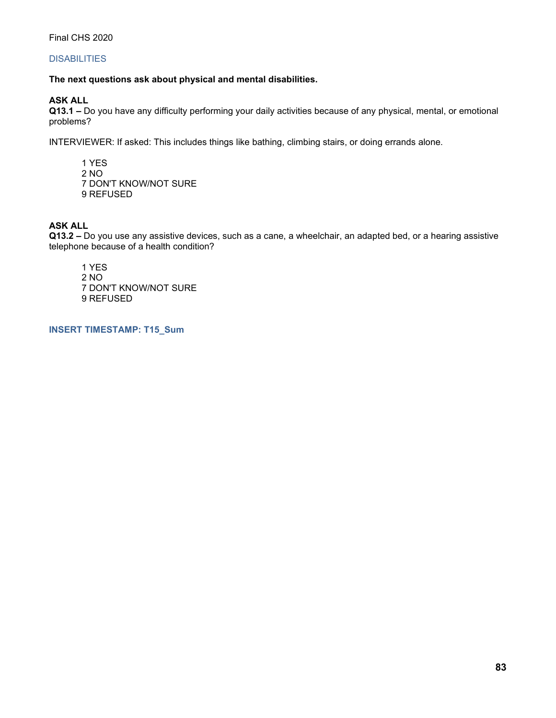# **DISABILITIES**

# **The next questions ask about physical and mental disabilities.**

# **ASK ALL**

**Q13.1 –** Do you have any difficulty performing your daily activities because of any physical, mental, or emotional problems?

INTERVIEWER: If asked: This includes things like bathing, climbing stairs, or doing errands alone.

1 YES 2 NO 7 DON'T KNOW/NOT SURE 9 REFUSED

# **ASK ALL**

**Q13.2 –** Do you use any assistive devices, such as a cane, a wheelchair, an adapted bed, or a hearing assistive telephone because of a health condition?

1 YES 2 NO 7 DON'T KNOW/NOT SURE 9 REFUSED

**INSERT TIMESTAMP: T15\_Sum**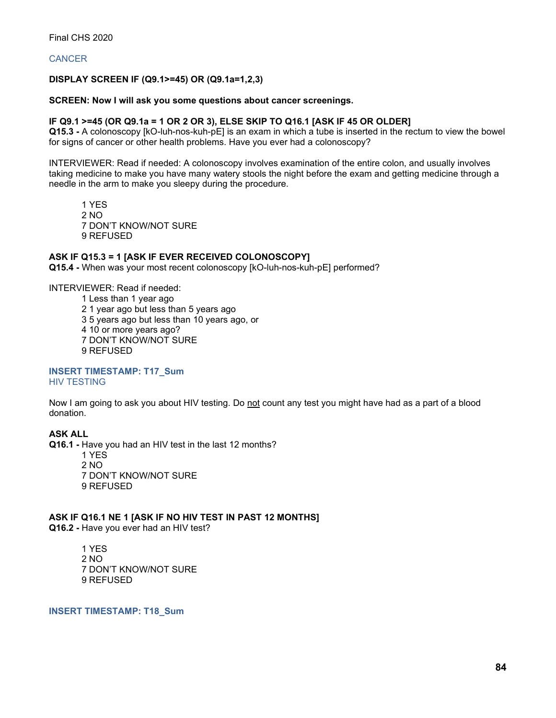# **CANCER**

# **DISPLAY SCREEN IF (Q9.1>=45) OR (Q9.1a=1,2,3)**

#### **SCREEN: Now I will ask you some questions about cancer screenings.**

# **IF Q9.1 >=45 (OR Q9.1a = 1 OR 2 OR 3), ELSE SKIP TO Q16.1 [ASK IF 45 OR OLDER]**

**Q15.3 -** A colonoscopy [kO-luh-nos-kuh-pE] is an exam in which a tube is inserted in the rectum to view the bowel for signs of cancer or other health problems. Have you ever had a colonoscopy?

INTERVIEWER: Read if needed: A colonoscopy involves examination of the entire colon, and usually involves taking medicine to make you have many watery stools the night before the exam and getting medicine through a needle in the arm to make you sleepy during the procedure.

1 YES 2 NO 7 DON'T KNOW/NOT SURE 9 REFUSED

# **ASK IF Q15.3 = 1 [ASK IF EVER RECEIVED COLONOSCOPY]**

**Q15.4 -** When was your most recent colonoscopy [kO-luh-nos-kuh-pE] performed?

INTERVIEWER: Read if needed:

1 Less than 1 year ago

2 1 year ago but less than 5 years ago

3 5 years ago but less than 10 years ago, or

4 10 or more years ago?

7 DON'T KNOW/NOT SURE

9 REFUSED

# **INSERT TIMESTAMP: T17\_Sum**

HIV TESTING

Now I am going to ask you about HIV testing. Do not count any test you might have had as a part of a blood donation.

**ASK ALL**

**Q16.1 -** Have you had an HIV test in the last 12 months?

1 YES 2 NO 7 DON'T KNOW/NOT SURE 9 REFUSED

**ASK IF Q16.1 NE 1 [ASK IF NO HIV TEST IN PAST 12 MONTHS]**

**Q16.2 -** Have you ever had an HIV test?

1 YES 2 NO 7 DON'T KNOW/NOT SURE 9 REFUSED

#### **INSERT TIMESTAMP: T18\_Sum**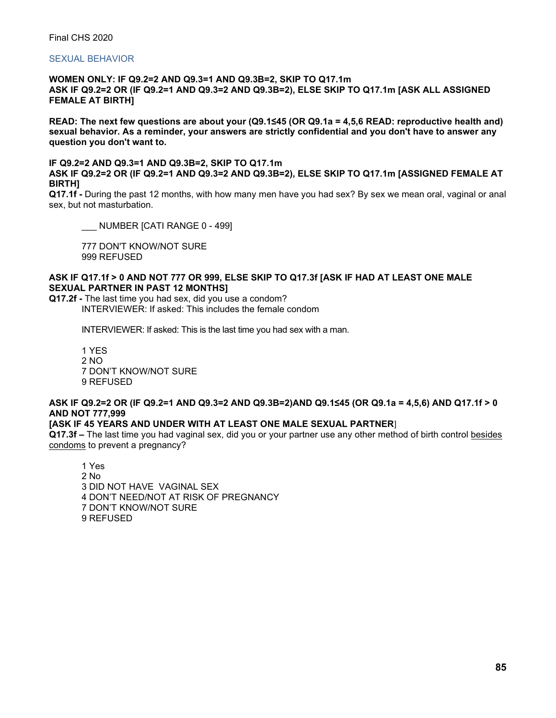# SEXUAL BEHAVIOR

**WOMEN ONLY: IF Q9.2=2 AND Q9.3=1 AND Q9.3B=2, SKIP TO Q17.1m ASK IF Q9.2=2 OR (IF Q9.2=1 AND Q9.3=2 AND Q9.3B=2), ELSE SKIP TO Q17.1m [ASK ALL ASSIGNED FEMALE AT BIRTH]**

**READ: The next few questions are about your (Q9.1≤45 (OR Q9.1a = 4,5,6 READ: reproductive health and) sexual behavior. As a reminder, your answers are strictly confidential and you don't have to answer any question you don't want to.**

# **IF Q9.2=2 AND Q9.3=1 AND Q9.3B=2, SKIP TO Q17.1m ASK IF Q9.2=2 OR (IF Q9.2=1 AND Q9.3=2 AND Q9.3B=2), ELSE SKIP TO Q17.1m [ASSIGNED FEMALE AT BIRTH]**

**Q17.1f -** During the past 12 months, with how many men have you had sex? By sex we mean oral, vaginal or anal sex, but not masturbation.

NUMBER [CATI RANGE 0 - 499]

777 DON'T KNOW/NOT SURE 999 REFUSED

# **ASK IF Q17.1f > 0 AND NOT 777 OR 999, ELSE SKIP TO Q17.3f [ASK IF HAD AT LEAST ONE MALE SEXUAL PARTNER IN PAST 12 MONTHS]**

**Q17.2f -** The last time you had sex, did you use a condom? INTERVIEWER: If asked: This includes the female condom

INTERVIEWER: If asked: This is the last time you had sex with a man.

1 YES 2 NO 7 DON'T KNOW/NOT SURE 9 REFUSED

# **ASK IF Q9.2=2 OR (IF Q9.2=1 AND Q9.3=2 AND Q9.3B=2)AND Q9.1≤45 (OR Q9.1a = 4,5,6) AND Q17.1f > 0 AND NOT 777,999**

# **[ASK IF 45 YEARS AND UNDER WITH AT LEAST ONE MALE SEXUAL PARTNER**]

**Q17.3f –** The last time you had vaginal sex, did you or your partner use any other method of birth control besides condoms to prevent a pregnancy?

1 Yes 2 No 3 DID NOT HAVE VAGINAL SEX 4 DON'T NEED/NOT AT RISK OF PREGNANCY 7 DON'T KNOW/NOT SURE 9 REFUSED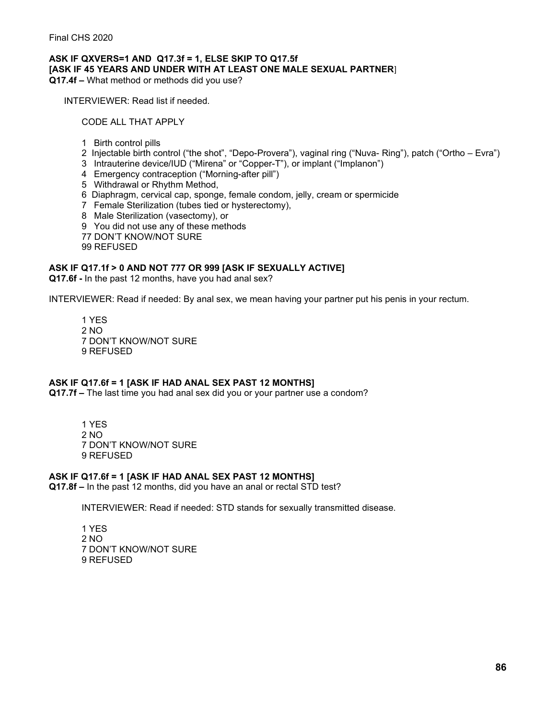#### **ASK IF QXVERS=1 AND Q17.3f = 1, ELSE SKIP TO Q17.5f [ASK IF 45 YEARS AND UNDER WITH AT LEAST ONE MALE SEXUAL PARTNER**] **Q17.4f –** What method or methods did you use?

INTERVIEWER: Read list if needed.

CODE ALL THAT APPLY

- 1 Birth control pills
- 2 Injectable birth control ("the shot", "Depo-Provera"), vaginal ring ("Nuva- Ring"), patch ("Ortho Evra")
- 3 Intrauterine device/IUD ("Mirena" or "Copper-T"), or implant ("Implanon")
- 4 Emergency contraception ("Morning-after pill")
- 5 Withdrawal or Rhythm Method,
- 6 Diaphragm, cervical cap, sponge, female condom, jelly, cream or spermicide
- 7 Female Sterilization (tubes tied or hysterectomy),
- 8 Male Sterilization (vasectomy), or
- 9 You did not use any of these methods
- 77 DON'T KNOW/NOT SURE

99 REFUSED

# **ASK IF Q17.1f > 0 AND NOT 777 OR 999 [ASK IF SEXUALLY ACTIVE]**

**Q17.6f -** In the past 12 months, have you had anal sex?

INTERVIEWER: Read if needed: By anal sex, we mean having your partner put his penis in your rectum.

1 YES 2 NO 7 DON'T KNOW/NOT SURE 9 REFUSED

# **ASK IF Q17.6f = 1 [ASK IF HAD ANAL SEX PAST 12 MONTHS]**

**Q17.7f –** The last time you had anal sex did you or your partner use a condom?

1 YES 2 NO 7 DON'T KNOW/NOT SURE 9 REFUSED

# **ASK IF Q17.6f = 1 [ASK IF HAD ANAL SEX PAST 12 MONTHS]**

**Q17.8f –** In the past 12 months, did you have an anal or rectal STD test?

INTERVIEWER: Read if needed: STD stands for sexually transmitted disease.

1 YES 2 NO 7 DON'T KNOW/NOT SURE 9 REFUSED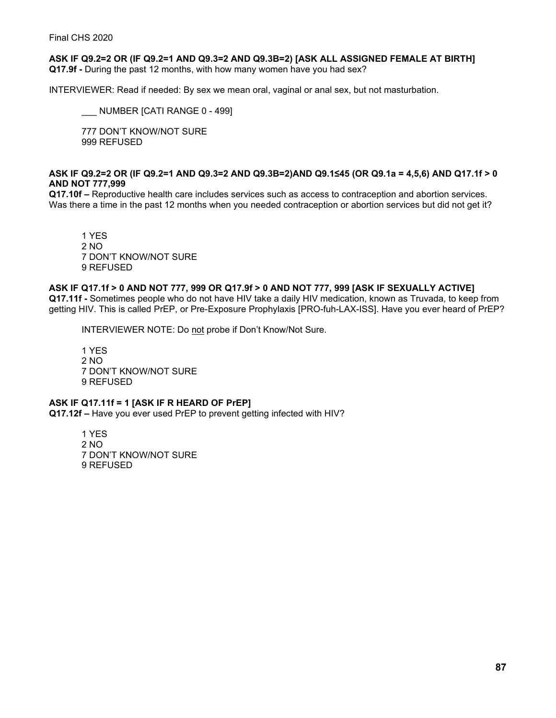**ASK IF Q9.2=2 OR (IF Q9.2=1 AND Q9.3=2 AND Q9.3B=2) [ASK ALL ASSIGNED FEMALE AT BIRTH] Q17.9f -** During the past 12 months, with how many women have you had sex?

INTERVIEWER: Read if needed: By sex we mean oral, vaginal or anal sex, but not masturbation.

\_\_\_ NUMBER [CATI RANGE 0 - 499]

777 DON'T KNOW/NOT SURE 999 REFUSED

# **ASK IF Q9.2=2 OR (IF Q9.2=1 AND Q9.3=2 AND Q9.3B=2)AND Q9.1≤45 (OR Q9.1a = 4,5,6) AND Q17.1f > 0 AND NOT 777,999**

**Q17.10f –** Reproductive health care includes services such as access to contraception and abortion services. Was there a time in the past 12 months when you needed contraception or abortion services but did not get it?

1 YES 2 NO 7 DON'T KNOW/NOT SURE 9 REFUSED

# **ASK IF Q17.1f > 0 AND NOT 777, 999 OR Q17.9f > 0 AND NOT 777, 999 [ASK IF SEXUALLY ACTIVE]**

**Q17.11f -** Sometimes people who do not have HIV take a daily HIV medication, known as Truvada, to keep from getting HIV. This is called PrEP, or Pre-Exposure Prophylaxis [PRO-fuh-LAX-ISS]. Have you ever heard of PrEP?

INTERVIEWER NOTE: Do not probe if Don't Know/Not Sure.

1 YES 2 NO 7 DON'T KNOW/NOT SURE 9 REFUSED

# **ASK IF Q17.11f = 1 [ASK IF R HEARD OF PrEP]**

**Q17.12f –** Have you ever used PrEP to prevent getting infected with HIV?

1 YES 2 NO 7 DON'T KNOW/NOT SURE 9 REFUSED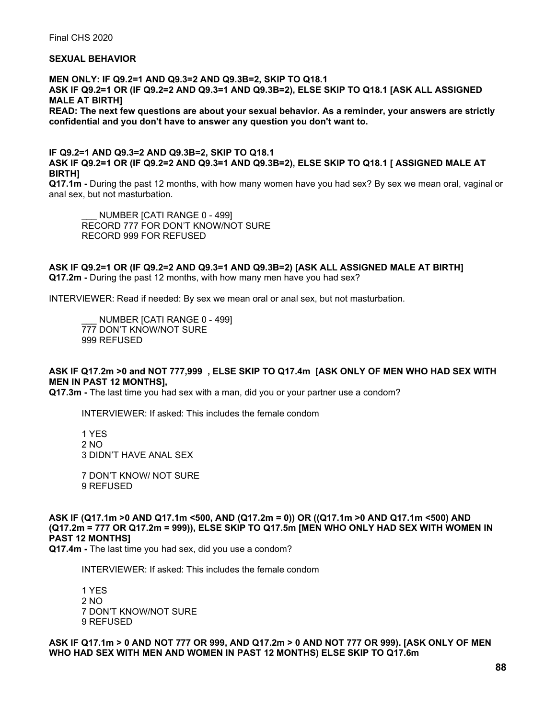#### **SEXUAL BEHAVIOR**

**MEN ONLY: IF Q9.2=1 AND Q9.3=2 AND Q9.3B=2, SKIP TO Q18.1 ASK IF Q9.2=1 OR (IF Q9.2=2 AND Q9.3=1 AND Q9.3B=2), ELSE SKIP TO Q18.1 [ASK ALL ASSIGNED MALE AT BIRTH]**

**READ: The next few questions are about your sexual behavior. As a reminder, your answers are strictly confidential and you don't have to answer any question you don't want to.**

**IF Q9.2=1 AND Q9.3=2 AND Q9.3B=2, SKIP TO Q18.1 ASK IF Q9.2=1 OR (IF Q9.2=2 AND Q9.3=1 AND Q9.3B=2), ELSE SKIP TO Q18.1 [ ASSIGNED MALE AT BIRTH]**

**Q17.1m -** During the past 12 months, with how many women have you had sex? By sex we mean oral, vaginal or anal sex, but not masturbation.

NUMBER [CATI RANGE 0 - 499] RECORD 777 FOR DON'T KNOW/NOT SURE RECORD 999 FOR REFUSED

**ASK IF Q9.2=1 OR (IF Q9.2=2 AND Q9.3=1 AND Q9.3B=2) [ASK ALL ASSIGNED MALE AT BIRTH] Q17.2m -** During the past 12 months, with how many men have you had sex?

INTERVIEWER: Read if needed: By sex we mean oral or anal sex, but not masturbation.

NUMBER [CATI RANGE 0 - 499] 777 DON'T KNOW/NOT SURE 999 REFUSED

# **ASK IF Q17.2m >0 and NOT 777,999 , ELSE SKIP TO Q17.4m [ASK ONLY OF MEN WHO HAD SEX WITH MEN IN PAST 12 MONTHS],**

**Q17.3m -** The last time you had sex with a man, did you or your partner use a condom?

INTERVIEWER: If asked: This includes the female condom

1 YES 2 NO 3 DIDN'T HAVE ANAL SEX

7 DON'T KNOW/ NOT SURE 9 REFUSED

**ASK IF (Q17.1m >0 AND Q17.1m <500, AND (Q17.2m = 0)) OR ((Q17.1m >0 AND Q17.1m <500) AND (Q17.2m = 777 OR Q17.2m = 999)), ELSE SKIP TO Q17.5m [MEN WHO ONLY HAD SEX WITH WOMEN IN PAST 12 MONTHS]**

**Q17.4m -** The last time you had sex, did you use a condom?

INTERVIEWER: If asked: This includes the female condom

1 YES 2 NO 7 DON'T KNOW/NOT SURE 9 REFUSED

#### **ASK IF Q17.1m > 0 AND NOT 777 OR 999, AND Q17.2m > 0 AND NOT 777 OR 999). [ASK ONLY OF MEN WHO HAD SEX WITH MEN AND WOMEN IN PAST 12 MONTHS) ELSE SKIP TO Q17.6m**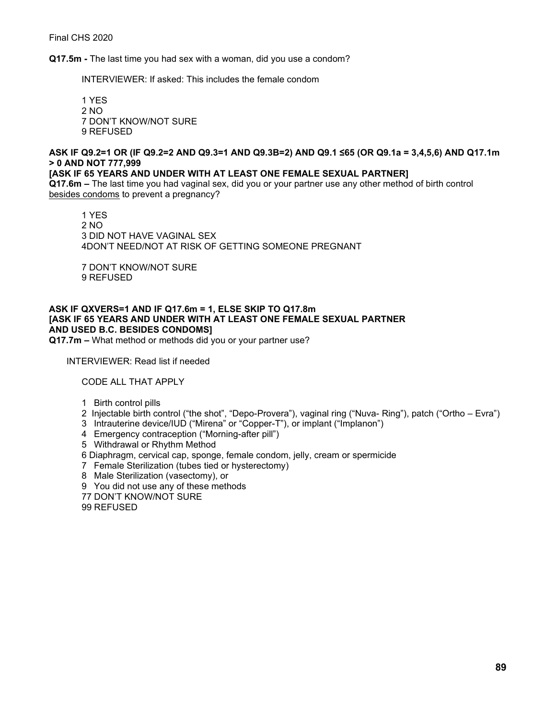**Q17.5m -** The last time you had sex with a woman, did you use a condom?

INTERVIEWER: If asked: This includes the female condom

1 YES 2 NO 7 DON'T KNOW/NOT SURE 9 REFUSED

# **ASK IF Q9.2=1 OR (IF Q9.2=2 AND Q9.3=1 AND Q9.3B=2) AND Q9.1 ≤65 (OR Q9.1a = 3,4,5,6) AND Q17.1m > 0 AND NOT 777,999**

#### **[ASK IF 65 YEARS AND UNDER WITH AT LEAST ONE FEMALE SEXUAL PARTNER]**

**Q17.6m –** The last time you had vaginal sex, did you or your partner use any other method of birth control besides condoms to prevent a pregnancy?

1 YES 2 NO 3 DID NOT HAVE VAGINAL SEX 4DON'T NEED/NOT AT RISK OF GETTING SOMEONE PREGNANT

7 DON'T KNOW/NOT SURE 9 REFUSED

# **ASK IF QXVERS=1 AND IF Q17.6m = 1, ELSE SKIP TO Q17.8m [ASK IF 65 YEARS AND UNDER WITH AT LEAST ONE FEMALE SEXUAL PARTNER AND USED B.C. BESIDES CONDOMS]**

**Q17.7m –** What method or methods did you or your partner use?

INTERVIEWER: Read list if needed

CODE ALL THAT APPLY

- 1 Birth control pills
- 2 Injectable birth control ("the shot", "Depo-Provera"), vaginal ring ("Nuva- Ring"), patch ("Ortho Evra")
- 3 Intrauterine device/IUD ("Mirena" or "Copper-T"), or implant ("Implanon")
- 4 Emergency contraception ("Morning-after pill")
- 5 Withdrawal or Rhythm Method
- 6 Diaphragm, cervical cap, sponge, female condom, jelly, cream or spermicide
- 7 Female Sterilization (tubes tied or hysterectomy)
- 8 Male Sterilization (vasectomy), or
- 9 You did not use any of these methods
- 77 DON'T KNOW/NOT SURE

99 REFUSED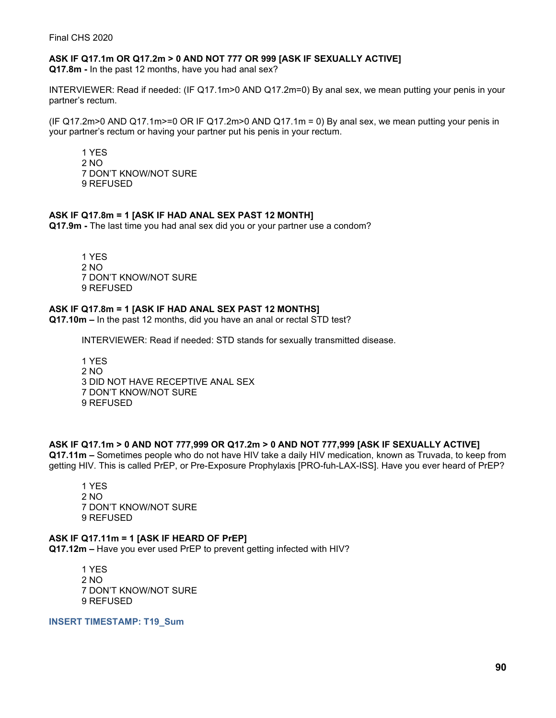#### **ASK IF Q17.1m OR Q17.2m > 0 AND NOT 777 OR 999 [ASK IF SEXUALLY ACTIVE] Q17.8m -** In the past 12 months, have you had anal sex?

INTERVIEWER: Read if needed: (IF Q17.1m>0 AND Q17.2m=0) By anal sex, we mean putting your penis in your partner's rectum.

(IF Q17.2m>0 AND Q17.1m>=0 OR IF Q17.2m>0 AND Q17.1m = 0) By anal sex, we mean putting your penis in your partner's rectum or having your partner put his penis in your rectum.

1 YES 2 NO 7 DON'T KNOW/NOT SURE 9 REFUSED

# **ASK IF Q17.8m = 1 [ASK IF HAD ANAL SEX PAST 12 MONTH]**

**Q17.9m -** The last time you had anal sex did you or your partner use a condom?

1 YES 2 NO 7 DON'T KNOW/NOT SURE 9 REFUSED

# **ASK IF Q17.8m = 1 [ASK IF HAD ANAL SEX PAST 12 MONTHS]**

**Q17.10m –** In the past 12 months, did you have an anal or rectal STD test?

INTERVIEWER: Read if needed: STD stands for sexually transmitted disease.

1 YES 2 NO 3 DID NOT HAVE RECEPTIVE ANAL SEX 7 DON'T KNOW/NOT SURE 9 REFUSED

# **ASK IF Q17.1m > 0 AND NOT 777,999 OR Q17.2m > 0 AND NOT 777,999 [ASK IF SEXUALLY ACTIVE]**

**Q17.11m –** Sometimes people who do not have HIV take a daily HIV medication, known as Truvada, to keep from getting HIV. This is called PrEP, or Pre-Exposure Prophylaxis [PRO-fuh-LAX-ISS]. Have you ever heard of PrEP?

1 YES  $2 N<sub>O</sub>$ 7 DON'T KNOW/NOT SURE 9 REFUSED

# **ASK IF Q17.11m = 1 [ASK IF HEARD OF PrEP]**

**Q17.12m –** Have you ever used PrEP to prevent getting infected with HIV?

1 YES 2 NO 7 DON'T KNOW/NOT SURE 9 REFUSED

**INSERT TIMESTAMP: T19\_Sum**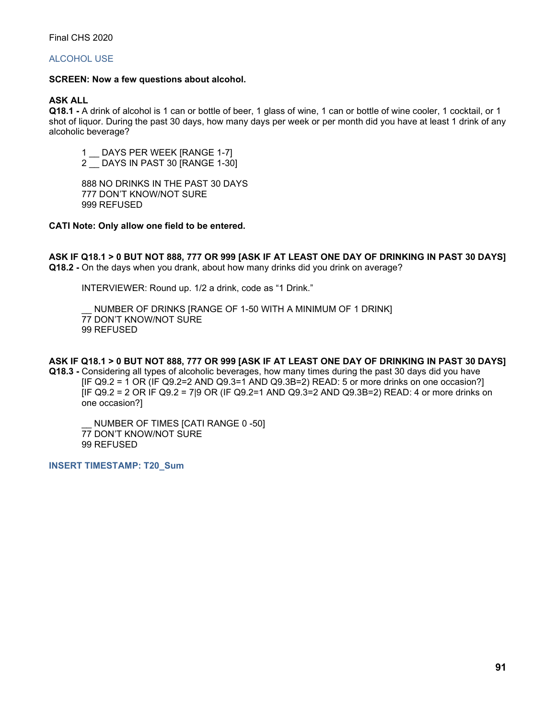ALCOHOL USE

# **SCREEN: Now a few questions about alcohol.**

# **ASK ALL**

**Q18.1 -** A drink of alcohol is 1 can or bottle of beer, 1 glass of wine, 1 can or bottle of wine cooler, 1 cocktail, or 1 shot of liquor. During the past 30 days, how many days per week or per month did you have at least 1 drink of any alcoholic beverage?

1 DAYS PER WEEK [RANGE 1-7]

2 \_\_ DAYS IN PAST 30 [RANGE 1-30]

888 NO DRINKS IN THE PAST 30 DAYS 777 DON'T KNOW/NOT SURE 999 REFUSED

**CATI Note: Only allow one field to be entered.**

**ASK IF Q18.1 > 0 BUT NOT 888, 777 OR 999 [ASK IF AT LEAST ONE DAY OF DRINKING IN PAST 30 DAYS] Q18.2 -** On the days when you drank, about how many drinks did you drink on average?

INTERVIEWER: Round up. 1/2 a drink, code as "1 Drink."

NUMBER OF DRINKS [RANGE OF 1-50 WITH A MINIMUM OF 1 DRINK] 77 DON'T KNOW/NOT SURE 99 REFUSED

# **ASK IF Q18.1 > 0 BUT NOT 888, 777 OR 999 [ASK IF AT LEAST ONE DAY OF DRINKING IN PAST 30 DAYS]**

**Q18.3 -** Considering all types of alcoholic beverages, how many times during the past 30 days did you have [IF Q9.2 = 1 OR (IF Q9.2=2 AND Q9.3=1 AND Q9.3B=2) READ: 5 or more drinks on one occasion?] [IF Q9.2 = 2 OR IF Q9.2 = 7|9 OR (IF Q9.2=1 AND Q9.3=2 AND Q9.3B=2) READ: 4 or more drinks on one occasion?]

NUMBER OF TIMES [CATI RANGE 0 -50] 77 DON'T KNOW/NOT SURE 99 REFUSED

**INSERT TIMESTAMP: T20\_Sum**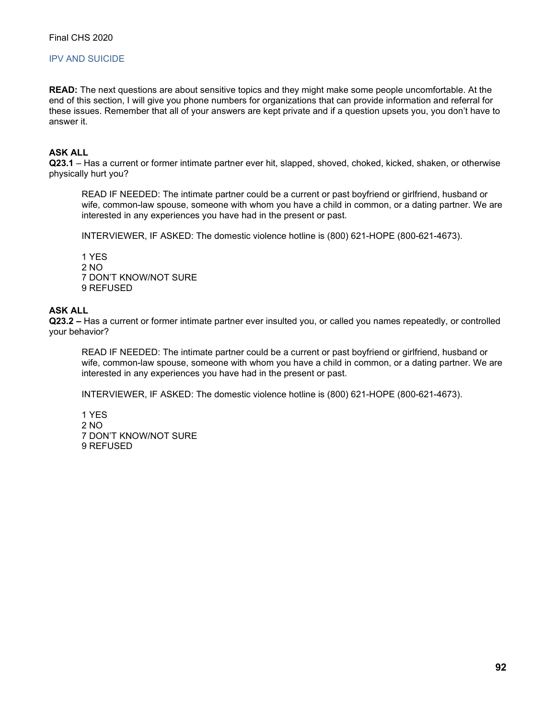# IPV AND SUICIDE

**READ:** The next questions are about sensitive topics and they might make some people uncomfortable. At the end of this section, I will give you phone numbers for organizations that can provide information and referral for these issues. Remember that all of your answers are kept private and if a question upsets you, you don't have to answer it.

# **ASK ALL**

**Q23.1** – Has a current or former intimate partner ever hit, slapped, shoved, choked, kicked, shaken, or otherwise physically hurt you?

READ IF NEEDED: The intimate partner could be a current or past boyfriend or girlfriend, husband or wife, common-law spouse, someone with whom you have a child in common, or a dating partner. We are interested in any experiences you have had in the present or past.

INTERVIEWER, IF ASKED: The domestic violence hotline is (800) 621-HOPE (800-621-4673).

1 YES 2 NO 7 DON'T KNOW/NOT SURE 9 REFUSED

# **ASK ALL**

**Q23.2 –** Has a current or former intimate partner ever insulted you, or called you names repeatedly, or controlled your behavior?

READ IF NEEDED: The intimate partner could be a current or past boyfriend or girlfriend, husband or wife, common-law spouse, someone with whom you have a child in common, or a dating partner. We are interested in any experiences you have had in the present or past.

INTERVIEWER, IF ASKED: The domestic violence hotline is (800) 621-HOPE (800-621-4673).

1 YES 2 NO 7 DON'T KNOW/NOT SURE 9 REFUSED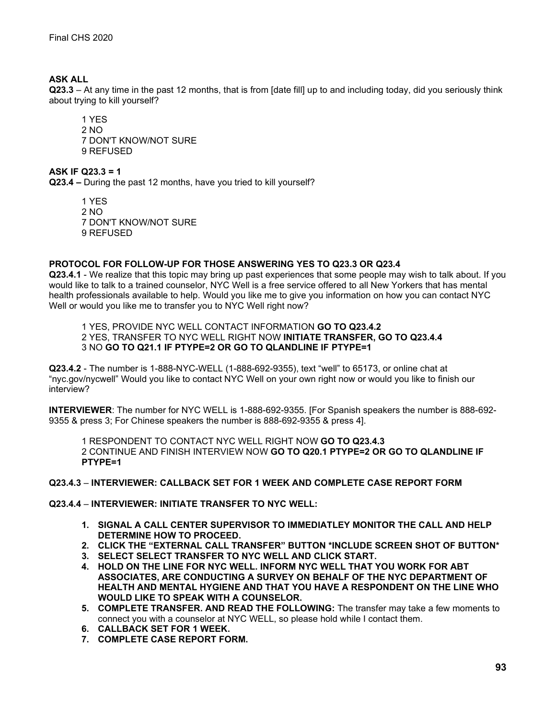# **ASK ALL**

**Q23.3** – At any time in the past 12 months, that is from [date fill] up to and including today, did you seriously think about trying to kill yourself?

1 YES 2 NO 7 DON'T KNOW/NOT SURE 9 REFUSED

**ASK IF Q23.3 = 1 Q23.4 –** During the past 12 months, have you tried to kill yourself?

> 1 YES 2 NO 7 DON'T KNOW/NOT SURE 9 REFUSED

# **PROTOCOL FOR FOLLOW-UP FOR THOSE ANSWERING YES TO Q23.3 OR Q23.4**

**Q23.4.1** - We realize that this topic may bring up past experiences that some people may wish to talk about. If you would like to talk to a trained counselor, NYC Well is a free service offered to all New Yorkers that has mental health professionals available to help. Would you like me to give you information on how you can contact NYC Well or would you like me to transfer you to NYC Well right now?

1 YES, PROVIDE NYC WELL CONTACT INFORMATION **GO TO Q23.4.2**

# 2 YES, TRANSFER TO NYC WELL RIGHT NOW **INITIATE TRANSFER, GO TO Q23.4.4** 3 NO **GO TO Q21.1 IF PTYPE=2 OR GO TO QLANDLINE IF PTYPE=1**

**Q23.4.2** - The number is 1-888-NYC-WELL (1-888-692-9355), text "well" to 65173, or online chat at "nyc.gov/nycwell" Would you like to contact NYC Well on your own right now or would you like to finish our interview?

**INTERVIEWER**: The number for NYC WELL is 1-888-692-9355. [For Spanish speakers the number is 888-692- 9355 & press 3; For Chinese speakers the number is 888-692-9355 & press 4].

1 RESPONDENT TO CONTACT NYC WELL RIGHT NOW **GO TO Q23.4.3** 2 CONTINUE AND FINISH INTERVIEW NOW **GO TO Q20.1 PTYPE=2 OR GO TO QLANDLINE IF PTYPE=1**

# **Q23.4.3** – **INTERVIEWER: CALLBACK SET FOR 1 WEEK AND COMPLETE CASE REPORT FORM**

**Q23.4.4** – **INTERVIEWER: INITIATE TRANSFER TO NYC WELL:**

- **1. SIGNAL A CALL CENTER SUPERVISOR TO IMMEDIATLEY MONITOR THE CALL AND HELP DETERMINE HOW TO PROCEED.**
- **2. CLICK THE "EXTERNAL CALL TRANSFER" BUTTON \*INCLUDE SCREEN SHOT OF BUTTON\***
- **3. SELECT SELECT TRANSFER TO NYC WELL AND CLICK START.**
- **4. HOLD ON THE LINE FOR NYC WELL. INFORM NYC WELL THAT YOU WORK FOR ABT ASSOCIATES, ARE CONDUCTING A SURVEY ON BEHALF OF THE NYC DEPARTMENT OF HEALTH AND MENTAL HYGIENE AND THAT YOU HAVE A RESPONDENT ON THE LINE WHO WOULD LIKE TO SPEAK WITH A COUNSELOR.**
- **5. COMPLETE TRANSFER. AND READ THE FOLLOWING:** The transfer may take a few moments to connect you with a counselor at NYC WELL, so please hold while I contact them.
- **6. CALLBACK SET FOR 1 WEEK.**
- **7. COMPLETE CASE REPORT FORM.**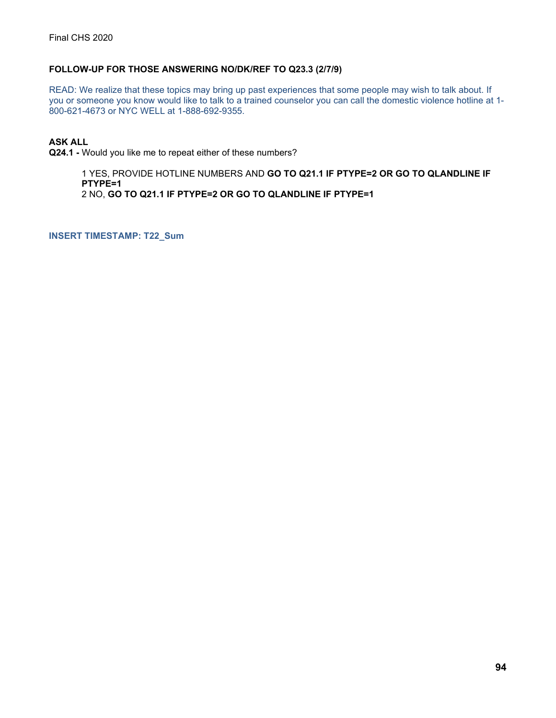# **FOLLOW-UP FOR THOSE ANSWERING NO/DK/REF TO Q23.3 (2/7/9)**

READ: We realize that these topics may bring up past experiences that some people may wish to talk about. If you or someone you know would like to talk to a trained counselor you can call the domestic violence hotline at 1- 800-621-4673 or NYC WELL at 1-888-692-9355.

# **ASK ALL**

**Q24.1 -** Would you like me to repeat either of these numbers?

1 YES, PROVIDE HOTLINE NUMBERS AND **GO TO Q21.1 IF PTYPE=2 OR GO TO QLANDLINE IF PTYPE=1** 2 NO, **GO TO Q21.1 IF PTYPE=2 OR GO TO QLANDLINE IF PTYPE=1**

**INSERT TIMESTAMP: T22\_Sum**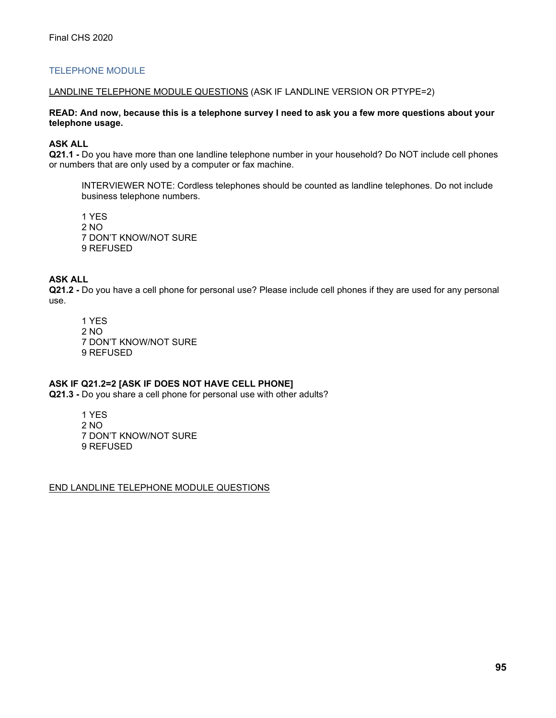# TELEPHONE MODULE

# LANDLINE TELEPHONE MODULE QUESTIONS (ASK IF LANDLINE VERSION OR PTYPE=2)

# **READ: And now, because this is a telephone survey I need to ask you a few more questions about your telephone usage.**

# **ASK ALL**

**Q21.1 -** Do you have more than one landline telephone number in your household? Do NOT include cell phones or numbers that are only used by a computer or fax machine.

INTERVIEWER NOTE: Cordless telephones should be counted as landline telephones. Do not include business telephone numbers.

1 YES 2 NO 7 DON'T KNOW/NOT SURE 9 REFUSED

# **ASK ALL**

**Q21.2 -** Do you have a cell phone for personal use? Please include cell phones if they are used for any personal use.

1 YES 2 NO 7 DON'T KNOW/NOT SURE 9 REFUSED

# **ASK IF Q21.2=2 [ASK IF DOES NOT HAVE CELL PHONE]**

**Q21.3 -** Do you share a cell phone for personal use with other adults?

1 YES 2 NO 7 DON'T KNOW/NOT SURE 9 REFUSED

END LANDLINE TELEPHONE MODULE QUESTIONS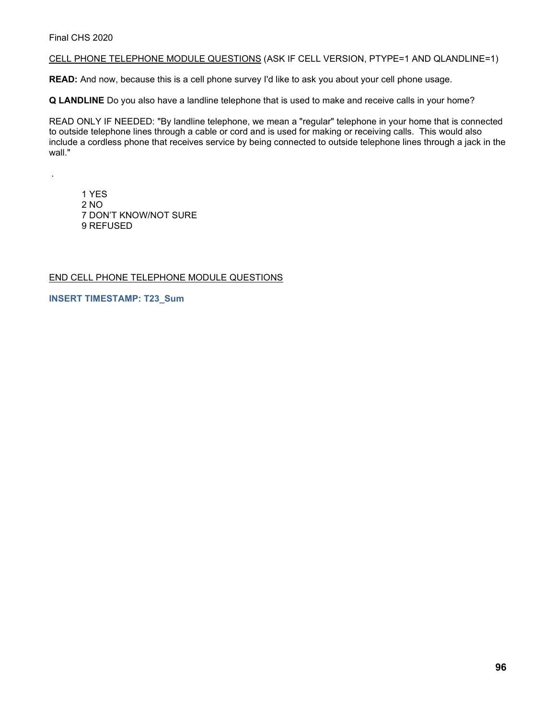.

CELL PHONE TELEPHONE MODULE QUESTIONS (ASK IF CELL VERSION, PTYPE=1 AND QLANDLINE=1)

**READ:** And now, because this is a cell phone survey I'd like to ask you about your cell phone usage.

**Q LANDLINE** Do you also have a landline telephone that is used to make and receive calls in your home?

READ ONLY IF NEEDED: "By landline telephone, we mean a "regular" telephone in your home that is connected to outside telephone lines through a cable or cord and is used for making or receiving calls. This would also include a cordless phone that receives service by being connected to outside telephone lines through a jack in the wall."

1 YES 2 NO 7 DON'T KNOW/NOT SURE 9 REFUSED

# END CELL PHONE TELEPHONE MODULE QUESTIONS

**INSERT TIMESTAMP: T23\_Sum**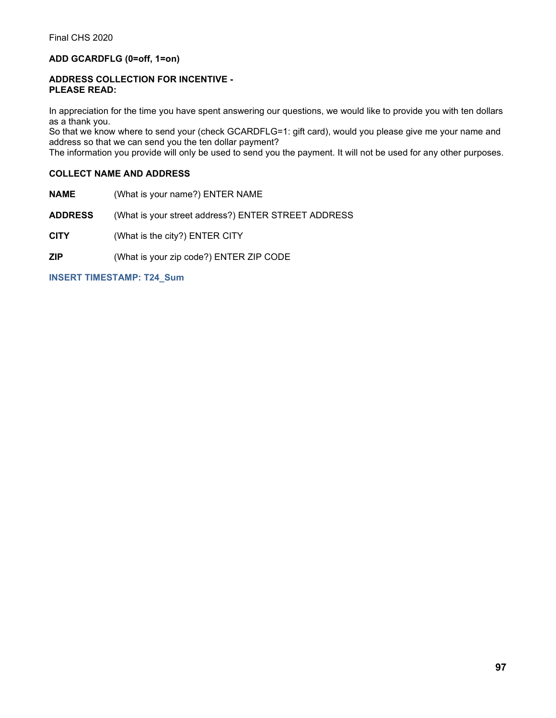# **ADD GCARDFLG (0=off, 1=on)**

# **ADDRESS COLLECTION FOR INCENTIVE - PLEASE READ:**

In appreciation for the time you have spent answering our questions, we would like to provide you with ten dollars as a thank you.

So that we know where to send your (check GCARDFLG=1: gift card), would you please give me your name and address so that we can send you the ten dollar payment?

The information you provide will only be used to send you the payment. It will not be used for any other purposes.

# **COLLECT NAME AND ADDRESS**

**NAME** (What is your name?) ENTER NAME

**ADDRESS** (What is your street address?) ENTER STREET ADDRESS

**CITY** (What is the city?) ENTER CITY

**ZIP** (What is your zip code?) ENTER ZIP CODE

**INSERT TIMESTAMP: T24\_Sum**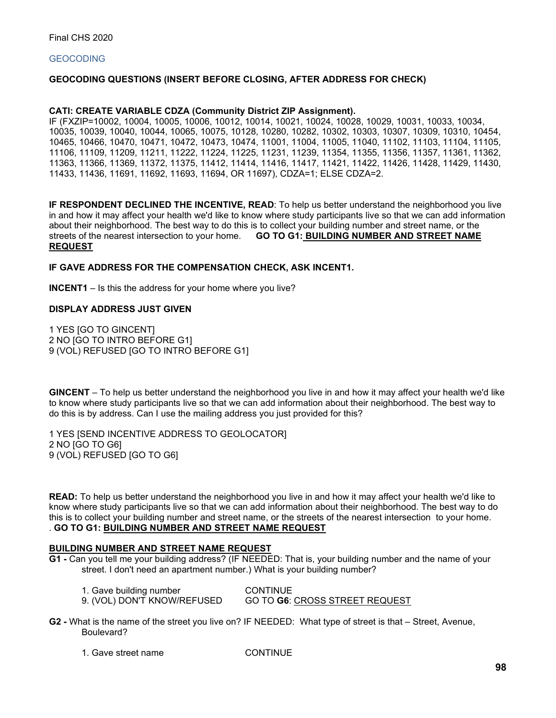# **GEOCODING QUESTIONS (INSERT BEFORE CLOSING, AFTER ADDRESS FOR CHECK)**

# **CATI: CREATE VARIABLE CDZA (Community District ZIP Assignment).**

IF (FXZIP=10002, 10004, 10005, 10006, 10012, 10014, 10021, 10024, 10028, 10029, 10031, 10033, 10034, 10035, 10039, 10040, 10044, 10065, 10075, 10128, 10280, 10282, 10302, 10303, 10307, 10309, 10310, 10454, 10465, 10466, 10470, 10471, 10472, 10473, 10474, 11001, 11004, 11005, 11040, 11102, 11103, 11104, 11105, 11106, 11109, 11209, 11211, 11222, 11224, 11225, 11231, 11239, 11354, 11355, 11356, 11357, 11361, 11362, 11363, 11366, 11369, 11372, 11375, 11412, 11414, 11416, 11417, 11421, 11422, 11426, 11428, 11429, 11430, 11433, 11436, 11691, 11692, 11693, 11694, OR 11697), CDZA=1; ELSE CDZA=2.

**IF RESPONDENT DECLINED THE INCENTIVE, READ:** To help us better understand the neighborhood you live in and how it may affect your health we'd like to know where study participants live so that we can add information about their neighborhood. The best way to do this is to collect your building number and street name, or the streets of the nearest intersection to your home. **GO TO G1: BUILDING NUMBER AND STREET NAME REQUEST**

# **IF GAVE ADDRESS FOR THE COMPENSATION CHECK, ASK INCENT1.**

**INCENT1** – Is this the address for your home where you live?

# **DISPLAY ADDRESS JUST GIVEN**

1 YES [GO TO GINCENT] 2 NO [GO TO INTRO BEFORE G1] 9 (VOL) REFUSED [GO TO INTRO BEFORE G1]

**GINCENT** – To help us better understand the neighborhood you live in and how it may affect your health we'd like to know where study participants live so that we can add information about their neighborhood. The best way to do this is by address. Can I use the mailing address you just provided for this?

1 YES [SEND INCENTIVE ADDRESS TO GEOLOCATOR] 2 NO [GO TO G6] 9 (VOL) REFUSED [GO TO G6]

**READ:** To help us better understand the neighborhood you live in and how it may affect your health we'd like to know where study participants live so that we can add information about their neighborhood. The best way to do this is to collect your building number and street name, or the streets of the nearest intersection to your home. . **GO TO G1: BUILDING NUMBER AND STREET NAME REQUEST**

# **BUILDING NUMBER AND STREET NAME REQUEST**

**G1 -** Can you tell me your building address? (IF NEEDED: That is, your building number and the name of your street. I don't need an apartment number.) What is your building number?

| 1. Gave building number     | <b>CONTINUE</b>                |
|-----------------------------|--------------------------------|
| 9. (VOL) DON'T KNOW/REFUSED | GO TO G6: CROSS STREET REQUEST |

- **G2 -** What is the name of the street you live on? IF NEEDED: What type of street is that Street, Avenue, Boulevard?
	- 1. Gave street name CONTINUE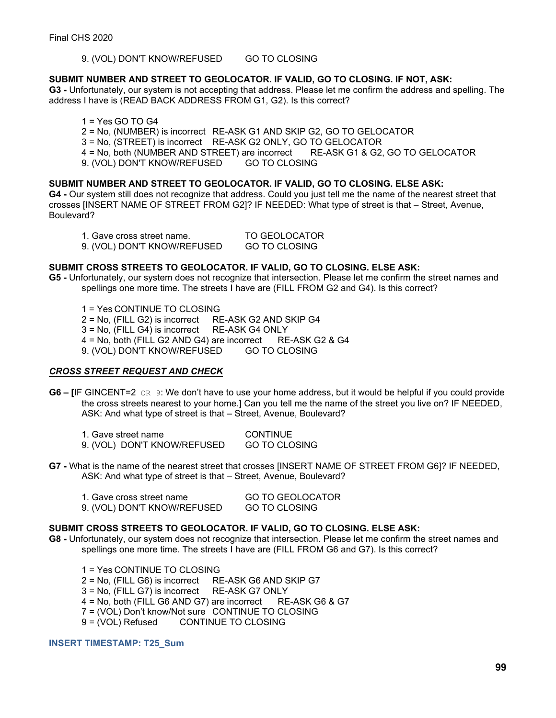# 9. (VOL) DON'T KNOW/REFUSED GO TO CLOSING

# **SUBMIT NUMBER AND STREET TO GEOLOCATOR. IF VALID, GO TO CLOSING. IF NOT, ASK:**

**G3 -** Unfortunately, our system is not accepting that address. Please let me confirm the address and spelling. The address I have is (READ BACK ADDRESS FROM G1, G2). Is this correct?

1 = Yes GO TO G4 2 = No, (NUMBER) is incorrect RE-ASK G1 AND SKIP G2, GO TO GELOCATOR 3 = No, (STREET) is incorrect RE-ASK G2 ONLY, GO TO GELOCATOR 4 = No, both (NUMBER AND STREET) are incorrect RE-ASK G1 & G2, GO TO GELOCATOR 9. (VOL) DON'T KNOW/REFUSED GO TO CLOSING

**SUBMIT NUMBER AND STREET TO GEOLOCATOR. IF VALID, GO TO CLOSING. ELSE ASK:** 

**G4 -** Our system still does not recognize that address. Could you just tell me the name of the nearest street that crosses [INSERT NAME OF STREET FROM G2]? IF NEEDED: What type of street is that – Street, Avenue, Boulevard?

| 1. Gave cross street name.  | TO GEOLOCATOR |
|-----------------------------|---------------|
| 9. (VOL) DON'T KNOW/REFUSED | GO TO CLOSING |

#### **SUBMIT CROSS STREETS TO GEOLOCATOR. IF VALID, GO TO CLOSING. ELSE ASK:**

**G5 -** Unfortunately, our system does not recognize that intersection. Please let me confirm the street names and spellings one more time. The streets I have are (FILL FROM G2 and G4). Is this correct?

1 = Yes CONTINUE TO CLOSING<br>2 = No, (FILL G2) is incorrect RE-ASK G2 AND SKIP G4  $2$  = No, (FILL G2) is incorrect 3 = No, (FILL G4) is incorrect RE-ASK G4 ONLY 4 = No, both (FILL G2 AND G4) are incorrect RE-ASK G2 & G4 9. (VOL) DON'T KNOW/REFUSED GO TO CLOSING

# *CROSS STREET REQUEST AND CHECK*

**G6 – [**IF GINCENT=2 OR 9: We don't have to use your home address, but it would be helpful if you could provide the cross streets nearest to your home.] Can you tell me the name of the street you live on? IF NEEDED, ASK: And what type of street is that – Street, Avenue, Boulevard?

| 1. Gave street name         | <b>CONTINUE</b> |
|-----------------------------|-----------------|
| 9. (VOL) DON'T KNOW/REFUSED | GO TO CLOSING   |

**G7 -** What is the name of the nearest street that crosses [INSERT NAME OF STREET FROM G6]? IF NEEDED, ASK: And what type of street is that – Street, Avenue, Boulevard?

| 1. Gave cross street name   | GO TO GEOLOCATOR |
|-----------------------------|------------------|
| 9. (VOL) DON'T KNOW/REFUSED | GO TO CLOSING    |

# **SUBMIT CROSS STREETS TO GEOLOCATOR. IF VALID, GO TO CLOSING. ELSE ASK:**

**G8 -** Unfortunately, our system does not recognize that intersection. Please let me confirm the street names and spellings one more time. The streets I have are (FILL FROM G6 and G7). Is this correct?

1 = Yes CONTINUE TO CLOSING 2 = No, (FILL G6) is incorrect RE-ASK G6 AND SKIP G7 3 = No, (FILL G7) is incorrect RE-ASK G7 ONLY 4 = No, both (FILL G6 AND G7) are incorrect RE-ASK G6 & G7 7 = (VOL) Don't know/Not sure CONTINUE TO CLOSING 9 = (VOL) Refused CONTINUE TO CLOSING

**INSERT TIMESTAMP: T25\_Sum**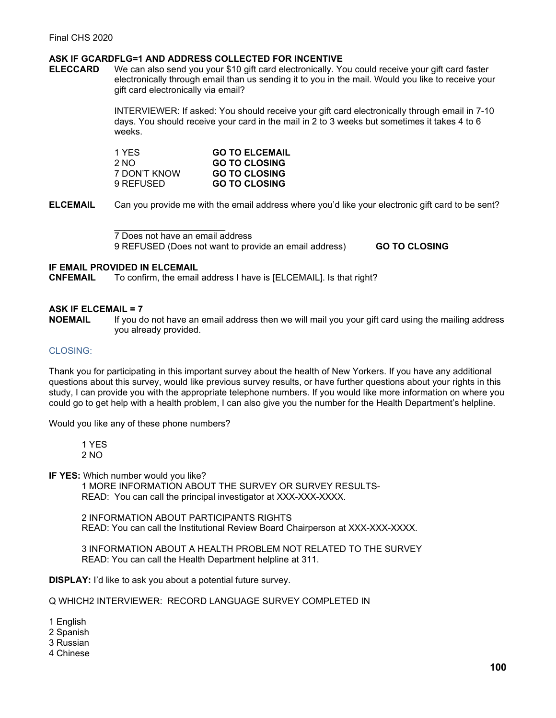# **ASK IF GCARDFLG=1 AND ADDRESS COLLECTED FOR INCENTIVE**

We can also send you your \$10 gift card electronically. You could receive your gift card faster electronically through email than us sending it to you in the mail. Would you like to receive your gift card electronically via email?

INTERVIEWER: If asked: You should receive your gift card electronically through email in 7-10 days. You should receive your card in the mail in 2 to 3 weeks but sometimes it takes 4 to 6 weeks.

| <b>GO TO ELCEMAIL</b> |
|-----------------------|
| <b>GO TO CLOSING</b>  |
| <b>GO TO CLOSING</b>  |
| <b>GO TO CLOSING</b>  |
|                       |

**ELCEMAIL** Can you provide me with the email address where you'd like your electronic gift card to be sent?

\_\_\_\_\_\_\_\_\_\_\_\_\_\_\_\_\_\_\_\_\_\_ 7 Does not have an email address 9 REFUSED (Does not want to provide an email address) **GO TO CLOSING**

#### **IF EMAIL PROVIDED IN ELCEMAIL**

**CNFEMAIL** To confirm, the email address I have is [ELCEMAIL]. Is that right?

# **ASK IF ELCEMAIL = 7**<br>**NOEMAIL** If you d

If you do not have an email address then we will mail you your gift card using the mailing address you already provided.

# CLOSING:

Thank you for participating in this important survey about the health of New Yorkers. If you have any additional questions about this survey, would like previous survey results, or have further questions about your rights in this study, I can provide you with the appropriate telephone numbers. If you would like more information on where you could go to get help with a health problem, I can also give you the number for the Health Department's helpline.

Would you like any of these phone numbers?

1 YES 2 NO

**IF YES:** Which number would you like?

1 MORE INFORMATION ABOUT THE SURVEY OR SURVEY RESULTS-READ: You can call the principal investigator at XXX-XXX-XXXX.

2 INFORMATION ABOUT PARTICIPANTS RIGHTS READ: You can call the Institutional Review Board Chairperson at XXX-XXX-XXXX.

3 INFORMATION ABOUT A HEALTH PROBLEM NOT RELATED TO THE SURVEY READ: You can call the Health Department helpline at 311.

**DISPLAY:** I'd like to ask you about a potential future survey.

Q WHICH2 INTERVIEWER: RECORD LANGUAGE SURVEY COMPLETED IN

1 English

- 2 Spanish
- 3 Russian
- 4 Chinese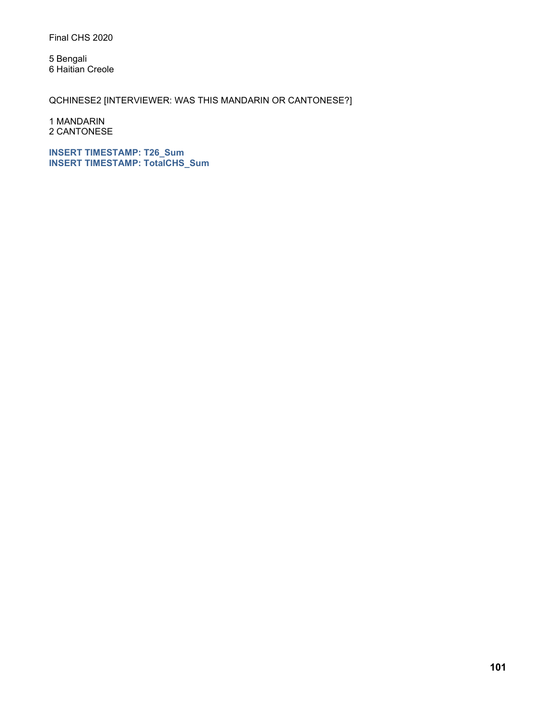Final CHS 2020

5 Bengali 6 Haitian Creole

QCHINESE2 [INTERVIEWER: WAS THIS MANDARIN OR CANTONESE?]

1 MANDARIN 2 CANTONESE

**INSERT TIMESTAMP: T26\_Sum INSERT TIMESTAMP: TotalCHS\_Sum**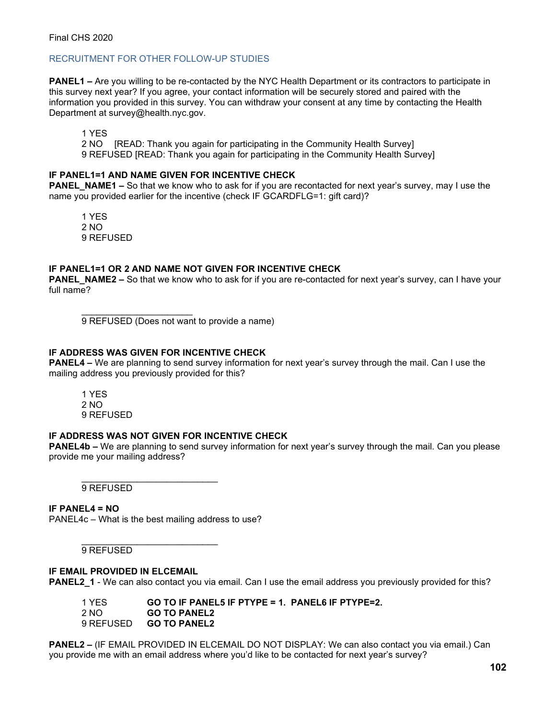# RECRUITMENT FOR OTHER FOLLOW-UP STUDIES

**PANEL1 –** Are you willing to be re-contacted by the NYC Health Department or its contractors to participate in this survey next year? If you agree, your contact information will be securely stored and paired with the information you provided in this survey. You can withdraw your consent at any time by contacting the Health Department at survey@health.nyc.gov.

1 YES

[READ: Thank you again for participating in the Community Health Survey]

9 REFUSED [READ: Thank you again for participating in the Community Health Survey]

# **IF PANEL1=1 AND NAME GIVEN FOR INCENTIVE CHECK**

**PANEL\_NAME1 –** So that we know who to ask for if you are recontacted for next year's survey, may I use the name you provided earlier for the incentive (check IF GCARDFLG=1: gift card)?

1 YES 2 NO 9 REFUSED

# **IF PANEL1=1 OR 2 AND NAME NOT GIVEN FOR INCENTIVE CHECK**

**PANEL\_NAME2 –** So that we know who to ask for if you are re-contacted for next year's survey, can I have your full name?

 $\frac{1}{2}$  ,  $\frac{1}{2}$  ,  $\frac{1}{2}$  ,  $\frac{1}{2}$  ,  $\frac{1}{2}$  ,  $\frac{1}{2}$  ,  $\frac{1}{2}$  ,  $\frac{1}{2}$  ,  $\frac{1}{2}$  ,  $\frac{1}{2}$  ,  $\frac{1}{2}$  ,  $\frac{1}{2}$  ,  $\frac{1}{2}$  ,  $\frac{1}{2}$  ,  $\frac{1}{2}$  ,  $\frac{1}{2}$  ,  $\frac{1}{2}$  ,  $\frac{1}{2}$  ,  $\frac{1$ 9 REFUSED (Does not want to provide a name)

# **IF ADDRESS WAS GIVEN FOR INCENTIVE CHECK**

**PANEL4 –** We are planning to send survey information for next year's survey through the mail. Can I use the mailing address you previously provided for this?

1 YES 2 NO 9 REFUSED

# **IF ADDRESS WAS NOT GIVEN FOR INCENTIVE CHECK**

**PANEL4b –** We are planning to send survey information for next year's survey through the mail. Can you please provide me your mailing address?

\_\_\_\_\_\_\_\_\_\_\_\_\_\_\_\_\_\_\_\_\_\_\_\_\_\_\_ 9 REFUSED

# **IF PANEL4 = NO**

PANEL4c – What is the best mailing address to use?

\_\_\_\_\_\_\_\_\_\_\_\_\_\_\_\_\_\_\_\_\_\_\_\_\_\_\_ 9 REFUSED

# **IF EMAIL PROVIDED IN ELCEMAIL**

**PANEL2\_1** - We can also contact you via email. Can I use the email address you previously provided for this?

1 YES **GO TO IF PANEL5 IF PTYPE = 1. PANEL6 IF PTYPE=2.** 2 NO **GO TO PANEL2**<br>9 REFUSED **GO TO PANEL2** 

**GO TO PANEL2** 

**PANEL2 –** (IF EMAIL PROVIDED IN ELCEMAIL DO NOT DISPLAY: We can also contact you via email.) Can you provide me with an email address where you'd like to be contacted for next year's survey?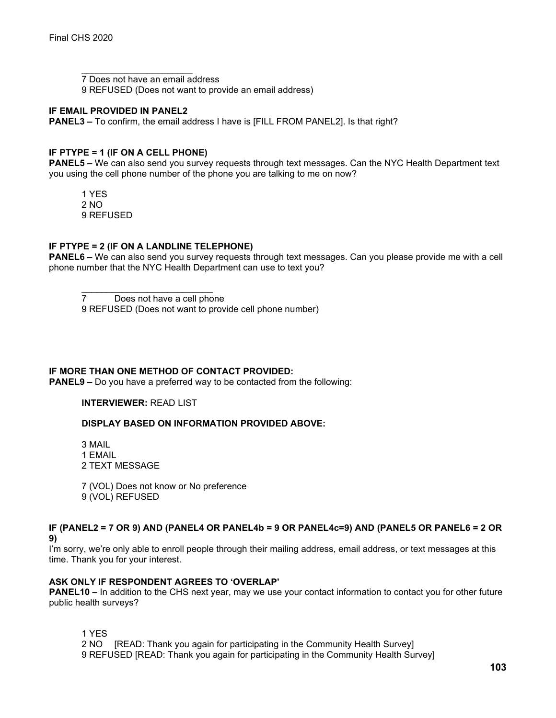\_\_\_\_\_\_\_\_\_\_\_\_\_\_\_\_\_\_\_\_\_\_ 7 Does not have an email address 9 REFUSED (Does not want to provide an email address)

# **IF EMAIL PROVIDED IN PANEL2**

**PANEL3 –** To confirm, the email address I have is [FILL FROM PANEL2]. Is that right?

# **IF PTYPE = 1 (IF ON A CELL PHONE)**

**PANEL5 –** We can also send you survey requests through text messages. Can the NYC Health Department text you using the cell phone number of the phone you are talking to me on now?

1 YES 2 NO 9 REFUSED

# **IF PTYPE = 2 (IF ON A LANDLINE TELEPHONE)**

**PANEL6 –** We can also send you survey requests through text messages. Can you please provide me with a cell phone number that the NYC Health Department can use to text you?

\_\_\_\_\_\_\_\_\_\_\_\_\_\_\_\_\_\_\_\_\_\_\_\_\_\_ 7 Does not have a cell phone 9 REFUSED (Does not want to provide cell phone number)

# **IF MORE THAN ONE METHOD OF CONTACT PROVIDED:**

**PANEL9 –** Do you have a preferred way to be contacted from the following:

# **INTERVIEWER:** READ LIST

# **DISPLAY BASED ON INFORMATION PROVIDED ABOVE:**

- 3 MAIL
- 1 EMAIL
- 2 TEXT MESSAGE

7 (VOL) Does not know or No preference

9 (VOL) REFUSED

# **IF (PANEL2 = 7 OR 9) AND (PANEL4 OR PANEL4b = 9 OR PANEL4c=9) AND (PANEL5 OR PANEL6 = 2 OR 9)**

I'm sorry, we're only able to enroll people through their mailing address, email address, or text messages at this time. Thank you for your interest.

# **ASK ONLY IF RESPONDENT AGREES TO 'OVERLAP'**

**PANEL10 –** In addition to the CHS next year, may we use your contact information to contact you for other future public health surveys?

1 YES

2 NO [READ: Thank you again for participating in the Community Health Survey]

9 REFUSED [READ: Thank you again for participating in the Community Health Survey]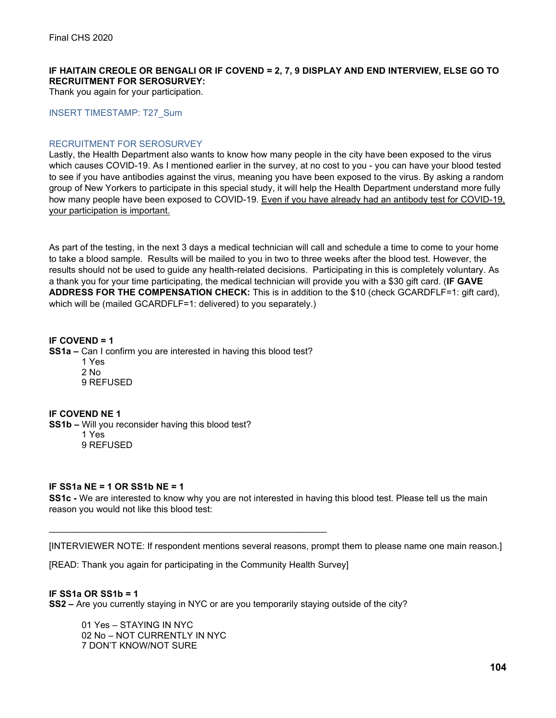**IF HAITAIN CREOLE OR BENGALI OR IF COVEND = 2, 7, 9 DISPLAY AND END INTERVIEW, ELSE GO TO RECRUITMENT FOR SEROSURVEY:**

Thank you again for your participation.

INSERT TIMESTAMP: T27\_Sum

# RECRUITMENT FOR SEROSURVEY

Lastly, the Health Department also wants to know how many people in the city have been exposed to the virus which causes COVID-19. As I mentioned earlier in the survey, at no cost to you - you can have your blood tested to see if you have antibodies against the virus, meaning you have been exposed to the virus. By asking a random group of New Yorkers to participate in this special study, it will help the Health Department understand more fully how many people have been exposed to COVID-19. Even if you have already had an antibody test for COVID-19, your participation is important.

As part of the testing, in the next 3 days a medical technician will call and schedule a time to come to your home to take a blood sample. Results will be mailed to you in two to three weeks after the blood test. However, the results should not be used to guide any health-related decisions. Participating in this is completely voluntary. As a thank you for your time participating, the medical technician will provide you with a \$30 gift card. (**IF GAVE ADDRESS FOR THE COMPENSATION CHECK:** This is in addition to the \$10 (check GCARDFLF=1: gift card), which will be (mailed GCARDFLF=1: delivered) to you separately.)

# **IF COVEND = 1**

**SS1a –** Can I confirm you are interested in having this blood test?

1 Yes  $2$  No 9 REFUSED

# **IF COVEND NE 1**

**SS1b –** Will you reconsider having this blood test? 1 Yes 9 REFUSED

# **IF SS1a NE = 1 OR SS1b NE = 1**

**SS1c -** We are interested to know why you are not interested in having this blood test. Please tell us the main reason you would not like this blood test:

[INTERVIEWER NOTE: If respondent mentions several reasons, prompt them to please name one main reason.]

[READ: Thank you again for participating in the Community Health Survey]

\_\_\_\_\_\_\_\_\_\_\_\_\_\_\_\_\_\_\_\_\_\_\_\_\_\_\_\_\_\_\_\_\_\_\_\_\_\_\_\_\_\_\_\_\_\_\_\_\_\_\_\_\_\_\_

# **IF SS1a OR SS1b = 1**

**SS2 –** Are you currently staying in NYC or are you temporarily staying outside of the city?

01 Yes – STAYING IN NYC 02 No – NOT CURRENTLY IN NYC 7 DON'T KNOW/NOT SURE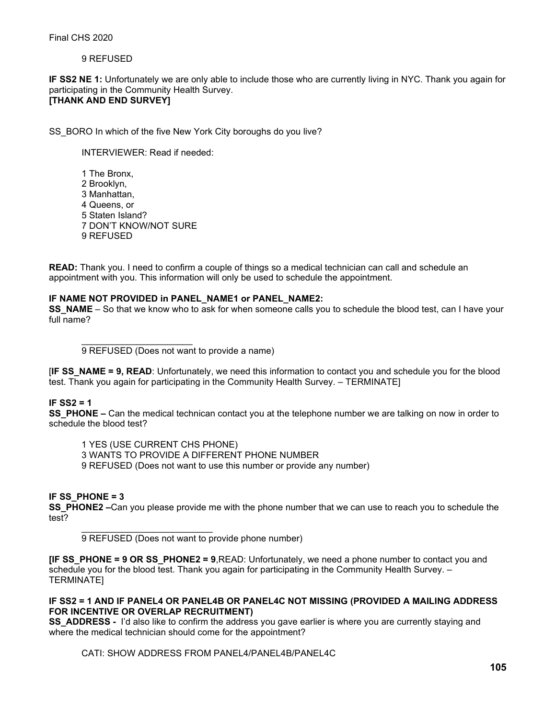# 9 REFUSED

**IF SS2 NE 1:** Unfortunately we are only able to include those who are currently living in NYC. Thank you again for participating in the Community Health Survey. **[THANK AND END SURVEY]**

SS\_BORO In which of the five New York City boroughs do you live?

INTERVIEWER: Read if needed:

1 The Bronx, 2 Brooklyn, 3 Manhattan, 4 Queens, or 5 Staten Island? 7 DON'T KNOW/NOT SURE 9 REFUSED

**READ:** Thank you. I need to confirm a couple of things so a medical technician can call and schedule an appointment with you. This information will only be used to schedule the appointment.

# **IF NAME NOT PROVIDED in PANEL\_NAME1 or PANEL\_NAME2:**

**SS\_NAME** – So that we know who to ask for when someone calls you to schedule the blood test, can I have your full name?

 $\mathcal{L}$  , we can also the set of the set of the set of the set of the set of the set of the set of the set of the set of the set of the set of the set of the set of the set of the set of the set of the set of the set of 9 REFUSED (Does not want to provide a name)

[**IF SS\_NAME = 9, READ**: Unfortunately, we need this information to contact you and schedule you for the blood test. Thank you again for participating in the Community Health Survey. – TERMINATE]

# **IF SS2 = 1**

**SS\_PHONE –** Can the medical technican contact you at the telephone number we are talking on now in order to schedule the blood test?

1 YES (USE CURRENT CHS PHONE) 3 WANTS TO PROVIDE A DIFFERENT PHONE NUMBER 9 REFUSED (Does not want to use this number or provide any number)

# **IF SS\_PHONE = 3**

**SS\_PHONE2 –**Can you please provide me with the phone number that we can use to reach you to schedule the test?

\_\_\_\_\_\_\_\_\_\_\_\_\_\_\_\_\_\_\_\_\_\_\_\_\_\_ 9 REFUSED (Does not want to provide phone number)

**[IF SS\_PHONE = 9 OR SS\_PHONE2 = 9**,READ: Unfortunately, we need a phone number to contact you and schedule you for the blood test. Thank you again for participating in the Community Health Survey. -**TERMINATE1** 

# **IF SS2 = 1 AND IF PANEL4 OR PANEL4B OR PANEL4C NOT MISSING (PROVIDED A MAILING ADDRESS FOR INCENTIVE OR OVERLAP RECRUITMENT)**

**SS\_ADDRESS -** I'd also like to confirm the address you gave earlier is where you are currently staying and where the medical technician should come for the appointment?

CATI: SHOW ADDRESS FROM PANEL4/PANEL4B/PANEL4C